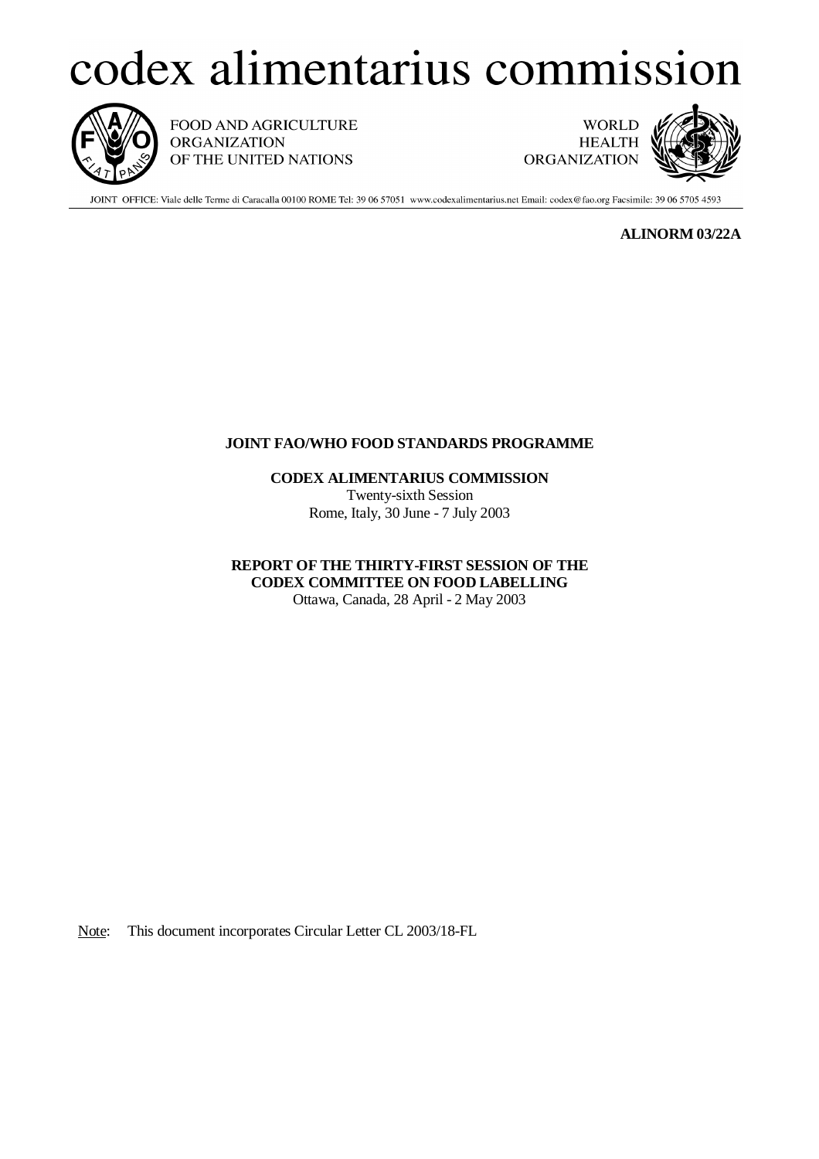# codex alimentarius commission



FOOD AND AGRICULTURE **ORGANIZATION** OF THE UNITED NATIONS

**WORLD HEALTH ORGANIZATION** 



JOINT OFFICE: Viale delle Terme di Caracalla 00100 ROME Tel: 39 06 57051 www.codexalimentarius.net Email: codex@fao.org Facsimile: 39 06 5705 4593

**ALINORM 03/22A**

## **JOINT FAO/WHO FOOD STANDARDS PROGRAMME**

**CODEX ALIMENTARIUS COMMISSION** Twenty-sixth Session Rome, Italy, 30 June - 7 July 2003

## **REPORT OF THE THIRTY-FIRST SESSION OF THE CODEX COMMITTEE ON FOOD LABELLING**

Ottawa, Canada, 28 April - 2 May 2003

Note: This document incorporates Circular Letter CL 2003/18-FL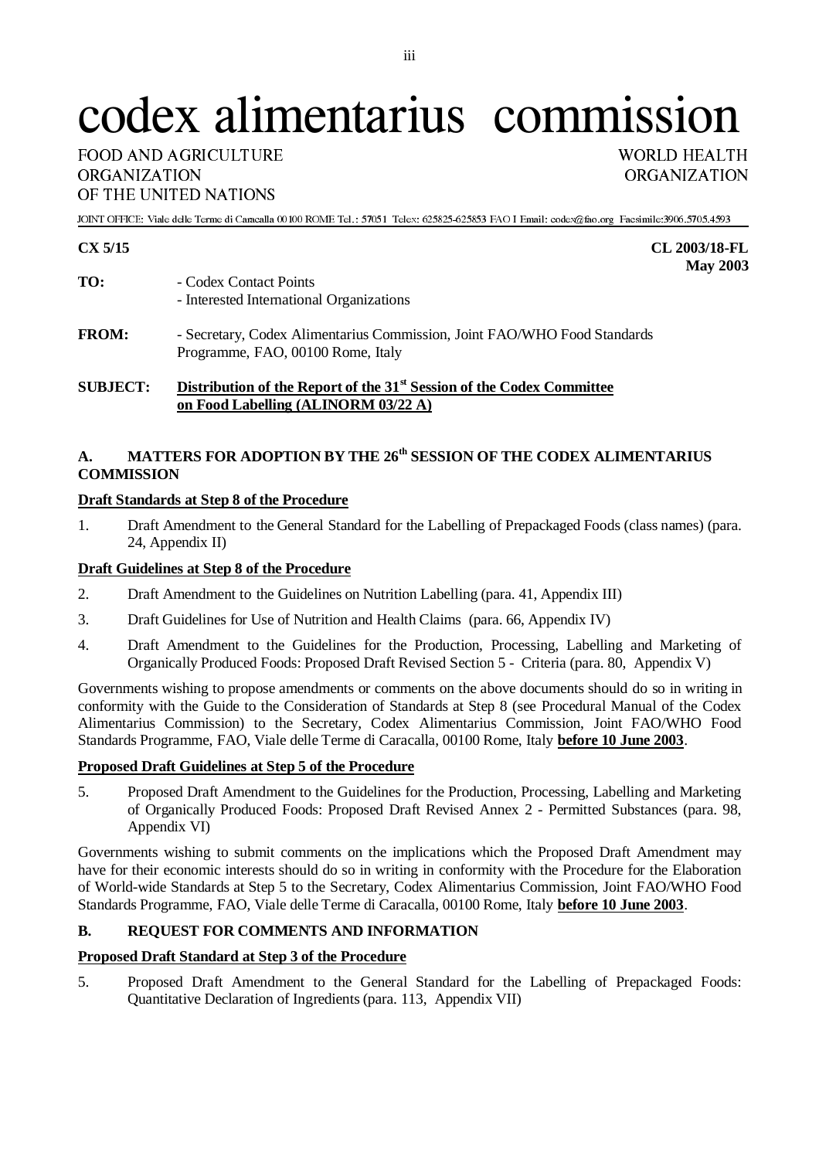# codex alimentarius commission

### - - - - - - - - - - - - - - -<br>ORGANIZATION example the contract of the contract of the contract of the contract of the contract of the contract of the contract of the contract of the contract of the contract of the contract of the contract of the contract of the co OF THE LINITED NATIONS

- 

 -  $\sigma$  of the wave forms of Calacana 00100 KONE Tel. 57051 Telex. 025625-025655 PAO I Email. conex@n0.01g Tacsmine.5500.5705.4555

## TO:  $-$  Codex Contact Points - Interested International Organizations

**FROM:** - Secretary, Codex Alimentarius Commission, Joint FAO/WHO Food Standards Programme, FAO, 00100 Rome, Italy

## **SUBJECT: Distribution of the Report of the 31st Session of the Codex Committee on Food Labelling (ALINORM 03/22 A)**

## **A. MATTERS FOR ADOPTION BY THE 26th SESSION OF THE CODEX ALIMENTARIUS COMMISSION**

## **Draft Standards at Step 8 of the Procedure**

1. Draft Amendment to the General Standard for the Labelling of Prepackaged Foods (class names) (para. 24, Appendix II)

## **Draft Guidelines at Step 8 of the Procedure**

- 2. Draft Amendment to the Guidelines on Nutrition Labelling (para. 41, Appendix III)
- 3. Draft Guidelines for Use of Nutrition and Health Claims (para. 66, Appendix IV)
- 4. Draft Amendment to the Guidelines for the Production, Processing, Labelling and Marketing of Organically Produced Foods: Proposed Draft Revised Section 5 - Criteria (para. 80, Appendix V)

Governments wishing to propose amendments or comments on the above documents should do so in writing in conformity with the Guide to the Consideration of Standards at Step 8 (see Procedural Manual of the Codex Alimentarius Commission) to the Secretary, Codex Alimentarius Commission, Joint FAO/WHO Food Standards Programme, FAO, Viale delle Terme di Caracalla, 00100 Rome, Italy **before 10 June 2003**.

## **Proposed Draft Guidelines at Step 5 of the Procedure**

5. Proposed Draft Amendment to the Guidelines for the Production, Processing, Labelling and Marketing of Organically Produced Foods: Proposed Draft Revised Annex 2 - Permitted Substances (para. 98, Appendix VI)

Governments wishing to submit comments on the implications which the Proposed Draft Amendment may have for their economic interests should do so in writing in conformity with the Procedure for the Elaboration of World-wide Standards at Step 5 to the Secretary, Codex Alimentarius Commission, Joint FAO/WHO Food Standards Programme, FAO, Viale delle Terme di Caracalla, 00100 Rome, Italy **before 10 June 2003**.

## **B. REQUEST FOR COMMENTS AND INFORMATION**

## **Proposed Draft Standard at Step 3 of the Procedure**

5. Proposed Draft Amendment to the General Standard for the Labelling of Prepackaged Foods: Quantitative Declaration of Ingredients (para. 113, Appendix VII)

**CX 5/15 CL 2003/18-FL May 2003**

WORLD HEALTH<br>ORGANIZATION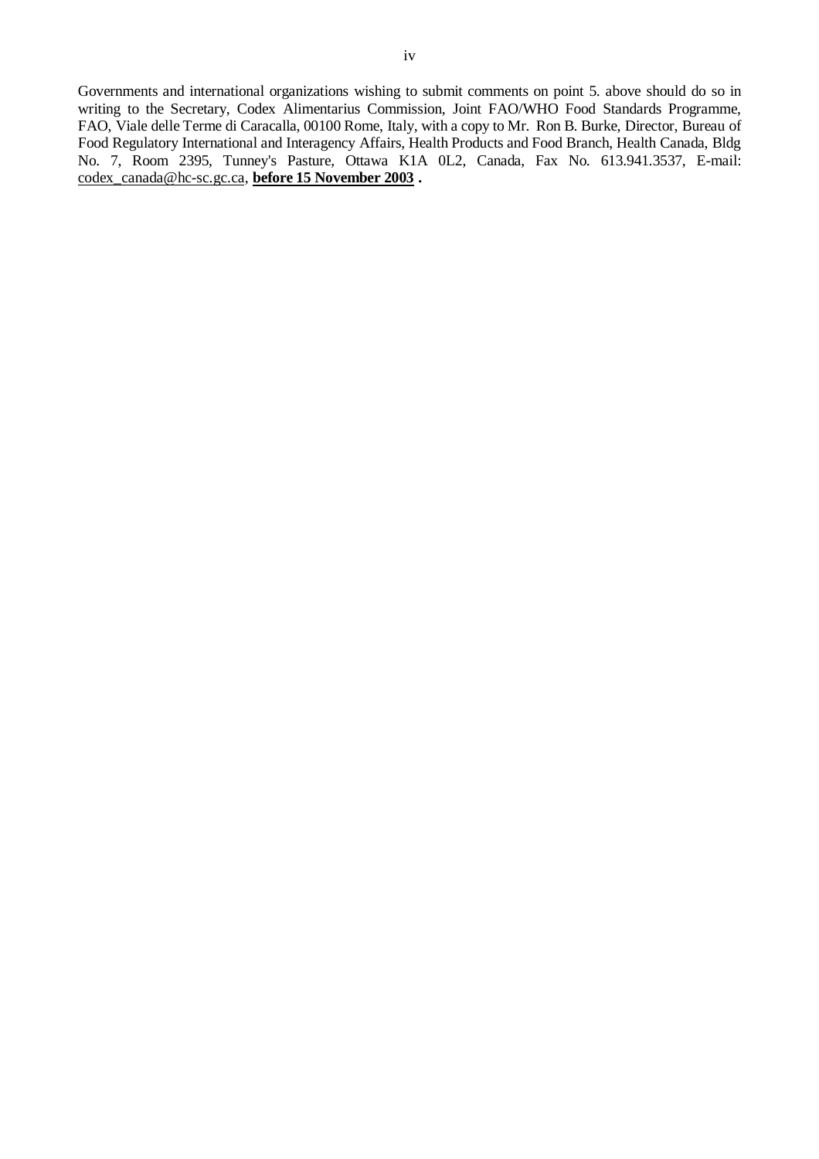Governments and international organizations wishing to submit comments on point 5. above should do so in writing to the Secretary, Codex Alimentarius Commission, Joint FAO/WHO Food Standards Programme, FAO, Viale delle Terme di Caracalla, 00100 Rome, Italy, with a copy to Mr. Ron B. Burke, Director, Bureau of Food Regulatory International and Interagency Affairs, Health Products and Food Branch, Health Canada, Bldg No. 7, Room 2395, Tunney's Pasture, Ottawa K1A 0L2, Canada, Fax No. 613.941.3537, E-mail: codex\_canada@hc-sc.gc.ca, **before 15 November 2003 .**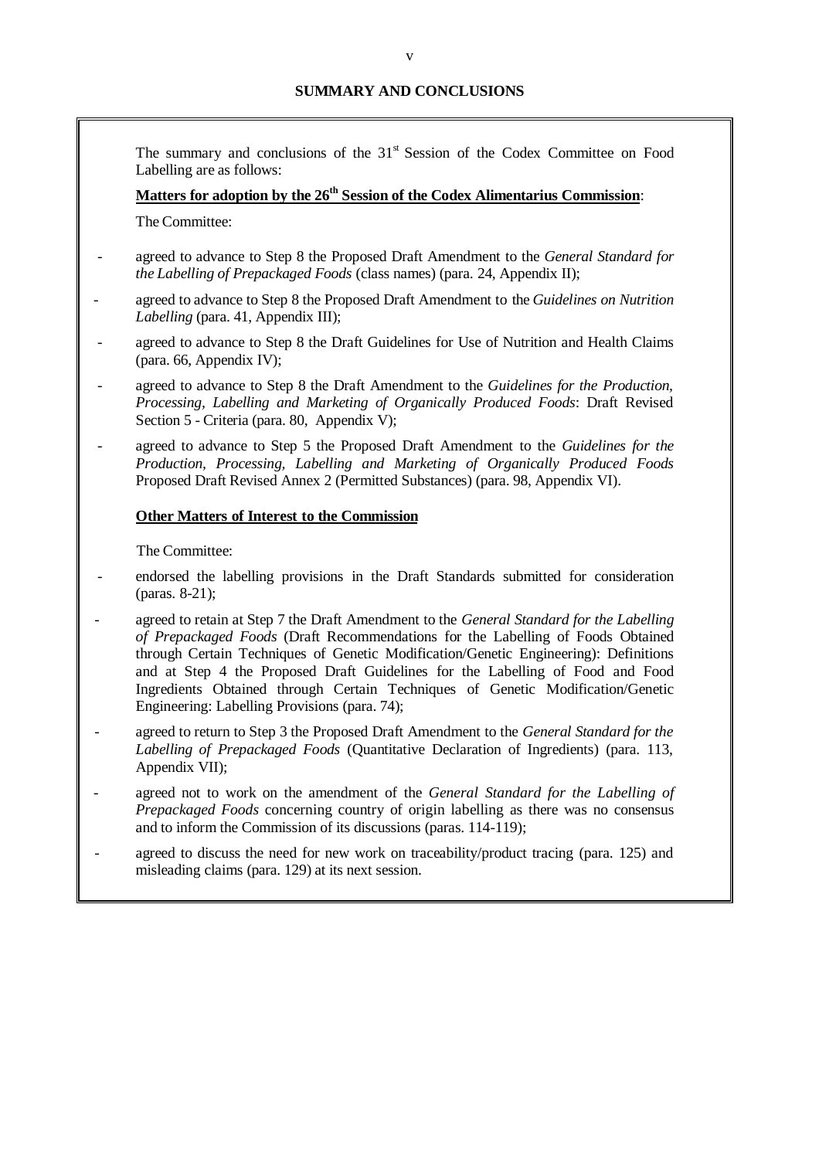The summary and conclusions of the  $31<sup>st</sup>$  Session of the Codex Committee on Food Labelling are as follows:

## Matters for adoption by the 26<sup>th</sup> Session of the Codex Alimentarius Commission:

The Committee:

- agreed to advance to Step 8 the Proposed Draft Amendment to the *General Standard for the Labelling of Prepackaged Foods* (class names) (para. 24, Appendix II);
- agreed to advance to Step 8 the Proposed Draft Amendment to the *Guidelines on Nutrition Labelling* (para. 41, Appendix III);
- agreed to advance to Step 8 the Draft Guidelines for Use of Nutrition and Health Claims (para. 66, Appendix IV);
- agreed to advance to Step 8 the Draft Amendment to the *Guidelines for the Production, Processing, Labelling and Marketing of Organically Produced Foods*: Draft Revised Section 5 - Criteria (para. 80, Appendix V);
- agreed to advance to Step 5 the Proposed Draft Amendment to the *Guidelines for the Production, Processing, Labelling and Marketing of Organically Produced Foods* Proposed Draft Revised Annex 2 (Permitted Substances) (para. 98, Appendix VI).

#### **Other Matters of Interest to the Commission**

The Committee:

- endorsed the labelling provisions in the Draft Standards submitted for consideration (paras. 8-21);
- agreed to retain at Step 7 the Draft Amendment to the *General Standard for the Labelling of Prepackaged Foods* (Draft Recommendations for the Labelling of Foods Obtained through Certain Techniques of Genetic Modification/Genetic Engineering): Definitions and at Step 4 the Proposed Draft Guidelines for the Labelling of Food and Food Ingredients Obtained through Certain Techniques of Genetic Modification/Genetic Engineering: Labelling Provisions (para. 74);
- agreed to return to Step 3 the Proposed Draft Amendment to the *General Standard for the Labelling of Prepackaged Foods* (Quantitative Declaration of Ingredients) (para. 113, Appendix VII);
- agreed not to work on the amendment of the *General Standard for the Labelling of Prepackaged Foods* concerning country of origin labelling as there was no consensus and to inform the Commission of its discussions (paras. 114-119);
- agreed to discuss the need for new work on traceability/product tracing (para. 125) and misleading claims (para. 129) at its next session.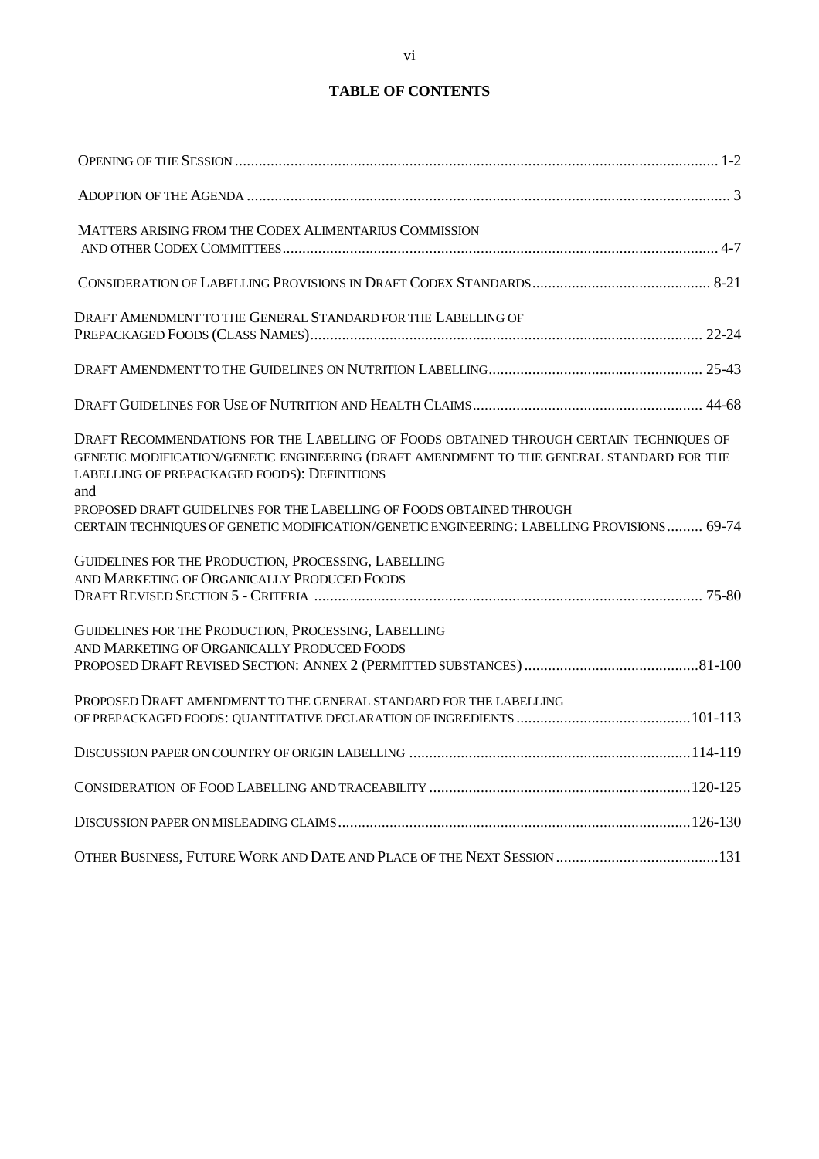## **TABLE OF CONTENTS**

| MATTERS ARISING FROM THE CODEX ALIMENTARIUS COMMISSION                                                                                                                                                                                      |
|---------------------------------------------------------------------------------------------------------------------------------------------------------------------------------------------------------------------------------------------|
|                                                                                                                                                                                                                                             |
| DRAFT AMENDMENT TO THE GENERAL STANDARD FOR THE LABELLING OF                                                                                                                                                                                |
|                                                                                                                                                                                                                                             |
|                                                                                                                                                                                                                                             |
| DRAFT RECOMMENDATIONS FOR THE LABELLING OF FOODS OBTAINED THROUGH CERTAIN TECHNIQUES OF<br>GENETIC MODIFICATION/GENETIC ENGINEERING (DRAFT AMENDMENT TO THE GENERAL STANDARD FOR THE<br>LABELLING OF PREPACKAGED FOODS): DEFINITIONS<br>and |
| PROPOSED DRAFT GUIDELINES FOR THE LABELLING OF FOODS OBTAINED THROUGH<br>CERTAIN TECHNIQUES OF GENETIC MODIFICATION/GENETIC ENGINEERING: LABELLING PROVISIONS 69-74                                                                         |
| GUIDELINES FOR THE PRODUCTION, PROCESSING, LABELLING<br>AND MARKETING OF ORGANICALLY PRODUCED FOODS                                                                                                                                         |
| GUIDELINES FOR THE PRODUCTION, PROCESSING, LABELLING<br>AND MARKETING OF ORGANICALLY PRODUCED FOODS                                                                                                                                         |
| PROPOSED DRAFT AMENDMENT TO THE GENERAL STANDARD FOR THE LABELLING                                                                                                                                                                          |
|                                                                                                                                                                                                                                             |
|                                                                                                                                                                                                                                             |
|                                                                                                                                                                                                                                             |
|                                                                                                                                                                                                                                             |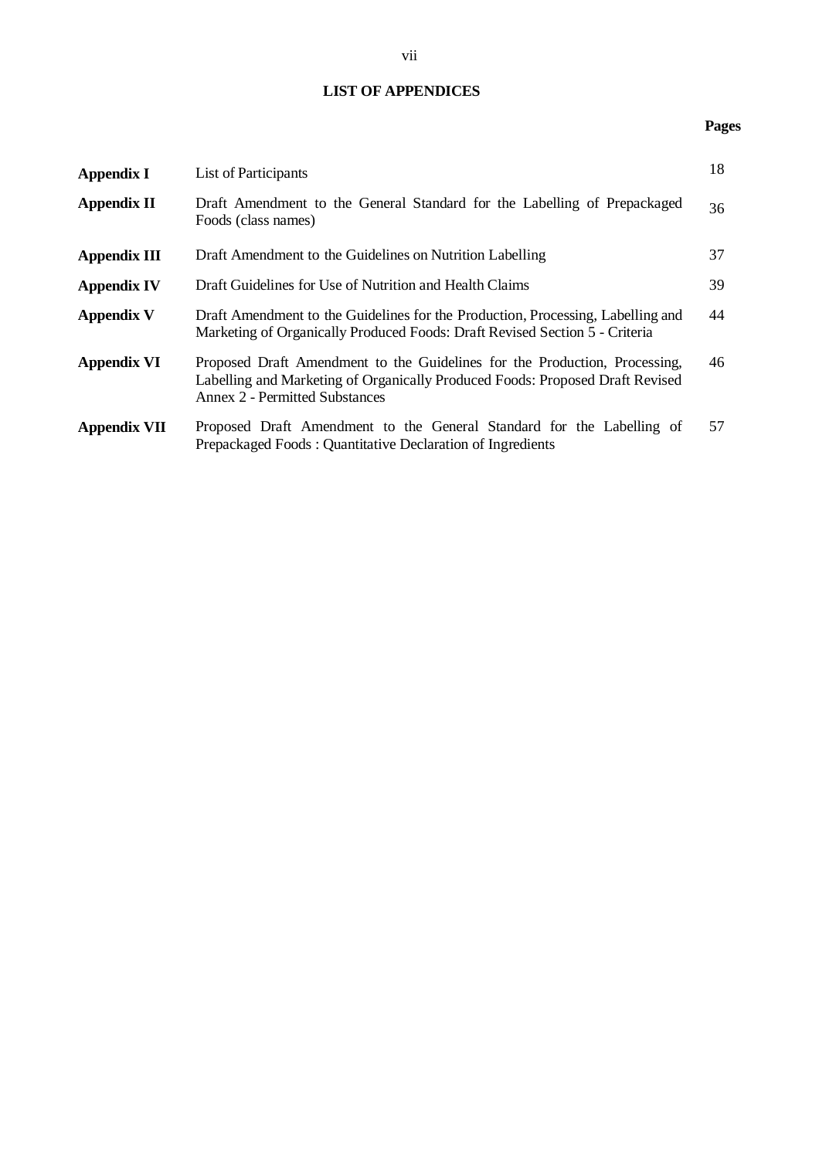## **LIST OF APPENDICES**

## **Pages**

| <b>Appendix I</b>   | List of Participants                                                                                                                                                                                 | 18 |
|---------------------|------------------------------------------------------------------------------------------------------------------------------------------------------------------------------------------------------|----|
| <b>Appendix II</b>  | Draft Amendment to the General Standard for the Labelling of Prepackaged<br>Foods (class names)                                                                                                      | 36 |
| <b>Appendix III</b> | Draft Amendment to the Guidelines on Nutrition Labelling                                                                                                                                             | 37 |
| <b>Appendix IV</b>  | Draft Guidelines for Use of Nutrition and Health Claims                                                                                                                                              | 39 |
| <b>Appendix V</b>   | Draft Amendment to the Guidelines for the Production, Processing, Labelling and<br>Marketing of Organically Produced Foods: Draft Revised Section 5 - Criteria                                       | 44 |
| <b>Appendix VI</b>  | Proposed Draft Amendment to the Guidelines for the Production, Processing,<br>Labelling and Marketing of Organically Produced Foods: Proposed Draft Revised<br><b>Annex 2 - Permitted Substances</b> | 46 |
| <b>Appendix VII</b> | Proposed Draft Amendment to the General Standard for the Labelling of<br>Prepackaged Foods: Quantitative Declaration of Ingredients                                                                  | 57 |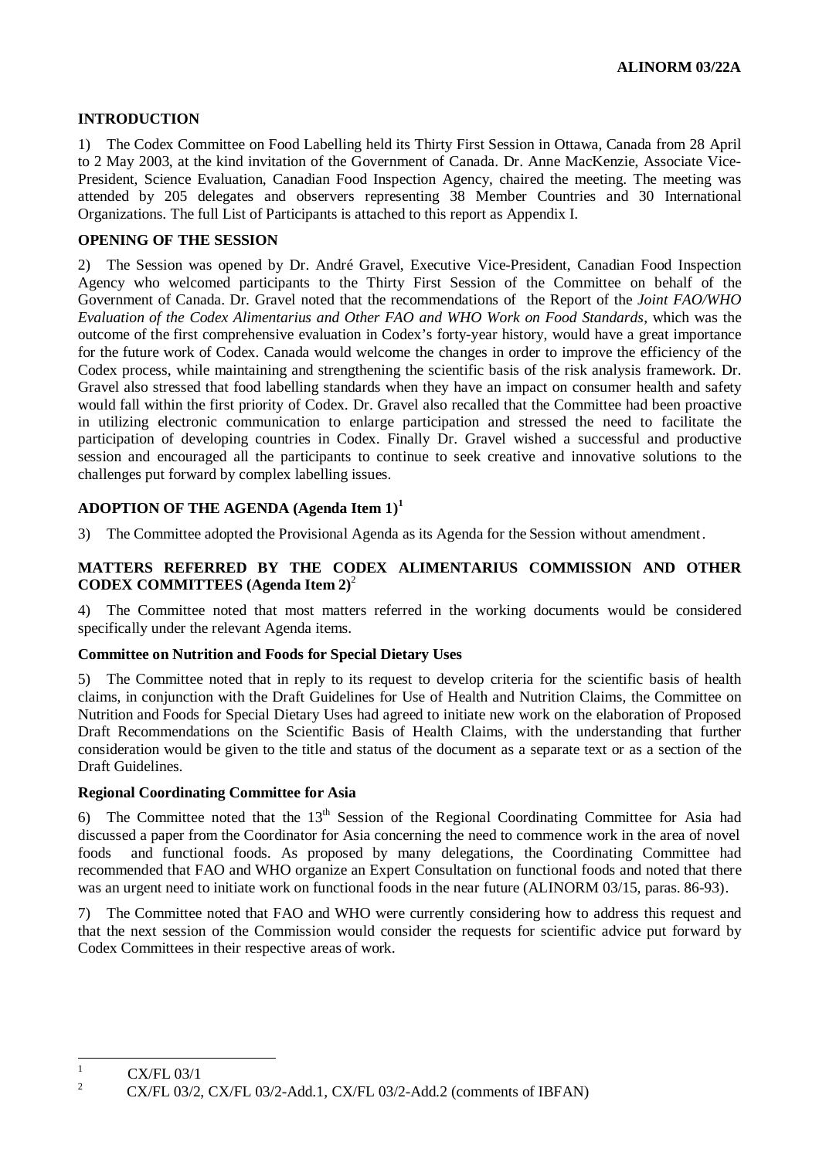## **INTRODUCTION**

1) The Codex Committee on Food Labelling held its Thirty First Session in Ottawa, Canada from 28 April to 2 May 2003, at the kind invitation of the Government of Canada. Dr. Anne MacKenzie, Associate Vice-President, Science Evaluation, Canadian Food Inspection Agency, chaired the meeting. The meeting was attended by 205 delegates and observers representing 38 Member Countries and 30 International Organizations. The full List of Participants is attached to this report as Appendix I.

## **OPENING OF THE SESSION**

2) The Session was opened by Dr. André Gravel, Executive Vice-President, Canadian Food Inspection Agency who welcomed participants to the Thirty First Session of the Committee on behalf of the Government of Canada. Dr. Gravel noted that the recommendations of the Report of the *Joint FAO/WHO Evaluation of the Codex Alimentarius and Other FAO and WHO Work on Food Standards*, which was the outcome of the first comprehensive evaluation in Codex's forty-year history, would have a great importance for the future work of Codex. Canada would welcome the changes in order to improve the efficiency of the Codex process, while maintaining and strengthening the scientific basis of the risk analysis framework. Dr. Gravel also stressed that food labelling standards when they have an impact on consumer health and safety would fall within the first priority of Codex. Dr. Gravel also recalled that the Committee had been proactive in utilizing electronic communication to enlarge participation and stressed the need to facilitate the participation of developing countries in Codex. Finally Dr. Gravel wished a successful and productive session and encouraged all the participants to continue to seek creative and innovative solutions to the challenges put forward by complex labelling issues.

## **ADOPTION OF THE AGENDA (Agenda Item 1)<sup>1</sup>**

3) The Committee adopted the Provisional Agenda as its Agenda for the Session without amendment.

## **MATTERS REFERRED BY THE CODEX ALIMENTARIUS COMMISSION AND OTHER CODEX COMMITTEES (Agenda Item 2)**<sup>2</sup>

4) The Committee noted that most matters referred in the working documents would be considered specifically under the relevant Agenda items.

## **Committee on Nutrition and Foods for Special Dietary Uses**

5) The Committee noted that in reply to its request to develop criteria for the scientific basis of health claims, in conjunction with the Draft Guidelines for Use of Health and Nutrition Claims, the Committee on Nutrition and Foods for Special Dietary Uses had agreed to initiate new work on the elaboration of Proposed Draft Recommendations on the Scientific Basis of Health Claims, with the understanding that further consideration would be given to the title and status of the document as a separate text or as a section of the Draft Guidelines.

## **Regional Coordinating Committee for Asia**

6) The Committee noted that the  $13<sup>th</sup>$  Session of the Regional Coordinating Committee for Asia had discussed a paper from the Coordinator for Asia concerning the need to commence work in the area of novel foods and functional foods. As proposed by many delegations, the Coordinating Committee had recommended that FAO and WHO organize an Expert Consultation on functional foods and noted that there was an urgent need to initiate work on functional foods in the near future (ALINORM 03/15, paras. 86-93).

7) The Committee noted that FAO and WHO were currently considering how to address this request and that the next session of the Commission would consider the requests for scientific advice put forward by Codex Committees in their respective areas of work.

 $\frac{1}{1}$ CX/FL 03/1

 $\overline{2}$ CX/FL 03/2, CX/FL 03/2-Add.1, CX/FL 03/2-Add.2 (comments of IBFAN)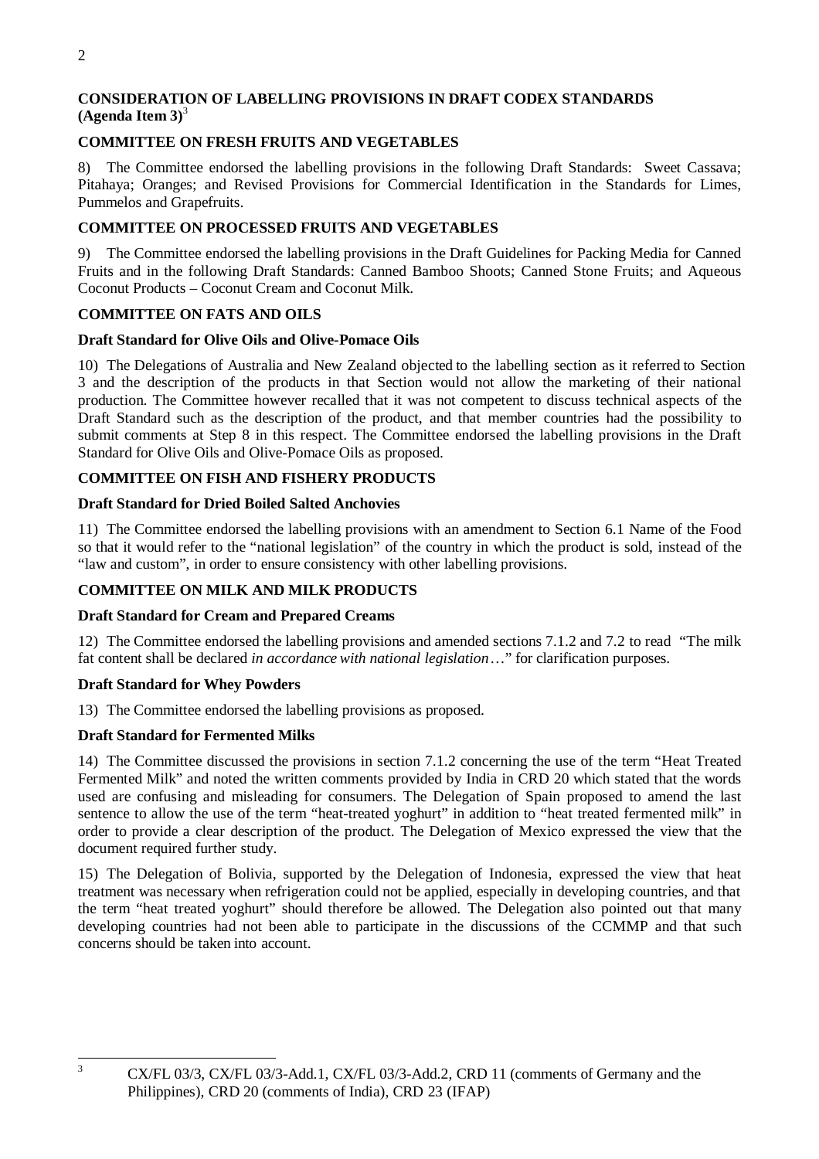## **CONSIDERATION OF LABELLING PROVISIONS IN DRAFT CODEX STANDARDS (Agenda Item 3)**<sup>3</sup>

## **COMMITTEE ON FRESH FRUITS AND VEGETABLES**

8) The Committee endorsed the labelling provisions in the following Draft Standards: Sweet Cassava; Pitahaya; Oranges; and Revised Provisions for Commercial Identification in the Standards for Limes, Pummelos and Grapefruits.

## **COMMITTEE ON PROCESSED FRUITS AND VEGETABLES**

9) The Committee endorsed the labelling provisions in the Draft Guidelines for Packing Media for Canned Fruits and in the following Draft Standards: Canned Bamboo Shoots; Canned Stone Fruits; and Aqueous Coconut Products – Coconut Cream and Coconut Milk.

## **COMMITTEE ON FATS AND OILS**

## **Draft Standard for Olive Oils and Olive-Pomace Oils**

10) The Delegations of Australia and New Zealand objected to the labelling section as it referred to Section 3 and the description of the products in that Section would not allow the marketing of their national production. The Committee however recalled that it was not competent to discuss technical aspects of the Draft Standard such as the description of the product, and that member countries had the possibility to submit comments at Step 8 in this respect. The Committee endorsed the labelling provisions in the Draft Standard for Olive Oils and Olive-Pomace Oils as proposed.

## **COMMITTEE ON FISH AND FISHERY PRODUCTS**

## **Draft Standard for Dried Boiled Salted Anchovies**

11) The Committee endorsed the labelling provisions with an amendment to Section 6.1 Name of the Food so that it would refer to the "national legislation" of the country in which the product is sold, instead of the "law and custom", in order to ensure consistency with other labelling provisions.

## **COMMITTEE ON MILK AND MILK PRODUCTS**

## **Draft Standard for Cream and Prepared Creams**

12) The Committee endorsed the labelling provisions and amended sections 7.1.2 and 7.2 to read "The milk fat content shall be declared *in accordance with national legislation*…" for clarification purposes.

## **Draft Standard for Whey Powders**

13) The Committee endorsed the labelling provisions as proposed.

## **Draft Standard for Fermented Milks**

14) The Committee discussed the provisions in section 7.1.2 concerning the use of the term "Heat Treated Fermented Milk" and noted the written comments provided by India in CRD 20 which stated that the words used are confusing and misleading for consumers. The Delegation of Spain proposed to amend the last sentence to allow the use of the term "heat-treated yoghurt" in addition to "heat treated fermented milk" in order to provide a clear description of the product. The Delegation of Mexico expressed the view that the document required further study.

15) The Delegation of Bolivia, supported by the Delegation of Indonesia, expressed the view that heat treatment was necessary when refrigeration could not be applied, especially in developing countries, and that the term "heat treated yoghurt" should therefore be allowed. The Delegation also pointed out that many developing countries had not been able to participate in the discussions of the CCMMP and that such concerns should be taken into account.

<sup>2</sup><br>3

CX/FL 03/3, CX/FL 03/3-Add.1, CX/FL 03/3-Add.2, CRD 11 (comments of Germany and the Philippines), CRD 20 (comments of India), CRD 23 (IFAP)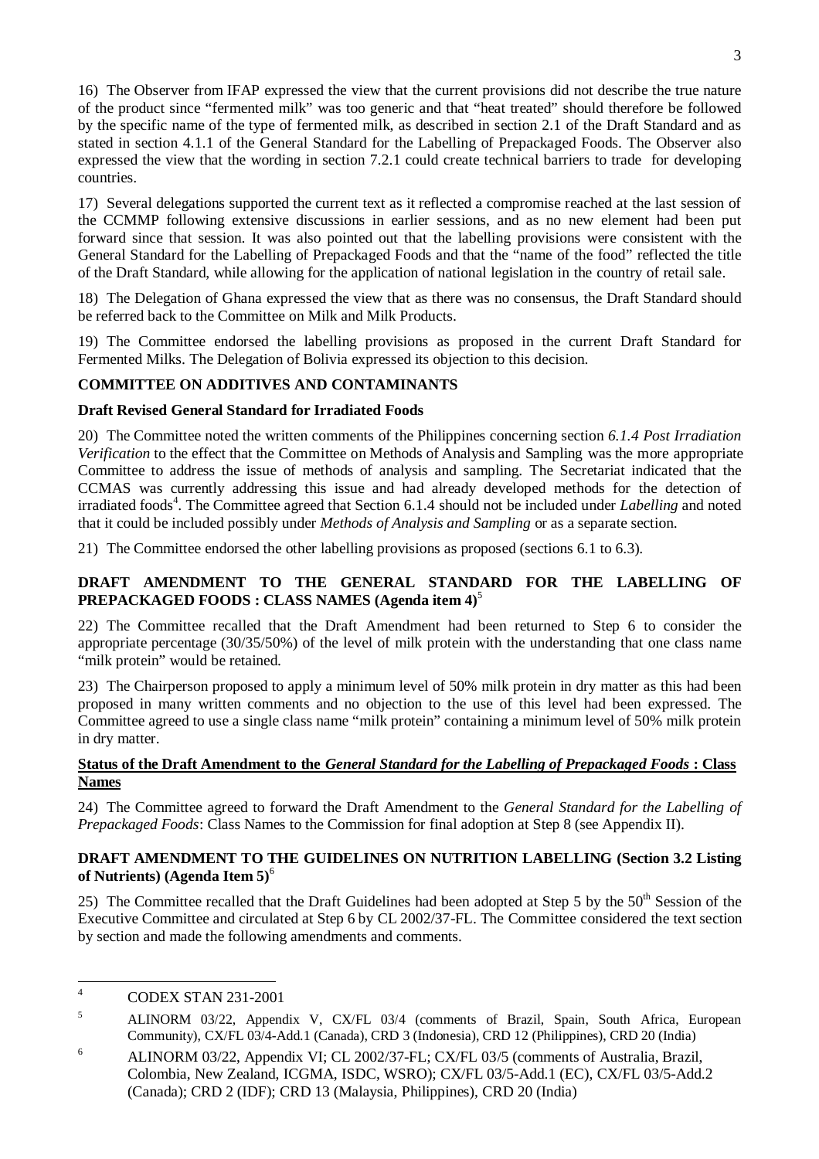16) The Observer from IFAP expressed the view that the current provisions did not describe the true nature of the product since "fermented milk" was too generic and that "heat treated" should therefore be followed by the specific name of the type of fermented milk, as described in section 2.1 of the Draft Standard and as stated in section 4.1.1 of the General Standard for the Labelling of Prepackaged Foods. The Observer also expressed the view that the wording in section 7.2.1 could create technical barriers to trade for developing countries.

17) Several delegations supported the current text as it reflected a compromise reached at the last session of the CCMMP following extensive discussions in earlier sessions, and as no new element had been put forward since that session. It was also pointed out that the labelling provisions were consistent with the General Standard for the Labelling of Prepackaged Foods and that the "name of the food" reflected the title of the Draft Standard, while allowing for the application of national legislation in the country of retail sale.

18) The Delegation of Ghana expressed the view that as there was no consensus, the Draft Standard should be referred back to the Committee on Milk and Milk Products.

19) The Committee endorsed the labelling provisions as proposed in the current Draft Standard for Fermented Milks. The Delegation of Bolivia expressed its objection to this decision.

## **COMMITTEE ON ADDITIVES AND CONTAMINANTS**

## **Draft Revised General Standard for Irradiated Foods**

20) The Committee noted the written comments of the Philippines concerning section *6.1.4 Post Irradiation Verification* to the effect that the Committee on Methods of Analysis and Sampling was the more appropriate Committee to address the issue of methods of analysis and sampling. The Secretariat indicated that the CCMAS was currently addressing this issue and had already developed methods for the detection of irradiated foods<sup>4</sup>. The Committee agreed that Section 6.1.4 should not be included under *Labelling* and noted that it could be included possibly under *Methods of Analysis and Sampling* or as a separate section.

21) The Committee endorsed the other labelling provisions as proposed (sections 6.1 to 6.3).

## **DRAFT AMENDMENT TO THE GENERAL STANDARD FOR THE LABELLING OF PREPACKAGED FOODS : CLASS NAMES (Agenda item 4)**<sup>5</sup>

22) The Committee recalled that the Draft Amendment had been returned to Step 6 to consider the appropriate percentage (30/35/50%) of the level of milk protein with the understanding that one class name "milk protein" would be retained.

23) The Chairperson proposed to apply a minimum level of 50% milk protein in dry matter as this had been proposed in many written comments and no objection to the use of this level had been expressed. The Committee agreed to use a single class name "milk protein" containing a minimum level of 50% milk protein in dry matter.

## **Status of the Draft Amendment to the** *General Standard for the Labelling of Prepackaged Foods* **: Class Names**

24) The Committee agreed to forward the Draft Amendment to the *General Standard for the Labelling of Prepackaged Foods*: Class Names to the Commission for final adoption at Step 8 (see Appendix II).

## **DRAFT AMENDMENT TO THE GUIDELINES ON NUTRITION LABELLING (Section 3.2 Listing of Nutrients) (Agenda Item 5)**<sup>6</sup>

25) The Committee recalled that the Draft Guidelines had been adopted at Step 5 by the 50<sup>th</sup> Session of the Executive Committee and circulated at Step 6 by CL 2002/37-FL. The Committee considered the text section by section and made the following amendments and comments.

 $\frac{1}{4}$ CODEX STAN 231-2001

<sup>5</sup> ALINORM 03/22, Appendix V, CX/FL 03/4 (comments of Brazil, Spain, South Africa, European Community), CX/FL 03/4-Add.1 (Canada), CRD 3 (Indonesia), CRD 12 (Philippines), CRD 20 (India)

<sup>6</sup> ALINORM 03/22, Appendix VI; CL 2002/37-FL; CX/FL 03/5 (comments of Australia, Brazil, Colombia, New Zealand, ICGMA, ISDC, WSRO); CX/FL 03/5-Add.1 (EC), CX/FL 03/5-Add.2 (Canada); CRD 2 (IDF); CRD 13 (Malaysia, Philippines), CRD 20 (India)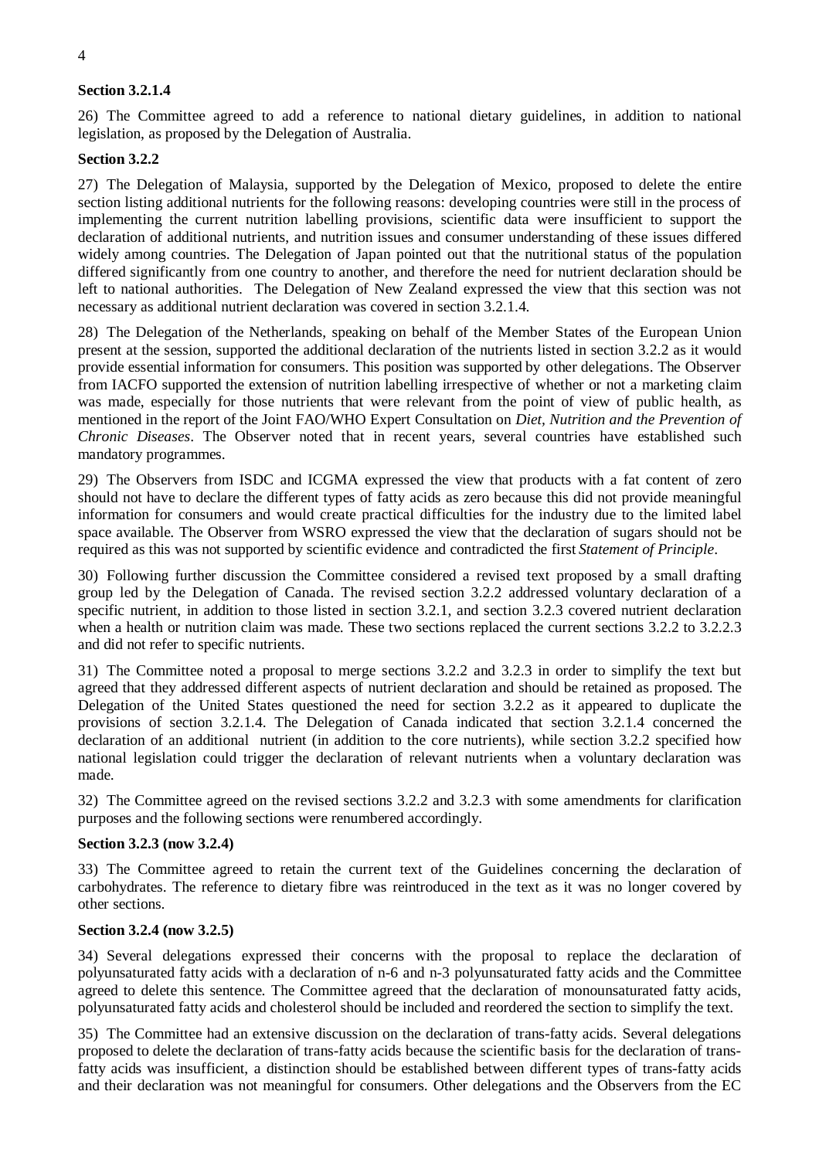## **Section 3.2.1.4**

26) The Committee agreed to add a reference to national dietary guidelines, in addition to national legislation, as proposed by the Delegation of Australia.

## **Section 3.2.2**

27) The Delegation of Malaysia, supported by the Delegation of Mexico, proposed to delete the entire section listing additional nutrients for the following reasons: developing countries were still in the process of implementing the current nutrition labelling provisions, scientific data were insufficient to support the declaration of additional nutrients, and nutrition issues and consumer understanding of these issues differed widely among countries. The Delegation of Japan pointed out that the nutritional status of the population differed significantly from one country to another, and therefore the need for nutrient declaration should be left to national authorities. The Delegation of New Zealand expressed the view that this section was not necessary as additional nutrient declaration was covered in section 3.2.1.4.

28) The Delegation of the Netherlands, speaking on behalf of the Member States of the European Union present at the session, supported the additional declaration of the nutrients listed in section 3.2.2 as it would provide essential information for consumers. This position was supported by other delegations. The Observer from IACFO supported the extension of nutrition labelling irrespective of whether or not a marketing claim was made, especially for those nutrients that were relevant from the point of view of public health, as mentioned in the report of the Joint FAO/WHO Expert Consultation on *Diet, Nutrition and the Prevention of Chronic Diseases*. The Observer noted that in recent years, several countries have established such mandatory programmes.

29) The Observers from ISDC and ICGMA expressed the view that products with a fat content of zero should not have to declare the different types of fatty acids as zero because this did not provide meaningful information for consumers and would create practical difficulties for the industry due to the limited label space available. The Observer from WSRO expressed the view that the declaration of sugars should not be required as this was not supported by scientific evidence and contradicted the first *Statement of Principle*.

30) Following further discussion the Committee considered a revised text proposed by a small drafting group led by the Delegation of Canada. The revised section 3.2.2 addressed voluntary declaration of a specific nutrient, in addition to those listed in section 3.2.1, and section 3.2.3 covered nutrient declaration when a health or nutrition claim was made. These two sections replaced the current sections 3.2.2 to 3.2.2.3 and did not refer to specific nutrients.

31) The Committee noted a proposal to merge sections 3.2.2 and 3.2.3 in order to simplify the text but agreed that they addressed different aspects of nutrient declaration and should be retained as proposed. The Delegation of the United States questioned the need for section 3.2.2 as it appeared to duplicate the provisions of section 3.2.1.4. The Delegation of Canada indicated that section 3.2.1.4 concerned the declaration of an additional nutrient (in addition to the core nutrients), while section 3.2.2 specified how national legislation could trigger the declaration of relevant nutrients when a voluntary declaration was made.

32) The Committee agreed on the revised sections 3.2.2 and 3.2.3 with some amendments for clarification purposes and the following sections were renumbered accordingly.

## **Section 3.2.3 (now 3.2.4)**

33) The Committee agreed to retain the current text of the Guidelines concerning the declaration of carbohydrates. The reference to dietary fibre was reintroduced in the text as it was no longer covered by other sections.

## **Section 3.2.4 (now 3.2.5)**

34) Several delegations expressed their concerns with the proposal to replace the declaration of polyunsaturated fatty acids with a declaration of n-6 and n-3 polyunsaturated fatty acids and the Committee agreed to delete this sentence. The Committee agreed that the declaration of monounsaturated fatty acids, polyunsaturated fatty acids and cholesterol should be included and reordered the section to simplify the text.

35) The Committee had an extensive discussion on the declaration of trans-fatty acids. Several delegations proposed to delete the declaration of trans-fatty acids because the scientific basis for the declaration of transfatty acids was insufficient, a distinction should be established between different types of trans-fatty acids and their declaration was not meaningful for consumers. Other delegations and the Observers from the EC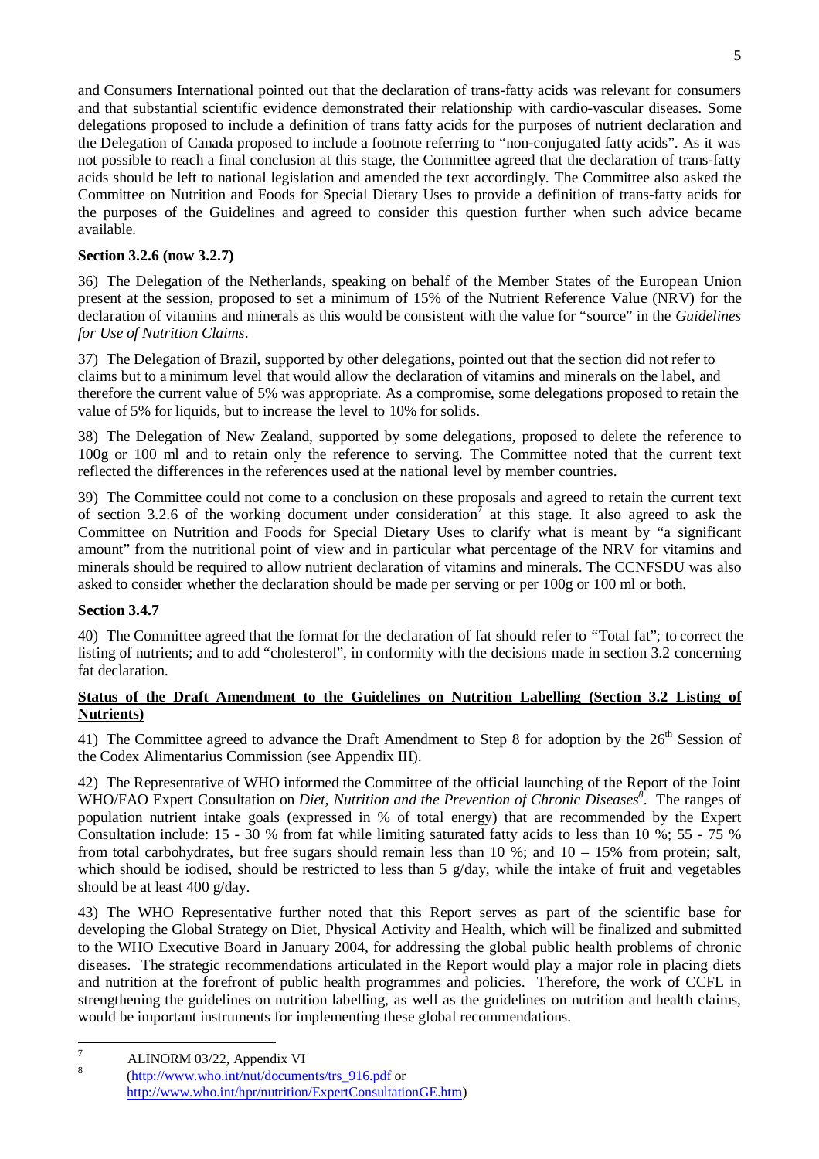and Consumers International pointed out that the declaration of trans-fatty acids was relevant for consumers and that substantial scientific evidence demonstrated their relationship with cardio-vascular diseases. Some delegations proposed to include a definition of trans fatty acids for the purposes of nutrient declaration and the Delegation of Canada proposed to include a footnote referring to "non-conjugated fatty acids". As it was not possible to reach a final conclusion at this stage, the Committee agreed that the declaration of trans-fatty acids should be left to national legislation and amended the text accordingly. The Committee also asked the Committee on Nutrition and Foods for Special Dietary Uses to provide a definition of trans-fatty acids for the purposes of the Guidelines and agreed to consider this question further when such advice became available.

## **Section 3.2.6 (now 3.2.7)**

36) The Delegation of the Netherlands, speaking on behalf of the Member States of the European Union present at the session, proposed to set a minimum of 15% of the Nutrient Reference Value (NRV) for the declaration of vitamins and minerals as this would be consistent with the value for "source" in the *Guidelines for Use of Nutrition Claims*.

37) The Delegation of Brazil, supported by other delegations, pointed out that the section did not refer to claims but to a minimum level that would allow the declaration of vitamins and minerals on the label, and therefore the current value of 5% was appropriate. As a compromise, some delegations proposed to retain the value of 5% for liquids, but to increase the level to 10% for solids.

38) The Delegation of New Zealand, supported by some delegations, proposed to delete the reference to 100g or 100 ml and to retain only the reference to serving. The Committee noted that the current text reflected the differences in the references used at the national level by member countries.

39) The Committee could not come to a conclusion on these proposals and agreed to retain the current text of section 3.2.6 of the working document under consideration<sup>7</sup> at this stage. It also agreed to ask the Committee on Nutrition and Foods for Special Dietary Uses to clarify what is meant by "a significant amount" from the nutritional point of view and in particular what percentage of the NRV for vitamins and minerals should be required to allow nutrient declaration of vitamins and minerals. The CCNFSDU was also asked to consider whether the declaration should be made per serving or per 100g or 100 ml or both.

## **Section 3.4.7**

40) The Committee agreed that the format for the declaration of fat should refer to "Total fat"; to correct the listing of nutrients; and to add "cholesterol", in conformity with the decisions made in section 3.2 concerning fat declaration.

## **Status of the Draft Amendment to the Guidelines on Nutrition Labelling (Section 3.2 Listing of Nutrients)**

41) The Committee agreed to advance the Draft Amendment to Step 8 for adoption by the 26<sup>th</sup> Session of the Codex Alimentarius Commission (see Appendix III).

42) The Representative of WHO informed the Committee of the official launching of the Report of the Joint WHO/FAO Expert Consultation on *Diet, Nutrition and the Prevention of Chronic Diseases*<sup>8</sup>. The ranges of population nutrient intake goals (expressed in % of total energy) that are recommended by the Expert Consultation include: 15 - 30 % from fat while limiting saturated fatty acids to less than 10 %; 55 - 75 % from total carbohydrates, but free sugars should remain less than  $10\%$ ; and  $10 - 15\%$  from protein; salt, which should be iodised, should be restricted to less than 5  $g$ /day, while the intake of fruit and vegetables should be at least 400 g/day.

43) The WHO Representative further noted that this Report serves as part of the scientific base for developing the Global Strategy on Diet, Physical Activity and Health, which will be finalized and submitted to the WHO Executive Board in January 2004, for addressing the global public health problems of chronic diseases. The strategic recommendations articulated in the Report would play a major role in placing diets and nutrition at the forefront of public health programmes and policies. Therefore, the work of CCFL in strengthening the guidelines on nutrition labelling, as well as the guidelines on nutrition and health claims, would be important instruments for implementing these global recommendations.

 $\overline{7}$  $\frac{7}{8}$  ALINORM 03/22, Appendix VI

<sup>8</sup> (http://www.who.int/nut/documents/trs\_916.pdf or http://www.who.int/hpr/nutrition/ExpertConsultationGE.htm)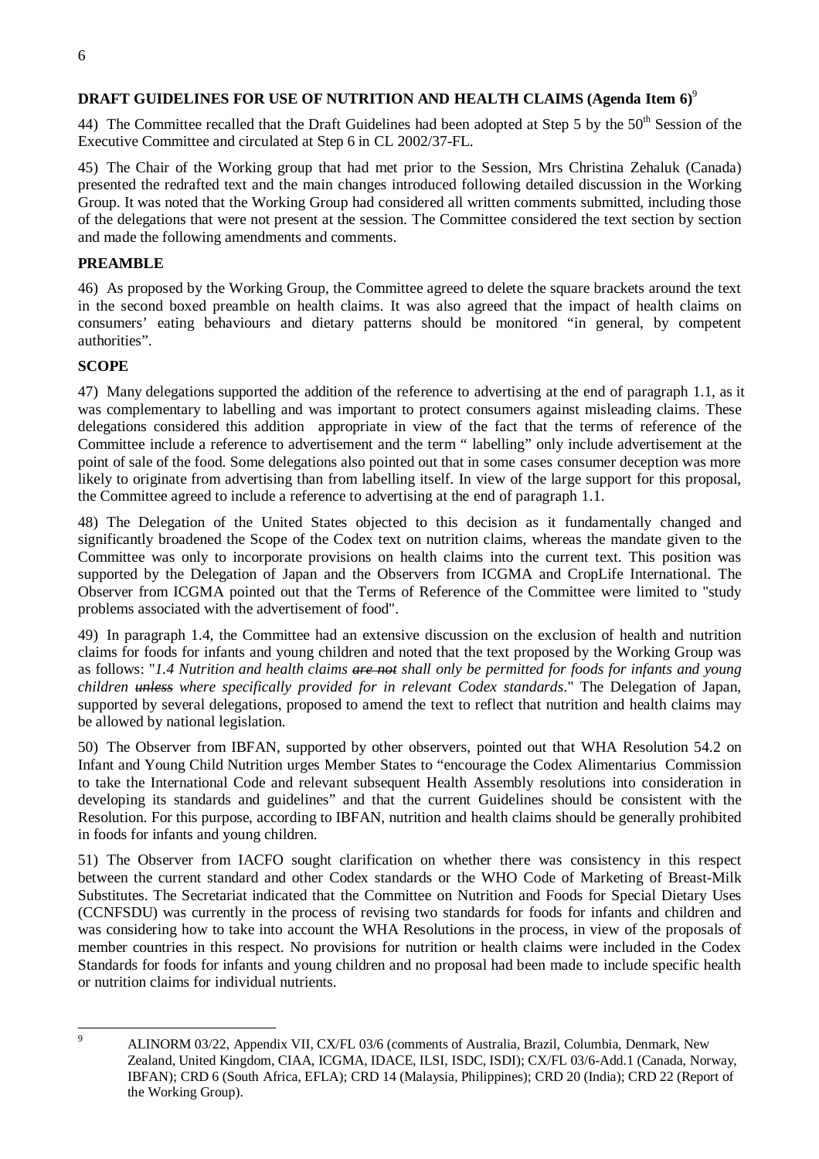### 6

## **DRAFT GUIDELINES FOR USE OF NUTRITION AND HEALTH CLAIMS (Agenda Item 6)<sup>9</sup>**

44) The Committee recalled that the Draft Guidelines had been adopted at Step 5 by the 50<sup>th</sup> Session of the Executive Committee and circulated at Step 6 in CL 2002/37-FL.

45) The Chair of the Working group that had met prior to the Session, Mrs Christina Zehaluk (Canada) presented the redrafted text and the main changes introduced following detailed discussion in the Working Group. It was noted that the Working Group had considered all written comments submitted, including those of the delegations that were not present at the session. The Committee considered the text section by section and made the following amendments and comments.

## **PREAMBLE**

46) As proposed by the Working Group, the Committee agreed to delete the square brackets around the text in the second boxed preamble on health claims. It was also agreed that the impact of health claims on consumers' eating behaviours and dietary patterns should be monitored "in general, by competent authorities".

## **SCOPE**

47) Many delegations supported the addition of the reference to advertising at the end of paragraph 1.1, as it was complementary to labelling and was important to protect consumers against misleading claims. These delegations considered this addition appropriate in view of the fact that the terms of reference of the Committee include a reference to advertisement and the term " labelling" only include advertisement at the point of sale of the food. Some delegations also pointed out that in some cases consumer deception was more likely to originate from advertising than from labelling itself. In view of the large support for this proposal, the Committee agreed to include a reference to advertising at the end of paragraph 1.1.

48) The Delegation of the United States objected to this decision as it fundamentally changed and significantly broadened the Scope of the Codex text on nutrition claims, whereas the mandate given to the Committee was only to incorporate provisions on health claims into the current text. This position was supported by the Delegation of Japan and the Observers from ICGMA and CropLife International. The Observer from ICGMA pointed out that the Terms of Reference of the Committee were limited to "study problems associated with the advertisement of food".

49) In paragraph 1.4, the Committee had an extensive discussion on the exclusion of health and nutrition claims for foods for infants and young children and noted that the text proposed by the Working Group was as follows: "*1.4 Nutrition and health claims are not shall only be permitted for foods for infants and young children unless where specifically provided for in relevant Codex standards*." The Delegation of Japan, supported by several delegations, proposed to amend the text to reflect that nutrition and health claims may be allowed by national legislation.

50) The Observer from IBFAN, supported by other observers, pointed out that WHA Resolution 54.2 on Infant and Young Child Nutrition urges Member States to "encourage the Codex Alimentarius Commission to take the International Code and relevant subsequent Health Assembly resolutions into consideration in developing its standards and guidelines" and that the current Guidelines should be consistent with the Resolution. For this purpose, according to IBFAN, nutrition and health claims should be generally prohibited in foods for infants and young children.

51) The Observer from IACFO sought clarification on whether there was consistency in this respect between the current standard and other Codex standards or the WHO Code of Marketing of Breast-Milk Substitutes. The Secretariat indicated that the Committee on Nutrition and Foods for Special Dietary Uses (CCNFSDU) was currently in the process of revising two standards for foods for infants and children and was considering how to take into account the WHA Resolutions in the process, in view of the proposals of member countries in this respect. No provisions for nutrition or health claims were included in the Codex Standards for foods for infants and young children and no proposal had been made to include specific health or nutrition claims for individual nutrients.

 $\overline{9}$ 

<sup>9</sup> ALINORM 03/22, Appendix VII, CX/FL 03/6 (comments of Australia, Brazil, Columbia, Denmark, New Zealand, United Kingdom, CIAA, ICGMA, IDACE, ILSI, ISDC, ISDI); CX/FL 03/6-Add.1 (Canada, Norway, IBFAN); CRD 6 (South Africa, EFLA); CRD 14 (Malaysia, Philippines); CRD 20 (India); CRD 22 (Report of the Working Group).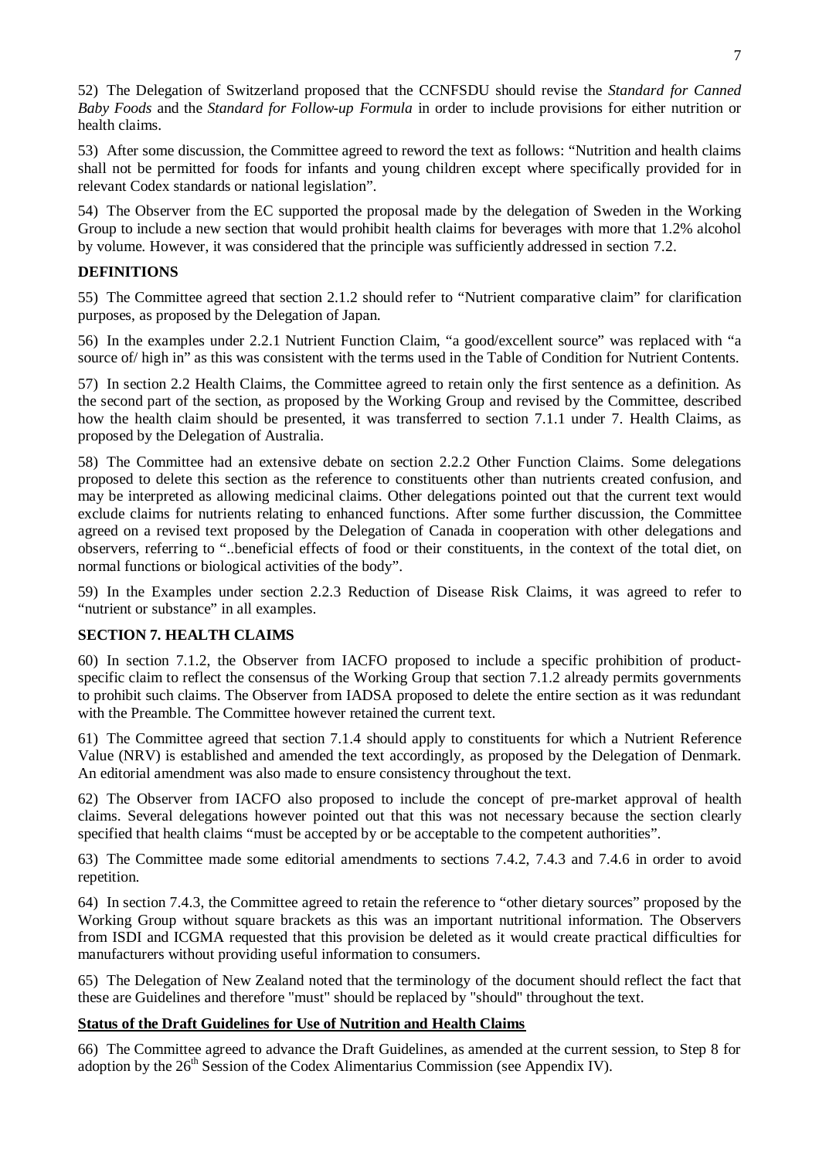52) The Delegation of Switzerland proposed that the CCNFSDU should revise the *Standard for Canned Baby Foods* and the *Standard for Follow-up Formula* in order to include provisions for either nutrition or health claims.

53) After some discussion, the Committee agreed to reword the text as follows: "Nutrition and health claims shall not be permitted for foods for infants and young children except where specifically provided for in relevant Codex standards or national legislation".

54) The Observer from the EC supported the proposal made by the delegation of Sweden in the Working Group to include a new section that would prohibit health claims for beverages with more that 1.2% alcohol by volume. However, it was considered that the principle was sufficiently addressed in section 7.2.

## **DEFINITIONS**

55) The Committee agreed that section 2.1.2 should refer to "Nutrient comparative claim" for clarification purposes, as proposed by the Delegation of Japan.

56) In the examples under 2.2.1 Nutrient Function Claim, "a good/excellent source" was replaced with "a source of/ high in" as this was consistent with the terms used in the Table of Condition for Nutrient Contents.

57) In section 2.2 Health Claims, the Committee agreed to retain only the first sentence as a definition. As the second part of the section, as proposed by the Working Group and revised by the Committee, described how the health claim should be presented, it was transferred to section 7.1.1 under 7. Health Claims, as proposed by the Delegation of Australia.

58) The Committee had an extensive debate on section 2.2.2 Other Function Claims. Some delegations proposed to delete this section as the reference to constituents other than nutrients created confusion, and may be interpreted as allowing medicinal claims. Other delegations pointed out that the current text would exclude claims for nutrients relating to enhanced functions. After some further discussion, the Committee agreed on a revised text proposed by the Delegation of Canada in cooperation with other delegations and observers, referring to "..beneficial effects of food or their constituents, in the context of the total diet, on normal functions or biological activities of the body".

59) In the Examples under section 2.2.3 Reduction of Disease Risk Claims, it was agreed to refer to "nutrient or substance" in all examples.

## **SECTION 7. HEALTH CLAIMS**

60) In section 7.1.2, the Observer from IACFO proposed to include a specific prohibition of productspecific claim to reflect the consensus of the Working Group that section 7.1.2 already permits governments to prohibit such claims. The Observer from IADSA proposed to delete the entire section as it was redundant with the Preamble. The Committee however retained the current text.

61) The Committee agreed that section 7.1.4 should apply to constituents for which a Nutrient Reference Value (NRV) is established and amended the text accordingly, as proposed by the Delegation of Denmark. An editorial amendment was also made to ensure consistency throughout the text.

62) The Observer from IACFO also proposed to include the concept of pre-market approval of health claims. Several delegations however pointed out that this was not necessary because the section clearly specified that health claims "must be accepted by or be acceptable to the competent authorities".

63) The Committee made some editorial amendments to sections 7.4.2, 7.4.3 and 7.4.6 in order to avoid repetition.

64) In section 7.4.3, the Committee agreed to retain the reference to "other dietary sources" proposed by the Working Group without square brackets as this was an important nutritional information. The Observers from ISDI and ICGMA requested that this provision be deleted as it would create practical difficulties for manufacturers without providing useful information to consumers.

65) The Delegation of New Zealand noted that the terminology of the document should reflect the fact that these are Guidelines and therefore "must" should be replaced by "should" throughout the text.

## **Status of the Draft Guidelines for Use of Nutrition and Health Claims**

66) The Committee agreed to advance the Draft Guidelines, as amended at the current session, to Step 8 for adoption by the  $26<sup>th</sup>$  Session of the Codex Alimentarius Commission (see Appendix IV).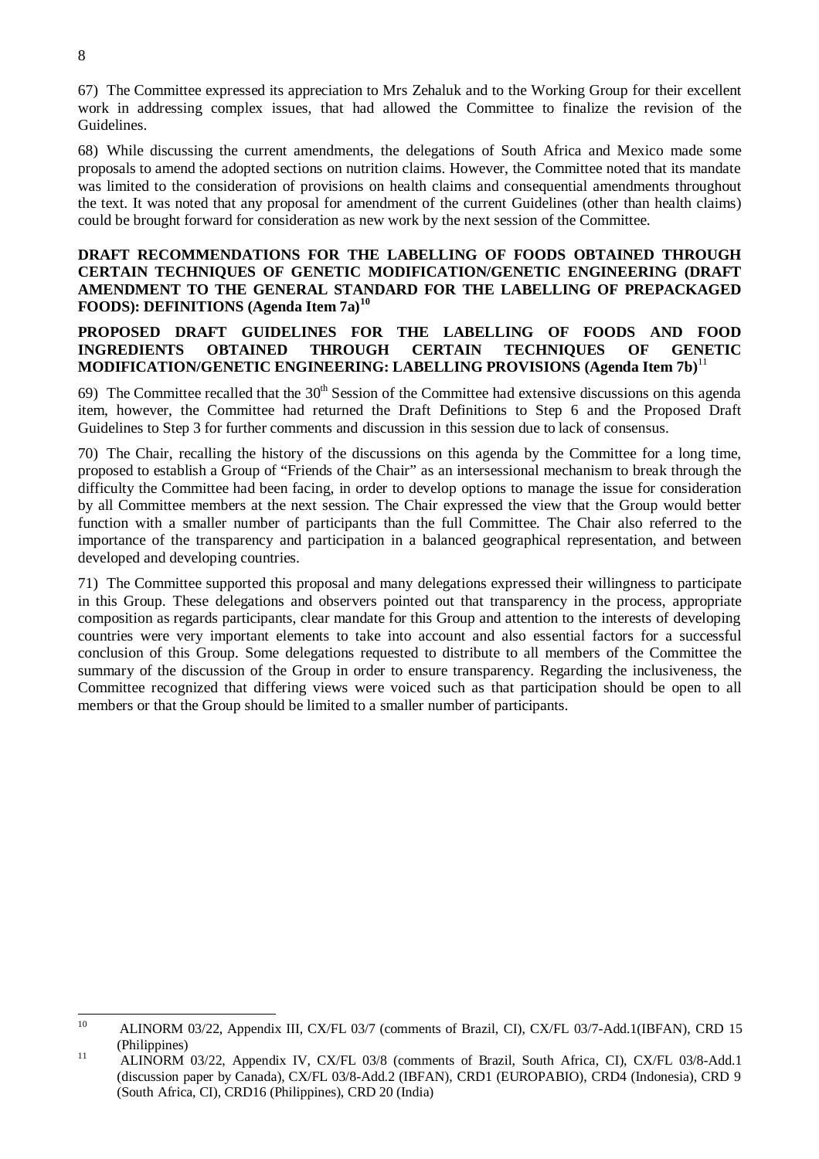67) The Committee expressed its appreciation to Mrs Zehaluk and to the Working Group for their excellent work in addressing complex issues, that had allowed the Committee to finalize the revision of the Guidelines.

68) While discussing the current amendments, the delegations of South Africa and Mexico made some proposals to amend the adopted sections on nutrition claims. However, the Committee noted that its mandate was limited to the consideration of provisions on health claims and consequential amendments throughout the text. It was noted that any proposal for amendment of the current Guidelines (other than health claims) could be brought forward for consideration as new work by the next session of the Committee.

#### **DRAFT RECOMMENDATIONS FOR THE LABELLING OF FOODS OBTAINED THROUGH CERTAIN TECHNIQUES OF GENETIC MODIFICATION/GENETIC ENGINEERING (DRAFT AMENDMENT TO THE GENERAL STANDARD FOR THE LABELLING OF PREPACKAGED FOODS): DEFINITIONS (Agenda Item 7a)<sup>10</sup>**

## **PROPOSED DRAFT GUIDELINES FOR THE LABELLING OF FOODS AND FOOD INGREDIENTS OBTAINED THROUGH CERTAIN TECHNIQUES OF GENETIC MODIFICATION/GENETIC ENGINEERING: LABELLING PROVISIONS (Agenda Item 7b)**<sup>11</sup>

69) The Committee recalled that the  $30<sup>th</sup>$  Session of the Committee had extensive discussions on this agenda item, however, the Committee had returned the Draft Definitions to Step 6 and the Proposed Draft Guidelines to Step 3 for further comments and discussion in this session due to lack of consensus.

70) The Chair, recalling the history of the discussions on this agenda by the Committee for a long time, proposed to establish a Group of "Friends of the Chair" as an intersessional mechanism to break through the difficulty the Committee had been facing, in order to develop options to manage the issue for consideration by all Committee members at the next session. The Chair expressed the view that the Group would better function with a smaller number of participants than the full Committee. The Chair also referred to the importance of the transparency and participation in a balanced geographical representation, and between developed and developing countries.

71) The Committee supported this proposal and many delegations expressed their willingness to participate in this Group. These delegations and observers pointed out that transparency in the process, appropriate composition as regards participants, clear mandate for this Group and attention to the interests of developing countries were very important elements to take into account and also essential factors for a successful conclusion of this Group. Some delegations requested to distribute to all members of the Committee the summary of the discussion of the Group in order to ensure transparency. Regarding the inclusiveness, the Committee recognized that differing views were voiced such as that participation should be open to all members or that the Group should be limited to a smaller number of participants.

 $10$ 10 ALINORM 03/22, Appendix III, CX/FL 03/7 (comments of Brazil, CI), CX/FL 03/7-Add.1(IBFAN), CRD 15 (Philippines)<br>11 ALINORM 03/22, Appendix IV, CX/FL 03/8 (comments of Brazil, South Africa, CI), CX/FL 03/8-Add.1

<sup>(</sup>discussion paper by Canada), CX/FL 03/8-Add.2 (IBFAN), CRD1 (EUROPABIO), CRD4 (Indonesia), CRD 9 (South Africa, CI), CRD16 (Philippines), CRD 20 (India)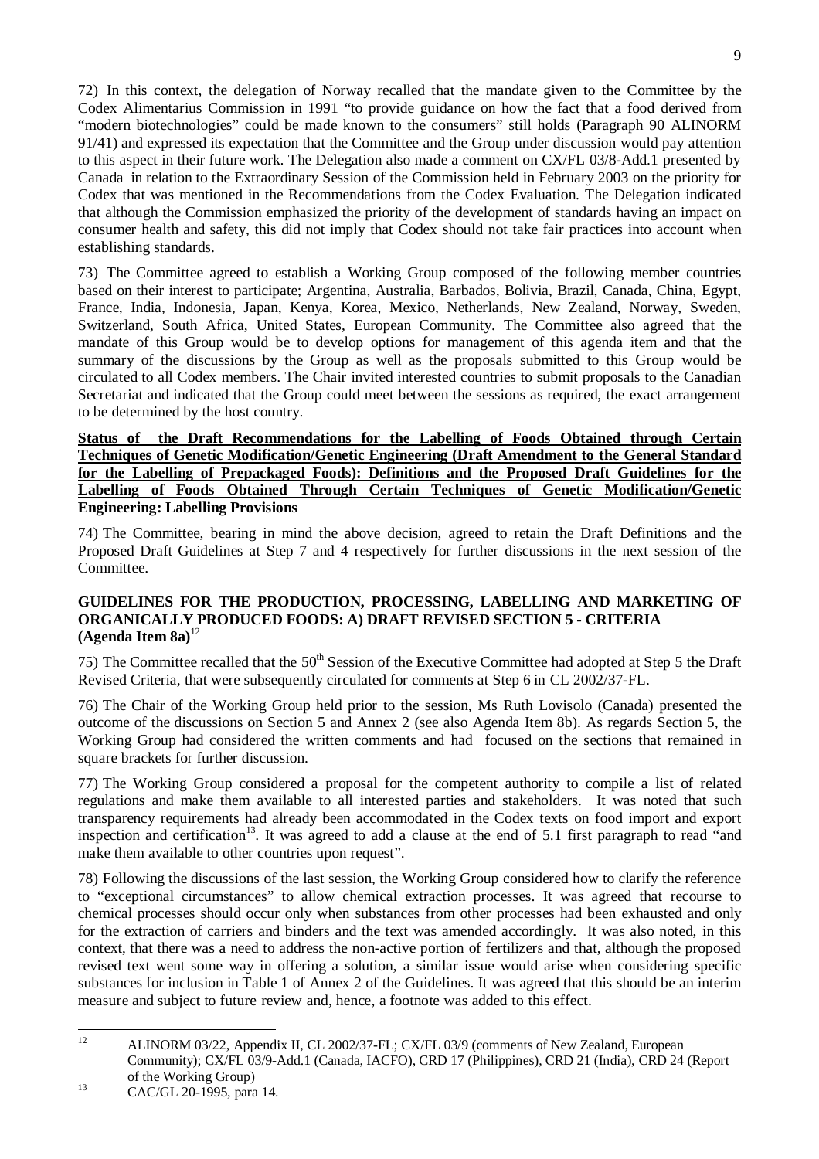72) In this context, the delegation of Norway recalled that the mandate given to the Committee by the Codex Alimentarius Commission in 1991 "to provide guidance on how the fact that a food derived from "modern biotechnologies" could be made known to the consumers" still holds (Paragraph 90 ALINORM 91/41) and expressed its expectation that the Committee and the Group under discussion would pay attention to this aspect in their future work. The Delegation also made a comment on CX/FL 03/8-Add.1 presented by Canada in relation to the Extraordinary Session of the Commission held in February 2003 on the priority for Codex that was mentioned in the Recommendations from the Codex Evaluation. The Delegation indicated that although the Commission emphasized the priority of the development of standards having an impact on consumer health and safety, this did not imply that Codex should not take fair practices into account when establishing standards.

73) The Committee agreed to establish a Working Group composed of the following member countries based on their interest to participate; Argentina, Australia, Barbados, Bolivia, Brazil, Canada, China, Egypt, France, India, Indonesia, Japan, Kenya, Korea, Mexico, Netherlands, New Zealand, Norway, Sweden, Switzerland, South Africa, United States, European Community. The Committee also agreed that the mandate of this Group would be to develop options for management of this agenda item and that the summary of the discussions by the Group as well as the proposals submitted to this Group would be circulated to all Codex members. The Chair invited interested countries to submit proposals to the Canadian Secretariat and indicated that the Group could meet between the sessions as required, the exact arrangement to be determined by the host country.

## **Status of the Draft Recommendations for the Labelling of Foods Obtained through Certain Techniques of Genetic Modification/Genetic Engineering (Draft Amendment to the General Standard for the Labelling of Prepackaged Foods): Definitions and the Proposed Draft Guidelines for the Labelling of Foods Obtained Through Certain Techniques of Genetic Modification/Genetic Engineering: Labelling Provisions**

74) The Committee, bearing in mind the above decision, agreed to retain the Draft Definitions and the Proposed Draft Guidelines at Step 7 and 4 respectively for further discussions in the next session of the Committee.

## **GUIDELINES FOR THE PRODUCTION, PROCESSING, LABELLING AND MARKETING OF ORGANICALLY PRODUCED FOODS: A) DRAFT REVISED SECTION 5 - CRITERIA (Agenda Item 8a)**<sup>12</sup>

75) The Committee recalled that the 50<sup>th</sup> Session of the Executive Committee had adopted at Step 5 the Draft Revised Criteria, that were subsequently circulated for comments at Step 6 in CL 2002/37-FL.

76) The Chair of the Working Group held prior to the session, Ms Ruth Lovisolo (Canada) presented the outcome of the discussions on Section 5 and Annex 2 (see also Agenda Item 8b). As regards Section 5, the Working Group had considered the written comments and had focused on the sections that remained in square brackets for further discussion.

77) The Working Group considered a proposal for the competent authority to compile a list of related regulations and make them available to all interested parties and stakeholders. It was noted that such transparency requirements had already been accommodated in the Codex texts on food import and export inspection and certification<sup>13</sup>. It was agreed to add a clause at the end of 5.1 first paragraph to read "and" make them available to other countries upon request".

78) Following the discussions of the last session, the Working Group considered how to clarify the reference to "exceptional circumstances" to allow chemical extraction processes. It was agreed that recourse to chemical processes should occur only when substances from other processes had been exhausted and only for the extraction of carriers and binders and the text was amended accordingly. It was also noted, in this context, that there was a need to address the non-active portion of fertilizers and that, although the proposed revised text went some way in offering a solution, a similar issue would arise when considering specific substances for inclusion in Table 1 of Annex 2 of the Guidelines. It was agreed that this should be an interim measure and subject to future review and, hence, a footnote was added to this effect.

 $12$ 12 ALINORM 03/22, Appendix II, CL 2002/37-FL; CX/FL 03/9 (comments of New Zealand, European Community); CX/FL 03/9-Add.1 (Canada, IACFO), CRD 17 (Philippines), CRD 21 (India), CRD 24 (Report of the Working Group)<br>13 CAC/GL 20-1995, para 14.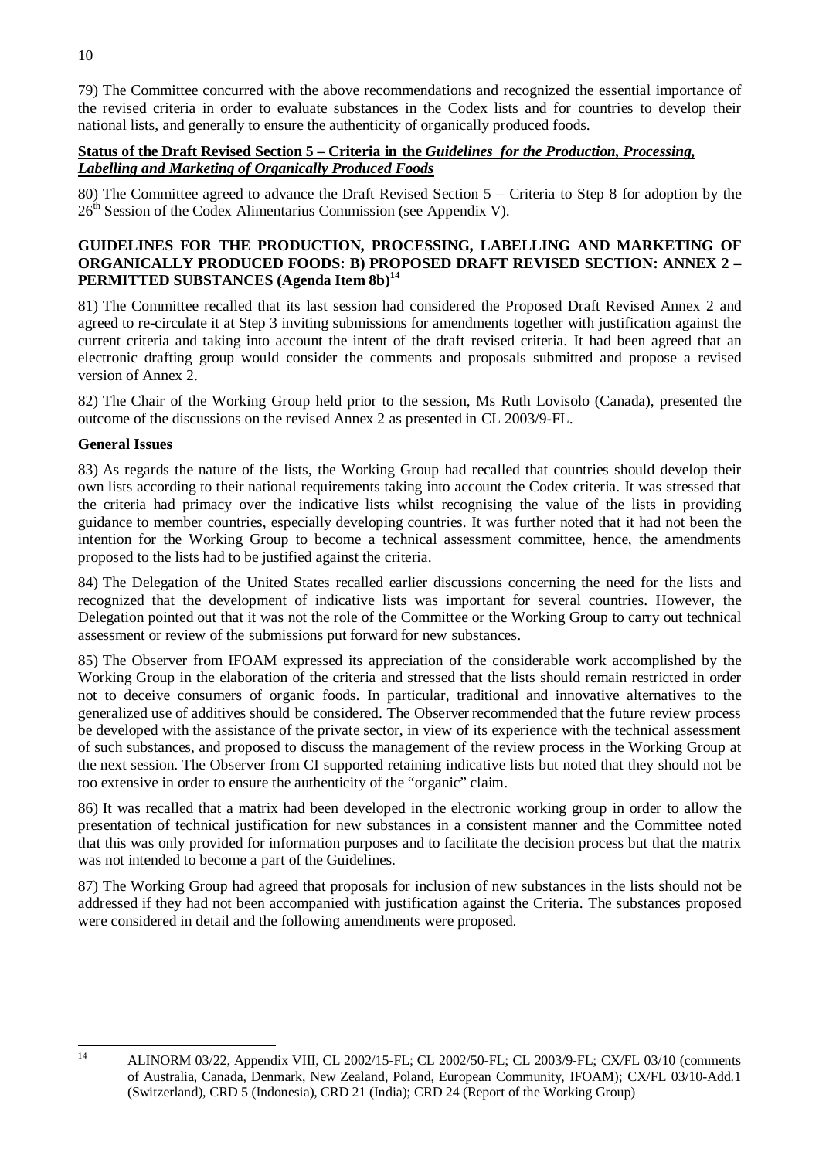79) The Committee concurred with the above recommendations and recognized the essential importance of the revised criteria in order to evaluate substances in the Codex lists and for countries to develop their national lists, and generally to ensure the authenticity of organically produced foods.

## **Status of the Draft Revised Section 5 – Criteria in the** *Guidelines for the Production, Processing, Labelling and Marketing of Organically Produced Foods*

80) The Committee agreed to advance the Draft Revised Section 5 – Criteria to Step 8 for adoption by the  $26<sup>th</sup>$  Session of the Codex Alimentarius Commission (see Appendix V).

## **GUIDELINES FOR THE PRODUCTION, PROCESSING, LABELLING AND MARKETING OF ORGANICALLY PRODUCED FOODS: B) PROPOSED DRAFT REVISED SECTION: ANNEX 2 – PERMITTED SUBSTANCES (Agenda Item 8b)<sup>14</sup>**

81) The Committee recalled that its last session had considered the Proposed Draft Revised Annex 2 and agreed to re-circulate it at Step 3 inviting submissions for amendments together with justification against the current criteria and taking into account the intent of the draft revised criteria. It had been agreed that an electronic drafting group would consider the comments and proposals submitted and propose a revised version of Annex 2.

82) The Chair of the Working Group held prior to the session, Ms Ruth Lovisolo (Canada), presented the outcome of the discussions on the revised Annex 2 as presented in CL 2003/9-FL.

## **General Issues**

83) As regards the nature of the lists, the Working Group had recalled that countries should develop their own lists according to their national requirements taking into account the Codex criteria. It was stressed that the criteria had primacy over the indicative lists whilst recognising the value of the lists in providing guidance to member countries, especially developing countries. It was further noted that it had not been the intention for the Working Group to become a technical assessment committee, hence, the amendments proposed to the lists had to be justified against the criteria.

84) The Delegation of the United States recalled earlier discussions concerning the need for the lists and recognized that the development of indicative lists was important for several countries. However, the Delegation pointed out that it was not the role of the Committee or the Working Group to carry out technical assessment or review of the submissions put forward for new substances.

85) The Observer from IFOAM expressed its appreciation of the considerable work accomplished by the Working Group in the elaboration of the criteria and stressed that the lists should remain restricted in order not to deceive consumers of organic foods. In particular, traditional and innovative alternatives to the generalized use of additives should be considered. The Observer recommended that the future review process be developed with the assistance of the private sector, in view of its experience with the technical assessment of such substances, and proposed to discuss the management of the review process in the Working Group at the next session. The Observer from CI supported retaining indicative lists but noted that they should not be too extensive in order to ensure the authenticity of the "organic" claim.

86) It was recalled that a matrix had been developed in the electronic working group in order to allow the presentation of technical justification for new substances in a consistent manner and the Committee noted that this was only provided for information purposes and to facilitate the decision process but that the matrix was not intended to become a part of the Guidelines.

87) The Working Group had agreed that proposals for inclusion of new substances in the lists should not be addressed if they had not been accompanied with justification against the Criteria. The substances proposed were considered in detail and the following amendments were proposed.

 $14$ 14 ALINORM 03/22, Appendix VIII, CL 2002/15-FL; CL 2002/50-FL; CL 2003/9-FL; CX/FL 03/10 (comments of Australia, Canada, Denmark, New Zealand, Poland, European Community, IFOAM); CX/FL 03/10-Add.1 (Switzerland), CRD 5 (Indonesia), CRD 21 (India); CRD 24 (Report of the Working Group)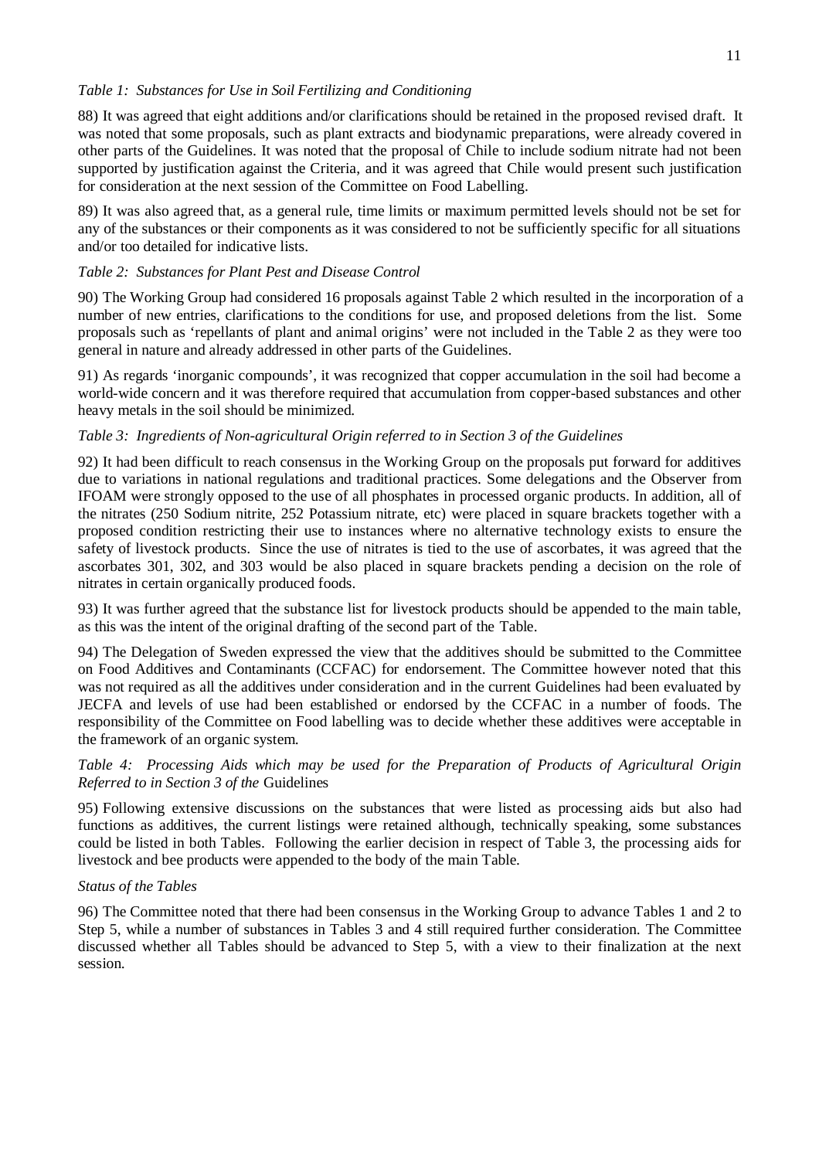#### *Table 1: Substances for Use in Soil Fertilizing and Conditioning*

88) It was agreed that eight additions and/or clarifications should be retained in the proposed revised draft. It was noted that some proposals, such as plant extracts and biodynamic preparations, were already covered in other parts of the Guidelines. It was noted that the proposal of Chile to include sodium nitrate had not been supported by justification against the Criteria, and it was agreed that Chile would present such justification for consideration at the next session of the Committee on Food Labelling.

89) It was also agreed that, as a general rule, time limits or maximum permitted levels should not be set for any of the substances or their components as it was considered to not be sufficiently specific for all situations and/or too detailed for indicative lists.

#### *Table 2: Substances for Plant Pest and Disease Control*

90) The Working Group had considered 16 proposals against Table 2 which resulted in the incorporation of a number of new entries, clarifications to the conditions for use, and proposed deletions from the list. Some proposals such as 'repellants of plant and animal origins' were not included in the Table 2 as they were too general in nature and already addressed in other parts of the Guidelines.

91) As regards 'inorganic compounds', it was recognized that copper accumulation in the soil had become a world-wide concern and it was therefore required that accumulation from copper-based substances and other heavy metals in the soil should be minimized.

## *Table 3: Ingredients of Non-agricultural Origin referred to in Section 3 of the Guidelines*

92) It had been difficult to reach consensus in the Working Group on the proposals put forward for additives due to variations in national regulations and traditional practices. Some delegations and the Observer from IFOAM were strongly opposed to the use of all phosphates in processed organic products. In addition, all of the nitrates (250 Sodium nitrite, 252 Potassium nitrate, etc) were placed in square brackets together with a proposed condition restricting their use to instances where no alternative technology exists to ensure the safety of livestock products. Since the use of nitrates is tied to the use of ascorbates, it was agreed that the ascorbates 301, 302, and 303 would be also placed in square brackets pending a decision on the role of nitrates in certain organically produced foods.

93) It was further agreed that the substance list for livestock products should be appended to the main table, as this was the intent of the original drafting of the second part of the Table.

94) The Delegation of Sweden expressed the view that the additives should be submitted to the Committee on Food Additives and Contaminants (CCFAC) for endorsement. The Committee however noted that this was not required as all the additives under consideration and in the current Guidelines had been evaluated by JECFA and levels of use had been established or endorsed by the CCFAC in a number of foods. The responsibility of the Committee on Food labelling was to decide whether these additives were acceptable in the framework of an organic system.

## *Table 4: Processing Aids which may be used for the Preparation of Products of Agricultural Origin Referred to in Section 3 of the* Guidelines

95) Following extensive discussions on the substances that were listed as processing aids but also had functions as additives, the current listings were retained although, technically speaking, some substances could be listed in both Tables. Following the earlier decision in respect of Table 3, the processing aids for livestock and bee products were appended to the body of the main Table.

## *Status of the Tables*

96) The Committee noted that there had been consensus in the Working Group to advance Tables 1 and 2 to Step 5, while a number of substances in Tables 3 and 4 still required further consideration. The Committee discussed whether all Tables should be advanced to Step 5, with a view to their finalization at the next session.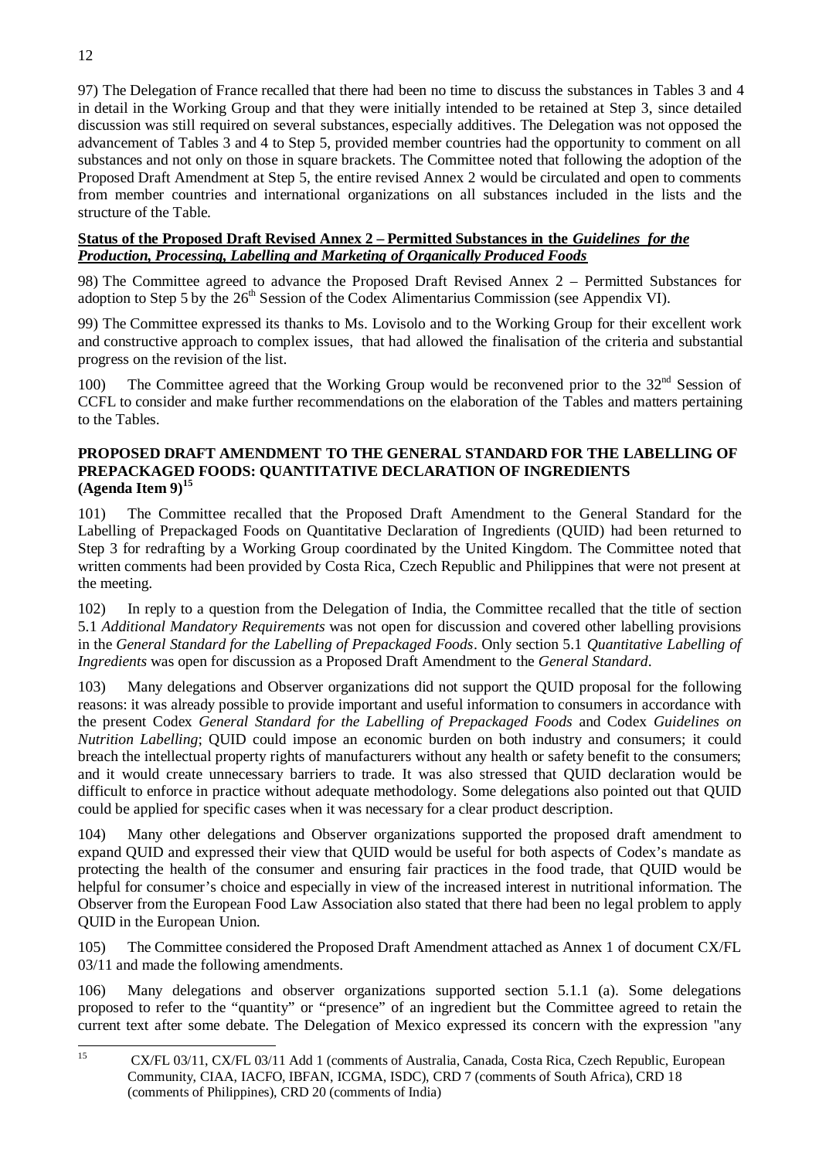97) The Delegation of France recalled that there had been no time to discuss the substances in Tables 3 and 4 in detail in the Working Group and that they were initially intended to be retained at Step 3, since detailed discussion was still required on several substances, especially additives. The Delegation was not opposed the advancement of Tables 3 and 4 to Step 5, provided member countries had the opportunity to comment on all substances and not only on those in square brackets. The Committee noted that following the adoption of the Proposed Draft Amendment at Step 5, the entire revised Annex 2 would be circulated and open to comments from member countries and international organizations on all substances included in the lists and the structure of the Table.

## **Status of the Proposed Draft Revised Annex 2 – Permitted Substances in the** *Guidelines for the Production, Processing, Labelling and Marketing of Organically Produced Foods*

98) The Committee agreed to advance the Proposed Draft Revised Annex 2 – Permitted Substances for adoption to Step 5 by the 26<sup>th</sup> Session of the Codex Alimentarius Commission (see Appendix VI).

99) The Committee expressed its thanks to Ms. Lovisolo and to the Working Group for their excellent work and constructive approach to complex issues, that had allowed the finalisation of the criteria and substantial progress on the revision of the list.

100) The Committee agreed that the Working Group would be reconvened prior to the 32<sup>nd</sup> Session of CCFL to consider and make further recommendations on the elaboration of the Tables and matters pertaining to the Tables.

## **PROPOSED DRAFT AMENDMENT TO THE GENERAL STANDARD FOR THE LABELLING OF PREPACKAGED FOODS: QUANTITATIVE DECLARATION OF INGREDIENTS (Agenda Item 9)<sup>15</sup>**

101) The Committee recalled that the Proposed Draft Amendment to the General Standard for the Labelling of Prepackaged Foods on Quantitative Declaration of Ingredients (QUID) had been returned to Step 3 for redrafting by a Working Group coordinated by the United Kingdom. The Committee noted that written comments had been provided by Costa Rica, Czech Republic and Philippines that were not present at the meeting.

102) In reply to a question from the Delegation of India, the Committee recalled that the title of section 5.1 *Additional Mandatory Requirements* was not open for discussion and covered other labelling provisions in the *General Standard for the Labelling of Prepackaged Foods*. Only section 5.1 *Quantitative Labelling of Ingredients* was open for discussion as a Proposed Draft Amendment to the *General Standard*.

103) Many delegations and Observer organizations did not support the QUID proposal for the following reasons: it was already possible to provide important and useful information to consumers in accordance with the present Codex *General Standard for the Labelling of Prepackaged Foods* and Codex *Guidelines on Nutrition Labelling*; QUID could impose an economic burden on both industry and consumers; it could breach the intellectual property rights of manufacturers without any health or safety benefit to the consumers; and it would create unnecessary barriers to trade. It was also stressed that QUID declaration would be difficult to enforce in practice without adequate methodology. Some delegations also pointed out that QUID could be applied for specific cases when it was necessary for a clear product description.

104) Many other delegations and Observer organizations supported the proposed draft amendment to expand QUID and expressed their view that QUID would be useful for both aspects of Codex's mandate as protecting the health of the consumer and ensuring fair practices in the food trade, that QUID would be helpful for consumer's choice and especially in view of the increased interest in nutritional information. The Observer from the European Food Law Association also stated that there had been no legal problem to apply QUID in the European Union.

105) The Committee considered the Proposed Draft Amendment attached as Annex 1 of document CX/FL 03/11 and made the following amendments.

106) Many delegations and observer organizations supported section 5.1.1 (a). Some delegations proposed to refer to the "quantity" or "presence" of an ingredient but the Committee agreed to retain the current text after some debate. The Delegation of Mexico expressed its concern with the expression "any

 $15$ 15 CX/FL 03/11, CX/FL 03/11 Add 1 (comments of Australia, Canada, Costa Rica, Czech Republic, European Community, CIAA, IACFO, IBFAN, ICGMA, ISDC), CRD 7 (comments of South Africa), CRD 18 (comments of Philippines), CRD 20 (comments of India)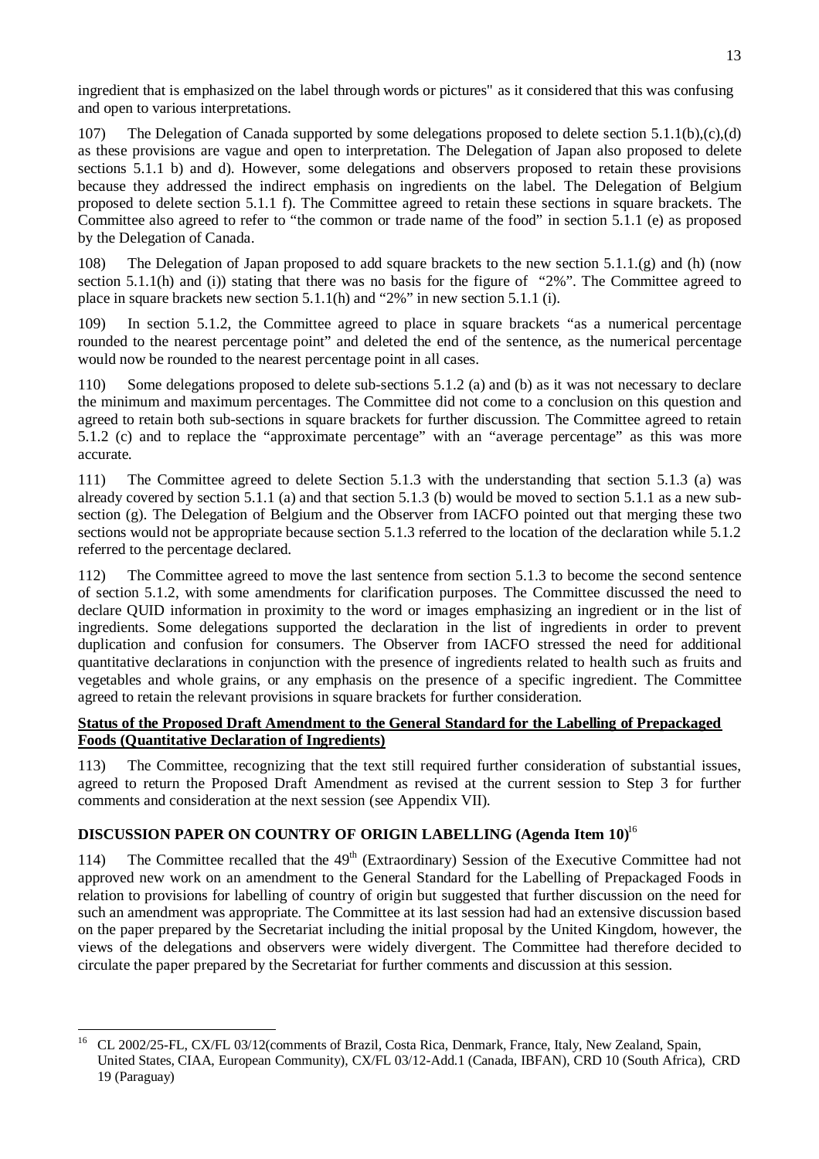ingredient that is emphasized on the label through words or pictures" as it considered that this was confusing and open to various interpretations.

107) The Delegation of Canada supported by some delegations proposed to delete section 5.1.1(b),(c),(d) as these provisions are vague and open to interpretation. The Delegation of Japan also proposed to delete sections 5.1.1 b) and d). However, some delegations and observers proposed to retain these provisions because they addressed the indirect emphasis on ingredients on the label. The Delegation of Belgium proposed to delete section 5.1.1 f). The Committee agreed to retain these sections in square brackets. The Committee also agreed to refer to "the common or trade name of the food" in section 5.1.1 (e) as proposed by the Delegation of Canada.

108) The Delegation of Japan proposed to add square brackets to the new section 5.1.1.(g) and (h) (now section 5.1.1(h) and (i)) stating that there was no basis for the figure of "2%". The Committee agreed to place in square brackets new section 5.1.1(h) and "2%" in new section 5.1.1 (i).

109) In section 5.1.2, the Committee agreed to place in square brackets "as a numerical percentage rounded to the nearest percentage point" and deleted the end of the sentence, as the numerical percentage would now be rounded to the nearest percentage point in all cases.

110) Some delegations proposed to delete sub-sections 5.1.2 (a) and (b) as it was not necessary to declare the minimum and maximum percentages. The Committee did not come to a conclusion on this question and agreed to retain both sub-sections in square brackets for further discussion. The Committee agreed to retain 5.1.2 (c) and to replace the "approximate percentage" with an "average percentage" as this was more accurate.

111) The Committee agreed to delete Section 5.1.3 with the understanding that section 5.1.3 (a) was already covered by section 5.1.1 (a) and that section 5.1.3 (b) would be moved to section 5.1.1 as a new subsection (g). The Delegation of Belgium and the Observer from IACFO pointed out that merging these two sections would not be appropriate because section 5.1.3 referred to the location of the declaration while 5.1.2 referred to the percentage declared.

112) The Committee agreed to move the last sentence from section 5.1.3 to become the second sentence of section 5.1.2, with some amendments for clarification purposes. The Committee discussed the need to declare QUID information in proximity to the word or images emphasizing an ingredient or in the list of ingredients. Some delegations supported the declaration in the list of ingredients in order to prevent duplication and confusion for consumers. The Observer from IACFO stressed the need for additional quantitative declarations in conjunction with the presence of ingredients related to health such as fruits and vegetables and whole grains, or any emphasis on the presence of a specific ingredient. The Committee agreed to retain the relevant provisions in square brackets for further consideration.

## **Status of the Proposed Draft Amendment to the General Standard for the Labelling of Prepackaged Foods (Quantitative Declaration of Ingredients)**

113) The Committee, recognizing that the text still required further consideration of substantial issues, agreed to return the Proposed Draft Amendment as revised at the current session to Step 3 for further comments and consideration at the next session (see Appendix VII).

## **DISCUSSION PAPER ON COUNTRY OF ORIGIN LABELLING (Agenda Item 10)**<sup>16</sup>

 $\ddot{\phantom{a}}$ 

114) The Committee recalled that the  $49<sup>th</sup>$  (Extraordinary) Session of the Executive Committee had not approved new work on an amendment to the General Standard for the Labelling of Prepackaged Foods in relation to provisions for labelling of country of origin but suggested that further discussion on the need for such an amendment was appropriate. The Committee at its last session had had an extensive discussion based on the paper prepared by the Secretariat including the initial proposal by the United Kingdom, however, the views of the delegations and observers were widely divergent. The Committee had therefore decided to circulate the paper prepared by the Secretariat for further comments and discussion at this session.

<sup>16</sup> CL 2002/25-FL, CX/FL 03/12(comments of Brazil, Costa Rica, Denmark, France, Italy, New Zealand, Spain, United States, CIAA, European Community), CX/FL 03/12-Add.1 (Canada, IBFAN), CRD 10 (South Africa), CRD 19 (Paraguay)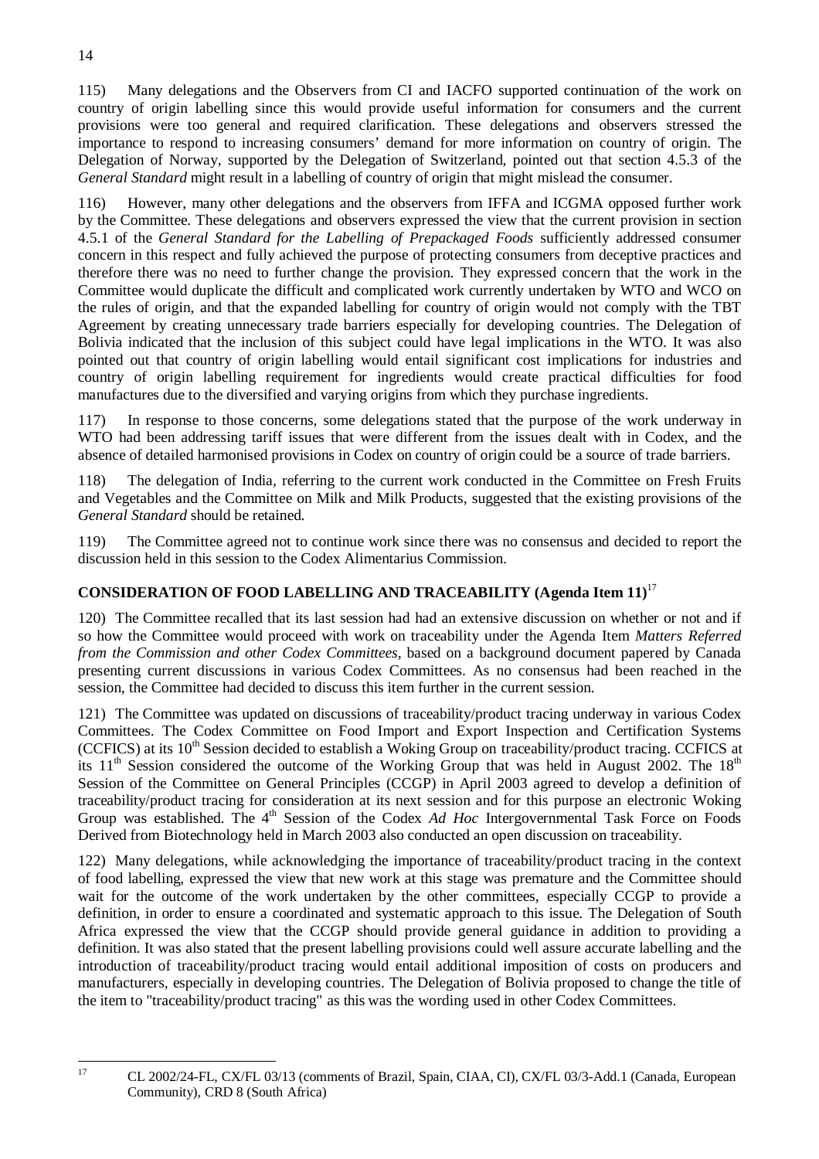115) Many delegations and the Observers from CI and IACFO supported continuation of the work on country of origin labelling since this would provide useful information for consumers and the current provisions were too general and required clarification. These delegations and observers stressed the importance to respond to increasing consumers' demand for more information on country of origin. The Delegation of Norway, supported by the Delegation of Switzerland, pointed out that section 4.5.3 of the *General Standard* might result in a labelling of country of origin that might mislead the consumer.

116) However, many other delegations and the observers from IFFA and ICGMA opposed further work by the Committee. These delegations and observers expressed the view that the current provision in section 4.5.1 of the *General Standard for the Labelling of Prepackaged Foods* sufficiently addressed consumer concern in this respect and fully achieved the purpose of protecting consumers from deceptive practices and therefore there was no need to further change the provision. They expressed concern that the work in the Committee would duplicate the difficult and complicated work currently undertaken by WTO and WCO on the rules of origin, and that the expanded labelling for country of origin would not comply with the TBT Agreement by creating unnecessary trade barriers especially for developing countries. The Delegation of Bolivia indicated that the inclusion of this subject could have legal implications in the WTO. It was also pointed out that country of origin labelling would entail significant cost implications for industries and country of origin labelling requirement for ingredients would create practical difficulties for food manufactures due to the diversified and varying origins from which they purchase ingredients.

117) In response to those concerns, some delegations stated that the purpose of the work underway in WTO had been addressing tariff issues that were different from the issues dealt with in Codex, and the absence of detailed harmonised provisions in Codex on country of origin could be a source of trade barriers.

118) The delegation of India, referring to the current work conducted in the Committee on Fresh Fruits and Vegetables and the Committee on Milk and Milk Products, suggested that the existing provisions of the *General Standard* should be retained.

119) The Committee agreed not to continue work since there was no consensus and decided to report the discussion held in this session to the Codex Alimentarius Commission.

## **CONSIDERATION OF FOOD LABELLING AND TRACEABILITY (Agenda Item 11)**<sup>17</sup>

120) The Committee recalled that its last session had had an extensive discussion on whether or not and if so how the Committee would proceed with work on traceability under the Agenda Item *Matters Referred from the Commission and other Codex Committees,* based on a background document papered by Canada presenting current discussions in various Codex Committees. As no consensus had been reached in the session, the Committee had decided to discuss this item further in the current session.

121) The Committee was updated on discussions of traceability/product tracing underway in various Codex Committees. The Codex Committee on Food Import and Export Inspection and Certification Systems (CCFICS) at its  $10^{th}$  Session decided to establish a Woking Group on traceability/product tracing. CCFICS at its  $11<sup>th</sup>$  Session considered the outcome of the Working Group that was held in August 2002. The  $18<sup>th</sup>$ Session of the Committee on General Principles (CCGP) in April 2003 agreed to develop a definition of traceability/product tracing for consideration at its next session and for this purpose an electronic Woking Group was established. The 4<sup>th</sup> Session of the Codex *Ad Hoc* Intergovernmental Task Force on Foods Derived from Biotechnology held in March 2003 also conducted an open discussion on traceability.

122) Many delegations, while acknowledging the importance of traceability/product tracing in the context of food labelling, expressed the view that new work at this stage was premature and the Committee should wait for the outcome of the work undertaken by the other committees, especially CCGP to provide a definition, in order to ensure a coordinated and systematic approach to this issue. The Delegation of South Africa expressed the view that the CCGP should provide general guidance in addition to providing a definition. It was also stated that the present labelling provisions could well assure accurate labelling and the introduction of traceability/product tracing would entail additional imposition of costs on producers and manufacturers, especially in developing countries. The Delegation of Bolivia proposed to change the title of the item to "traceability/product tracing" as this was the wording used in other Codex Committees.

17 CL 2002/24-FL, CX/FL 03/13 (comments of Brazil, Spain, CIAA, CI), CX/FL 03/3-Add.1 (Canada, European Community), CRD 8 (South Africa)

 $17\,$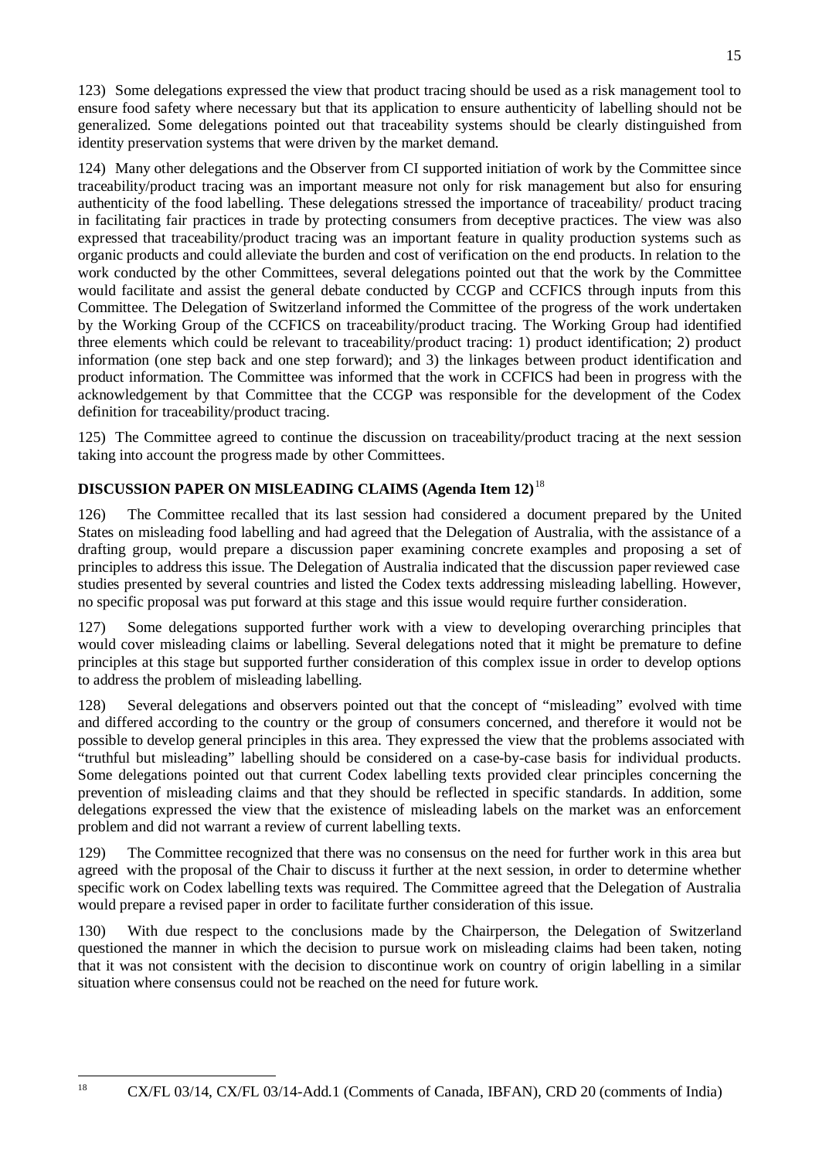123) Some delegations expressed the view that product tracing should be used as a risk management tool to ensure food safety where necessary but that its application to ensure authenticity of labelling should not be generalized. Some delegations pointed out that traceability systems should be clearly distinguished from identity preservation systems that were driven by the market demand.

124) Many other delegations and the Observer from CI supported initiation of work by the Committee since traceability/product tracing was an important measure not only for risk management but also for ensuring authenticity of the food labelling. These delegations stressed the importance of traceability/ product tracing in facilitating fair practices in trade by protecting consumers from deceptive practices. The view was also expressed that traceability/product tracing was an important feature in quality production systems such as organic products and could alleviate the burden and cost of verification on the end products. In relation to the work conducted by the other Committees, several delegations pointed out that the work by the Committee would facilitate and assist the general debate conducted by CCGP and CCFICS through inputs from this Committee. The Delegation of Switzerland informed the Committee of the progress of the work undertaken by the Working Group of the CCFICS on traceability/product tracing. The Working Group had identified three elements which could be relevant to traceability/product tracing: 1) product identification; 2) product information (one step back and one step forward); and 3) the linkages between product identification and product information. The Committee was informed that the work in CCFICS had been in progress with the acknowledgement by that Committee that the CCGP was responsible for the development of the Codex definition for traceability/product tracing.

125) The Committee agreed to continue the discussion on traceability/product tracing at the next session taking into account the progress made by other Committees.

## **DISCUSSION PAPER ON MISLEADING CLAIMS (Agenda Item 12)**<sup>18</sup>

126) The Committee recalled that its last session had considered a document prepared by the United States on misleading food labelling and had agreed that the Delegation of Australia, with the assistance of a drafting group, would prepare a discussion paper examining concrete examples and proposing a set of principles to address this issue. The Delegation of Australia indicated that the discussion paper reviewed case studies presented by several countries and listed the Codex texts addressing misleading labelling. However, no specific proposal was put forward at this stage and this issue would require further consideration.

127) Some delegations supported further work with a view to developing overarching principles that would cover misleading claims or labelling. Several delegations noted that it might be premature to define principles at this stage but supported further consideration of this complex issue in order to develop options to address the problem of misleading labelling.

128) Several delegations and observers pointed out that the concept of "misleading" evolved with time and differed according to the country or the group of consumers concerned, and therefore it would not be possible to develop general principles in this area. They expressed the view that the problems associated with "truthful but misleading" labelling should be considered on a case-by-case basis for individual products. Some delegations pointed out that current Codex labelling texts provided clear principles concerning the prevention of misleading claims and that they should be reflected in specific standards. In addition, some delegations expressed the view that the existence of misleading labels on the market was an enforcement problem and did not warrant a review of current labelling texts.

129) The Committee recognized that there was no consensus on the need for further work in this area but agreed with the proposal of the Chair to discuss it further at the next session, in order to determine whether specific work on Codex labelling texts was required. The Committee agreed that the Delegation of Australia would prepare a revised paper in order to facilitate further consideration of this issue.

130) With due respect to the conclusions made by the Chairperson, the Delegation of Switzerland questioned the manner in which the decision to pursue work on misleading claims had been taken, noting that it was not consistent with the decision to discontinue work on country of origin labelling in a similar situation where consensus could not be reached on the need for future work.

15

 $\ddot{\phantom{a}}$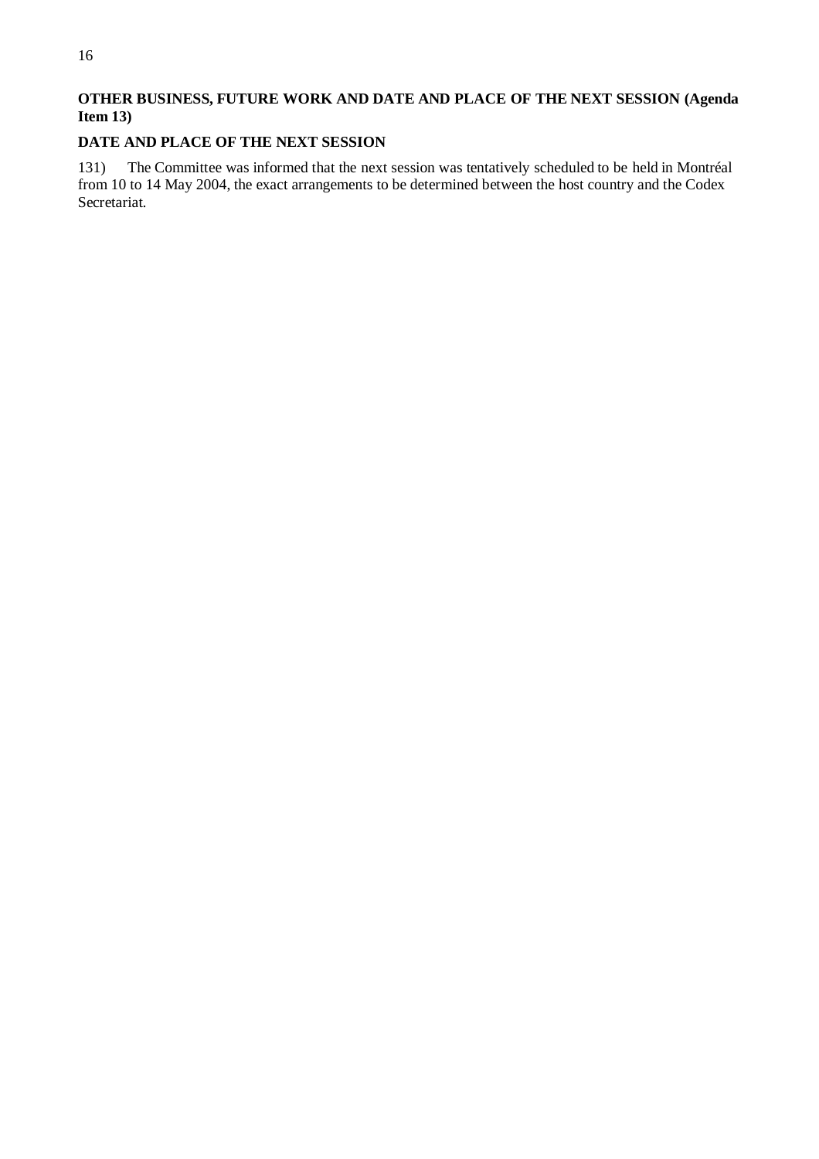## **OTHER BUSINESS, FUTURE WORK AND DATE AND PLACE OF THE NEXT SESSION (Agenda Item 13)**

## **DATE AND PLACE OF THE NEXT SESSION**

131) The Committee was informed that the next session was tentatively scheduled to be held in Montréal from 10 to 14 May 2004, the exact arrangements to be determined between the host country and the Codex Secretariat.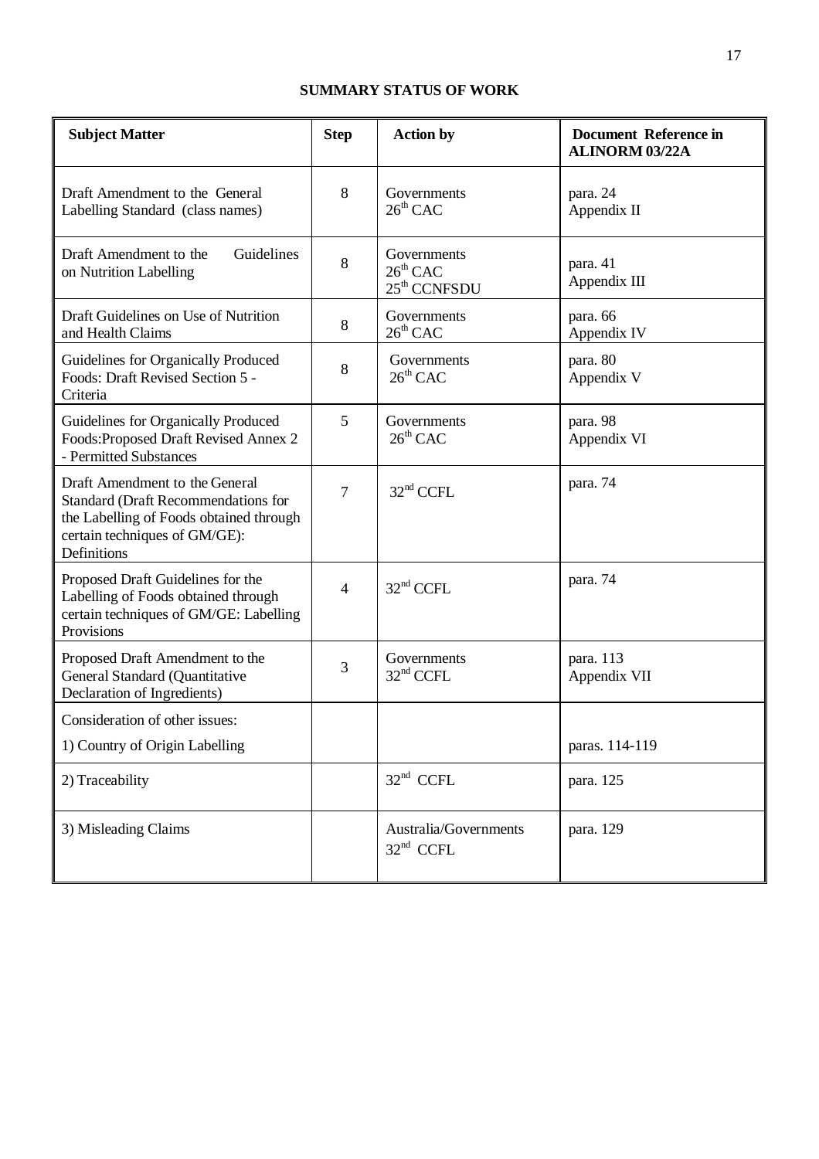## **SUMMARY STATUS OF WORK**

| <b>Subject Matter</b>                                                                                                                                                   | <b>Step</b>    | <b>Action by</b>                                         | <b>Document Reference in</b><br><b>ALINORM 03/22A</b> |
|-------------------------------------------------------------------------------------------------------------------------------------------------------------------------|----------------|----------------------------------------------------------|-------------------------------------------------------|
| Draft Amendment to the General<br>Labelling Standard (class names)                                                                                                      | 8              | Governments<br>$26^{th}$ CAC                             | para. 24<br>Appendix II                               |
| Guidelines<br>Draft Amendment to the<br>on Nutrition Labelling                                                                                                          | 8              | Governments<br>$26^{th}$ CAC<br>25 <sup>th</sup> CCNFSDU | para. 41<br>Appendix III                              |
| Draft Guidelines on Use of Nutrition<br>and Health Claims                                                                                                               | 8              | Governments<br>$26th$ CAC                                | para. 66<br>Appendix IV                               |
| Guidelines for Organically Produced<br>Foods: Draft Revised Section 5 -<br>Criteria                                                                                     | 8              | Governments<br>$26th$ CAC                                | para. 80<br>Appendix V                                |
| Guidelines for Organically Produced<br>Foods: Proposed Draft Revised Annex 2<br>- Permitted Substances                                                                  | 5              | Governments<br>$26th$ CAC                                | para. 98<br>Appendix VI                               |
| Draft Amendment to the General<br><b>Standard (Draft Recommendations for</b><br>the Labelling of Foods obtained through<br>certain techniques of GM/GE):<br>Definitions | 7              | $32nd$ CCFL                                              | para. 74                                              |
| Proposed Draft Guidelines for the<br>Labelling of Foods obtained through<br>certain techniques of GM/GE: Labelling<br>Provisions                                        | $\overline{4}$ | $32nd$ CCFL                                              | para. 74                                              |
| Proposed Draft Amendment to the<br>General Standard (Quantitative<br>Declaration of Ingredients)                                                                        | 3              | Governments<br>32 <sup>nd</sup> CCFL                     | para. 113<br>Appendix VII                             |
| Consideration of other issues:                                                                                                                                          |                |                                                          |                                                       |
| 1) Country of Origin Labelling                                                                                                                                          |                |                                                          | paras. 114-119                                        |
| 2) Traceability                                                                                                                                                         |                | $32nd$ CCFL                                              | para. 125                                             |
| 3) Misleading Claims                                                                                                                                                    |                | Australia/Governments<br>$32nd$ CCFL                     | para. 129                                             |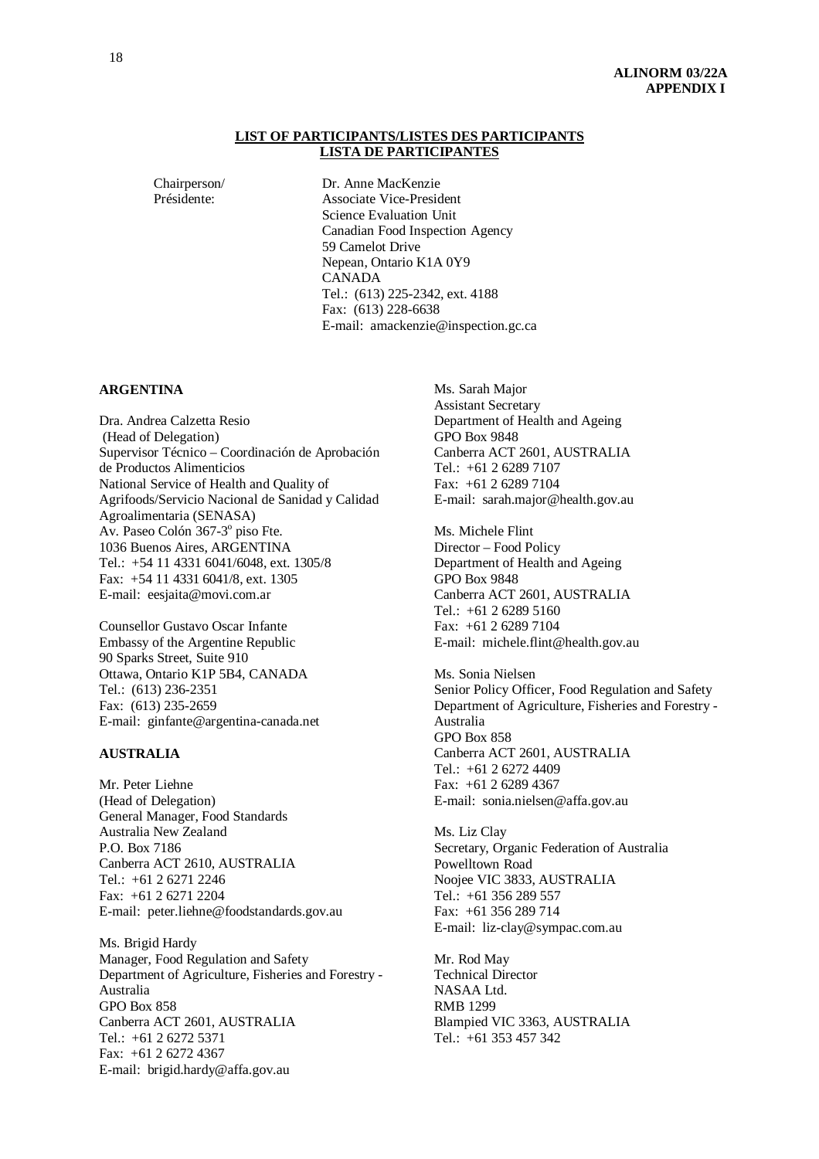#### **LIST OF PARTICIPANTS/LISTES DES PARTICIPANTS LISTA DE PARTICIPANTES**

Chairperson/ Dr. Anne MacKenzie<br>Présidente: Associate Vice-Presid Associate Vice-President Science Evaluation Unit Canadian Food Inspection Agency 59 Camelot Drive Nepean, Ontario K1A 0Y9 CANADA Tel.: (613) 225-2342, ext. 4188 Fax: (613) 228-6638 E-mail: amackenzie@inspection.gc.ca

#### **ARGENTINA**

Dra. Andrea Calzetta Resio (Head of Delegation) Supervisor Técnico – Coordinación de Aprobación de Productos Alimenticios National Service of Health and Quality of Agrifoods/Servicio Nacional de Sanidad y Calidad Agroalimentaria (SENASA) Av. Paseo Colón 367-3<sup>°</sup> piso Fte. 1036 Buenos Aires, ARGENTINA Tel.: +54 11 4331 6041/6048, ext. 1305/8 Fax: +54 11 4331 6041/8, ext. 1305 E-mail: eesjaita@movi.com.ar

Counsellor Gustavo Oscar Infante Embassy of the Argentine Republic 90 Sparks Street, Suite 910 Ottawa, Ontario K1P 5B4, CANADA Tel.: (613) 236-2351 Fax: (613) 235-2659 E-mail: ginfante@argentina-canada.net

#### **AUSTRALIA**

Mr. Peter Liehne (Head of Delegation) General Manager, Food Standards Australia New Zealand P.O. Box 7186 Canberra ACT 2610, AUSTRALIA Tel.: +61 2 6271 2246 Fax: +61 2 6271 2204 E-mail: peter.liehne@foodstandards.gov.au

Ms. Brigid Hardy Manager, Food Regulation and Safety Department of Agriculture, Fisheries and Forestry - Australia GPO Box 858 Canberra ACT 2601, AUSTRALIA Tel.: +61 2 6272 5371 Fax: +61 2 6272 4367 E-mail: brigid.hardy@affa.gov.au

Ms. Sarah Major Assistant Secretary Department of Health and Ageing GPO Box 9848 Canberra ACT 2601, AUSTRALIA Tel.: +61 2 6289 7107 Fax: +61 2 6289 7104 E-mail: sarah.major@health.gov.au

Ms. Michele Flint Director – Food Policy Department of Health and Ageing GPO Box 9848 Canberra ACT 2601, AUSTRALIA Tel.: +61 2 6289 5160 Fax: +61 2 6289 7104 E-mail: michele.flint@health.gov.au

Ms. Sonia Nielsen Senior Policy Officer, Food Regulation and Safety Department of Agriculture, Fisheries and Forestry - Australia GPO Box 858 Canberra ACT 2601, AUSTRALIA Tel.: +61 2 6272 4409 Fax: +61 2 6289 4367 E-mail: sonia.nielsen@affa.gov.au

Ms. Liz Clay Secretary, Organic Federation of Australia Powelltown Road Noojee VIC 3833, AUSTRALIA Tel.: +61 356 289 557 Fax: +61 356 289 714 E-mail: liz-clay@sympac.com.au

Mr. Rod May Technical Director NASAA Ltd. RMB 1299 Blampied VIC 3363, AUSTRALIA Tel.: +61 353 457 342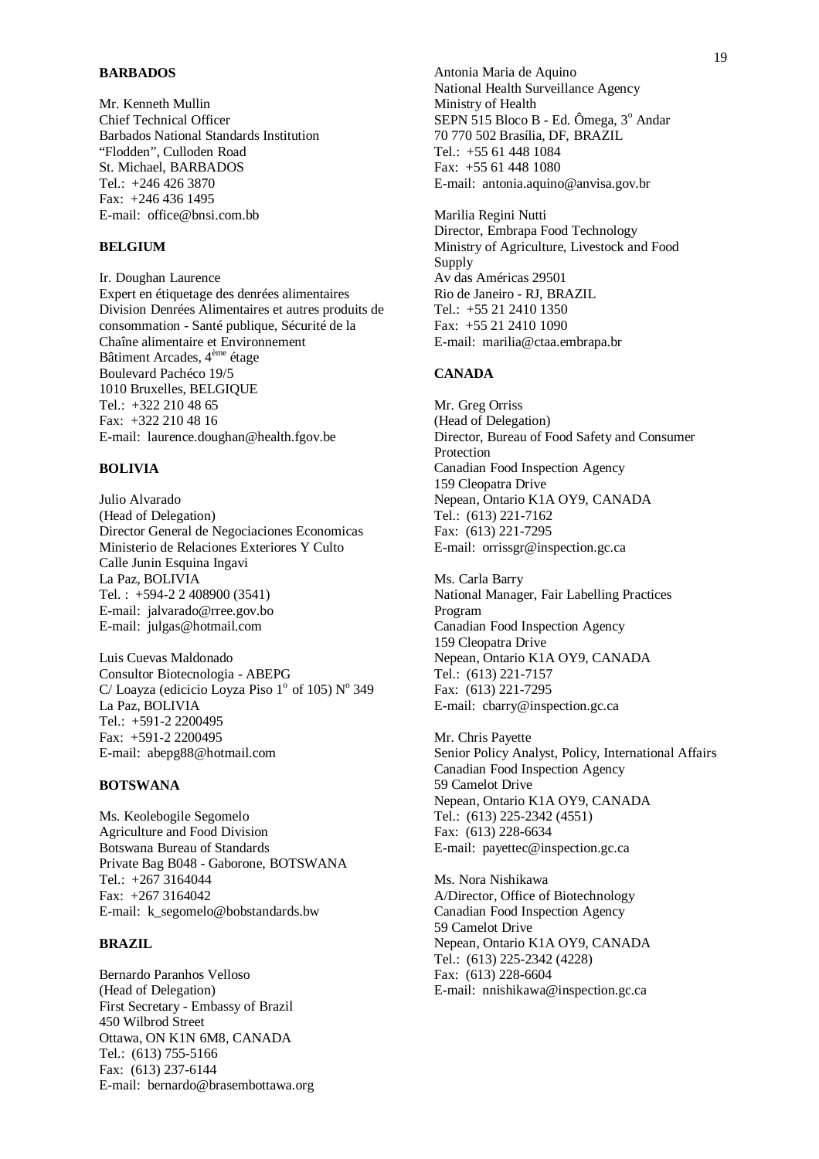#### **BARBADOS**

Mr. Kenneth Mullin Chief Technical Officer Barbados National Standards Institution "Flodden", Culloden Road St. Michael, BARBADOS Tel.: +246 426 3870 Fax: +246 436 1495 E-mail: office@bnsi.com.bb

#### **BELGIUM**

Ir. Doughan Laurence Expert en étiquetage des denrées alimentaires Division Denrées Alimentaires et autres produits de consommation - Santé publique, Sécurité de la Chaîne alimentaire et Environnement Bâtiment Arcades, 4ème étage Boulevard Pachéco 19/5 1010 Bruxelles, BELGIQUE Tel.: +322 210 48 65 Fax: +322 210 48 16 E-mail: laurence.doughan@health.fgov.be

#### **BOLIVIA**

Julio Alvarado (Head of Delegation) Director General de Negociaciones Economicas Ministerio de Relaciones Exteriores Y Culto Calle Junin Esquina Ingavi La Paz, BOLIVIA Tel. : +594-2 2 408900 (3541) E-mail: jalvarado@rree.gov.bo E-mail: julgas@hotmail.com

Luis Cuevas Maldonado Consultor Biotecnologia - ABEPG C/ Loayza (edicicio Loyza Piso  $1^{\circ}$  of 105) N° 349 La Paz, BOLIVIA Tel.: +591-2 2200495 Fax: +591-2 2200495 E-mail: abepg88@hotmail.com

#### **BOTSWANA**

Ms. Keolebogile Segomelo Agriculture and Food Division Botswana Bureau of Standards Private Bag B048 - Gaborone, BOTSWANA Tel.: +267 3164044 Fax: +267 3164042 E-mail: k segomelo@bobstandards.bw

#### **BRAZIL**

Bernardo Paranhos Velloso (Head of Delegation) First Secretary - Embassy of Brazil 450 Wilbrod Street Ottawa, ON K1N 6M8, CANADA Tel.: (613) 755-5166 Fax: (613) 237-6144 E-mail: bernardo@brasembottawa.org

Antonia Maria de Aquino National Health Surveillance Agency Ministry of Health SEPN 515 Bloco B - Ed. Ômega, 3<sup>°</sup> Andar 70 770 502 Brasília, DF, BRAZIL Tel.: +55 61 448 1084 Fax: +55 61 448 1080 E-mail: antonia.aquino@anvisa.gov.br

Marilia Regini Nutti Director, Embrapa Food Technology Ministry of Agriculture, Livestock and Food Supply Av das Américas 29501 Rio de Janeiro - RJ, BRAZIL Tel.: +55 21 2410 1350 Fax: +55 21 2410 1090 E-mail: marilia@ctaa.embrapa.br

#### **CANADA**

Mr. Greg Orriss (Head of Delegation) Director, Bureau of Food Safety and Consumer Protection Canadian Food Inspection Agency 159 Cleopatra Drive Nepean, Ontario K1A OY9, CANADA Tel.: (613) 221-7162 Fax: (613) 221-7295 E-mail: orrissgr@inspection.gc.ca

Ms. Carla Barry National Manager, Fair Labelling Practices Program Canadian Food Inspection Agency 159 Cleopatra Drive Nepean, Ontario K1A OY9, CANADA Tel.: (613) 221-7157 Fax: (613) 221-7295 E-mail: cbarry@inspection.gc.ca

Mr. Chris Payette Senior Policy Analyst, Policy, International Affairs Canadian Food Inspection Agency 59 Camelot Drive Nepean, Ontario K1A OY9, CANADA Tel.: (613) 225-2342 (4551) Fax: (613) 228-6634 E-mail: payettec@inspection.gc.ca

Ms. Nora Nishikawa A/Director, Office of Biotechnology Canadian Food Inspection Agency 59 Camelot Drive Nepean, Ontario K1A OY9, CANADA Tel.: (613) 225-2342 (4228) Fax: (613) 228-6604 E-mail: nnishikawa@inspection.gc.ca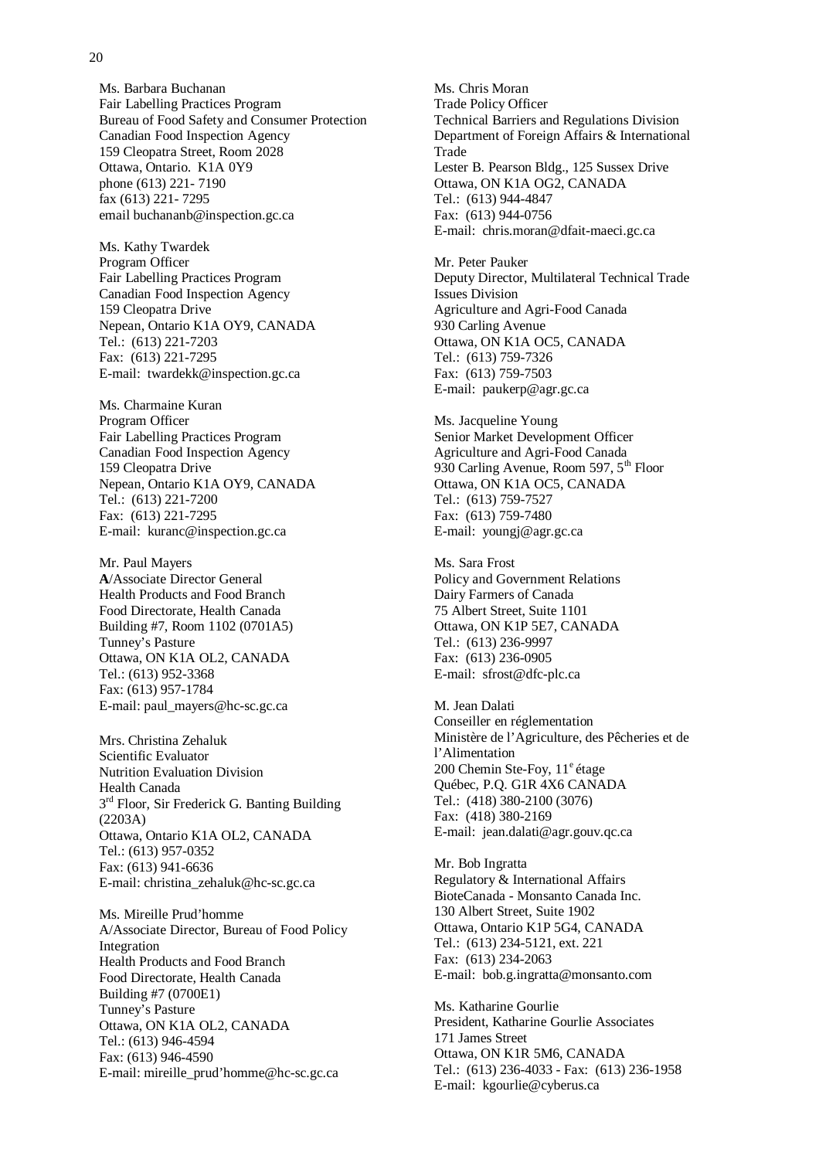Ms. Barbara Buchanan Fair Labelling Practices Program Bureau of Food Safety and Consumer Protection Canadian Food Inspection Agency 159 Cleopatra Street, Room 2028 Ottawa, Ontario. K1A 0Y9 phone (613) 221- 7190 fax (613) 221- 7295 email buchananb@inspection.gc.ca

Ms. Kathy Twardek Program Officer Fair Labelling Practices Program Canadian Food Inspection Agency 159 Cleopatra Drive Nepean, Ontario K1A OY9, CANADA Tel.: (613) 221-7203 Fax: (613) 221-7295 E-mail: twardekk@inspection.gc.ca

Ms. Charmaine Kuran Program Officer Fair Labelling Practices Program Canadian Food Inspection Agency 159 Cleopatra Drive Nepean, Ontario K1A OY9, CANADA Tel.: (613) 221-7200 Fax: (613) 221-7295 E-mail: kuranc@inspection.gc.ca

Mr. Paul Mayers **A**/Associate Director General Health Products and Food Branch Food Directorate, Health Canada Building #7, Room 1102 (0701A5) Tunney's Pasture Ottawa, ON K1A OL2, CANADA Tel.: (613) 952-3368 Fax: (613) 957-1784 E-mail: paul\_mayers@hc-sc.gc.ca

Mrs. Christina Zehaluk Scientific Evaluator Nutrition Evaluation Division Health Canada  $3<sup>rd</sup>$  Floor, Sir Frederick G. Banting Building (2203A) Ottawa, Ontario K1A OL2, CANADA Tel.: (613) 957-0352 Fax: (613) 941-6636 E-mail: christina\_zehaluk@hc-sc.gc.ca

Ms. Mireille Prud'homme A/Associate Director, Bureau of Food Policy Integration Health Products and Food Branch Food Directorate, Health Canada Building #7 (0700E1) Tunney's Pasture Ottawa, ON K1A OL2, CANADA Tel.: (613) 946-4594 Fax: (613) 946-4590 E-mail: mireille\_prud'homme@hc-sc.gc.ca

Ms. Chris Moran Trade Policy Officer Technical Barriers and Regulations Division Department of Foreign Affairs & International Trade Lester B. Pearson Bldg., 125 Sussex Drive Ottawa, ON K1A OG2, CANADA Tel.: (613) 944-4847 Fax: (613) 944-0756 E-mail: chris.moran@dfait-maeci.gc.ca

Mr. Peter Pauker Deputy Director, Multilateral Technical Trade Issues Division Agriculture and Agri-Food Canada 930 Carling Avenue Ottawa, ON K1A OC5, CANADA Tel.: (613) 759-7326 Fax: (613) 759-7503 E-mail: paukerp@agr.gc.ca

Ms. Jacqueline Young Senior Market Development Officer Agriculture and Agri-Food Canada 930 Carling Avenue, Room 597, 5<sup>th</sup> Floor Ottawa, ON K1A OC5, CANADA Tel.: (613) 759-7527 Fax: (613) 759-7480 E-mail: youngj@agr.gc.ca

Ms. Sara Frost Policy and Government Relations Dairy Farmers of Canada 75 Albert Street, Suite 1101 Ottawa, ON K1P 5E7, CANADA Tel.: (613) 236-9997 Fax: (613) 236-0905 E-mail: sfrost@dfc-plc.ca

M. Jean Dalati Conseiller en réglementation Ministère de l'Agriculture, des Pêcheries et de l'Alimentation 200 Chemin Ste-Foy,  $11^{\circ}$  étage Québec, P.Q. G1R 4X6 CANADA Tel.: (418) 380-2100 (3076) Fax: (418) 380-2169 E-mail: jean.dalati@agr.gouv.qc.ca

Mr. Bob Ingratta Regulatory & International Affairs BioteCanada - Monsanto Canada Inc. 130 Albert Street, Suite 1902 Ottawa, Ontario K1P 5G4, CANADA Tel.: (613) 234-5121, ext. 221 Fax: (613) 234-2063 E-mail: bob.g.ingratta@monsanto.com

Ms. Katharine Gourlie President, Katharine Gourlie Associates 171 James Street Ottawa, ON K1R 5M6, CANADA Tel.: (613) 236-4033 - Fax: (613) 236-1958 E-mail: kgourlie@cyberus.ca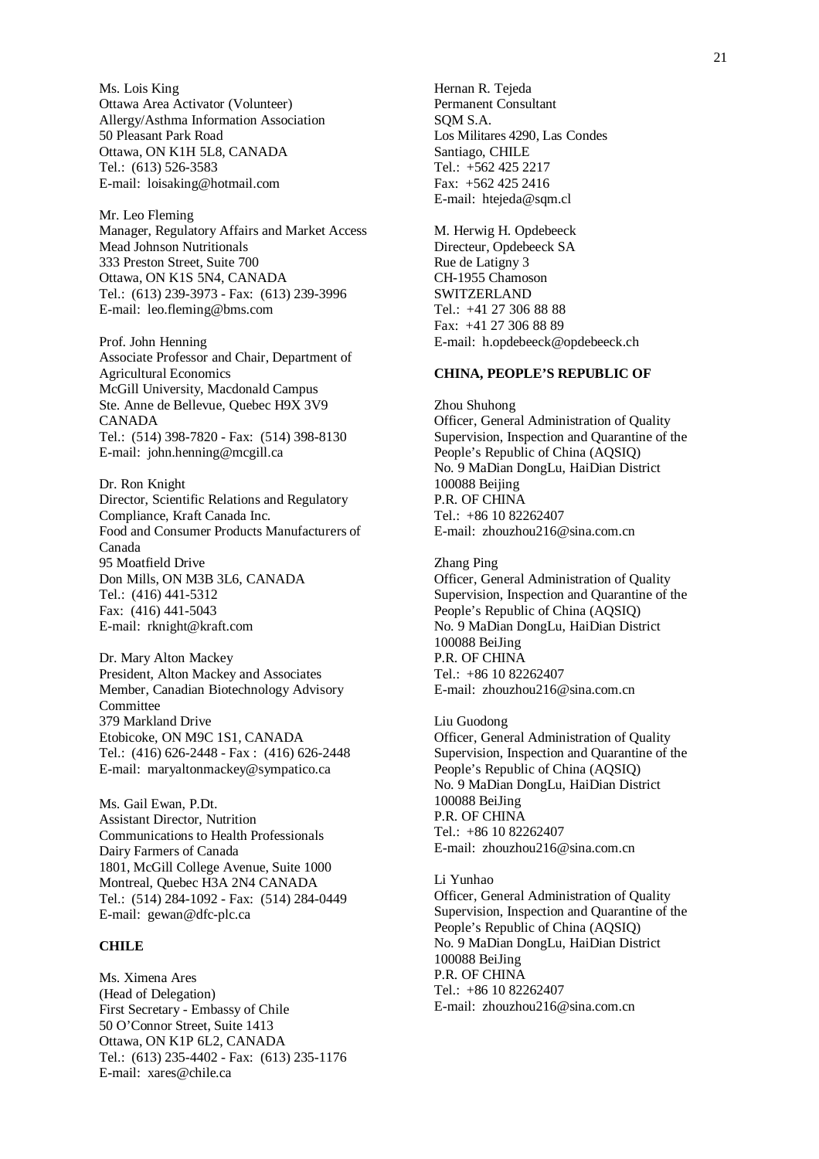Ms. Lois King Ottawa Area Activator (Volunteer) Allergy/Asthma Information Association 50 Pleasant Park Road Ottawa, ON K1H 5L8, CANADA Tel.: (613) 526-3583 E-mail: loisaking@hotmail.com

Mr. Leo Fleming Manager, Regulatory Affairs and Market Access Mead Johnson Nutritionals 333 Preston Street, Suite 700 Ottawa, ON K1S 5N4, CANADA Tel.: (613) 239-3973 - Fax: (613) 239-3996 E-mail: leo.fleming@bms.com

Prof. John Henning Associate Professor and Chair, Department of Agricultural Economics McGill University, Macdonald Campus Ste. Anne de Bellevue, Quebec H9X 3V9 CANADA Tel.: (514) 398-7820 - Fax: (514) 398-8130 E-mail: john.henning@mcgill.ca

Dr. Ron Knight Director, Scientific Relations and Regulatory Compliance, Kraft Canada Inc. Food and Consumer Products Manufacturers of Canada 95 Moatfield Drive Don Mills, ON M3B 3L6, CANADA Tel.: (416) 441-5312 Fax: (416) 441-5043 E-mail: rknight@kraft.com

Dr. Mary Alton Mackey President, Alton Mackey and Associates Member, Canadian Biotechnology Advisory Committee 379 Markland Drive Etobicoke, ON M9C 1S1, CANADA Tel.: (416) 626-2448 - Fax : (416) 626-2448 E-mail: maryaltonmackey@sympatico.ca

Ms. Gail Ewan, P.Dt. Assistant Director, Nutrition Communications to Health Professionals Dairy Farmers of Canada 1801, McGill College Avenue, Suite 1000 Montreal, Quebec H3A 2N4 CANADA Tel.: (514) 284-1092 - Fax: (514) 284-0449 E-mail: gewan@dfc-plc.ca

#### **CHILE**

Ms. Ximena Ares (Head of Delegation) First Secretary - Embassy of Chile 50 O'Connor Street, Suite 1413 Ottawa, ON K1P 6L2, CANADA Tel.: (613) 235-4402 - Fax: (613) 235-1176 E-mail: xares@chile.ca

Hernan R. Tejeda Permanent Consultant SQM S.A. Los Militares 4290, Las Condes Santiago, CHILE Tel.: +562 425 2217 Fax: +562 425 2416 E-mail: htejeda@sqm.cl

M. Herwig H. Opdebeeck Directeur, Opdebeeck SA Rue de Latigny 3 CH-1955 Chamoson **SWITZERLAND** Tel.: +41 27 306 88 88 Fax: +41 27 306 88 89 E-mail: h.opdebeeck@opdebeeck.ch

#### **CHINA, PEOPLE'S REPUBLIC OF**

Zhou Shuhong Officer, General Administration of Quality Supervision, Inspection and Quarantine of the People's Republic of China (AQSIQ) No. 9 MaDian DongLu, HaiDian District 100088 Beijing P.R. OF CHINA Tel.: +86 10 82262407 E-mail: zhouzhou216@sina.com.cn

Zhang Ping Officer, General Administration of Quality Supervision, Inspection and Quarantine of the People's Republic of China (AQSIQ) No. 9 MaDian DongLu, HaiDian District 100088 BeiJing P.R. OF CHINA Tel.: +86 10 82262407 E-mail: zhouzhou216@sina.com.cn

Liu Guodong Officer, General Administration of Quality Supervision, Inspection and Quarantine of the People's Republic of China (AQSIQ) No. 9 MaDian DongLu, HaiDian District 100088 BeiJing P.R. OF CHINA Tel.: +86 10 82262407 E-mail: zhouzhou216@sina.com.cn

Li Yunhao Officer, General Administration of Quality Supervision, Inspection and Quarantine of the People's Republic of China (AQSIQ) No. 9 MaDian DongLu, HaiDian District 100088 BeiJing P.R. OF CHINA Tel.: +86 10 82262407 E-mail: zhouzhou216@sina.com.cn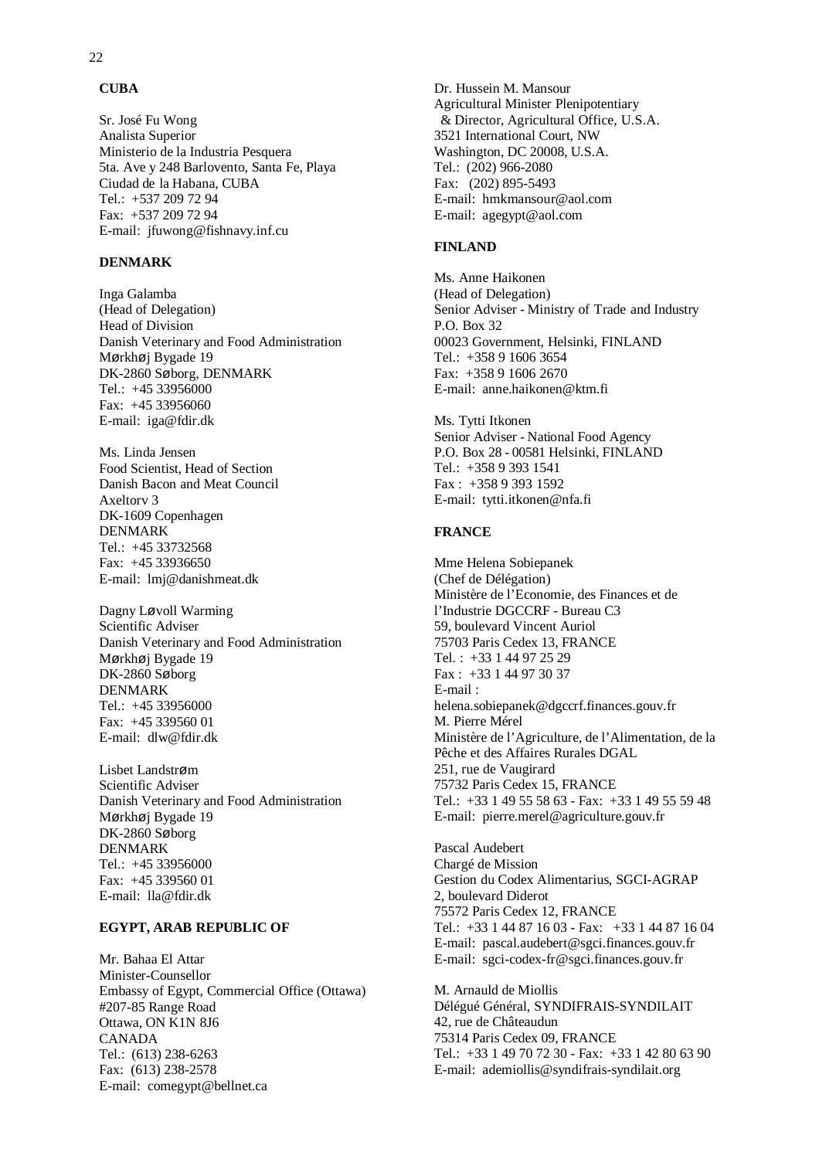#### **CUBA**

Sr. José Fu Wong Analista Superior Ministerio de la Industria Pesquera 5ta. Ave y 248 Barlovento, Santa Fe, Playa Ciudad de la Habana, CUBA Tel.: +537 209 72 94 Fax: +537 209 72 94 E-mail: jfuwong@fishnavy.inf.cu

#### **DENMARK**

Inga Galamba (Head of Delegation) Head of Division Danish Veterinary and Food Administration Mørkhøj Bygade 19 DK-2860 Søborg, DENMARK Tel.: +45 33956000 Fax: +45 33956060 E-mail: iga@fdir.dk

Ms. Linda Jensen Food Scientist, Head of Section Danish Bacon and Meat Council Axeltorv 3 DK-1609 Copenhagen DENMARK Tel.: +45 33732568 Fax: +45 33936650 E-mail: lmj@danishmeat.dk

Dagny Løvoll Warming Scientific Adviser Danish Veterinary and Food Administration Mørkhøj Bygade 19 DK-2860 Søborg DENMARK Tel.: +45 33956000 Fax: +45 339560 01 E-mail: dlw@fdir.dk

Lisbet Landstrøm Scientific Adviser Danish Veterinary and Food Administration Mørkhøj Bygade 19 DK-2860 Søborg DENMARK Tel.: +45 33956000 Fax: +45 339560 01 E-mail: lla@fdir.dk

#### **EGYPT, ARAB REPUBLIC OF**

Mr. Bahaa El Attar Minister-Counsellor Embassy of Egypt, Commercial Office (Ottawa) #207-85 Range Road Ottawa, ON K1N 8J6 CANADA Tel.: (613) 238-6263 Fax: (613) 238-2578 E-mail: comegypt@bellnet.ca

Dr. Hussein M. Mansour Agricultural Minister Plenipotentiary & Director, Agricultural Office, U.S.A. 3521 International Court, NW Washington, DC 20008, U.S.A. Tel.: (202) 966-2080 Fax: (202) 895-5493 E-mail: hmkmansour@aol.com E-mail: agegypt@aol.com

#### **FINLAND**

Ms. Anne Haikonen (Head of Delegation) Senior Adviser - Ministry of Trade and Industry P.O. Box 32 00023 Government, Helsinki, FINLAND Tel.: +358 9 1606 3654 Fax: +358 9 1606 2670 E-mail: anne.haikonen@ktm.fi

Ms. Tytti Itkonen Senior Adviser - National Food Agency P.O. Box 28 - 00581 Helsinki, FINLAND Tel.: +358 9 393 1541 Fax : +358 9 393 1592 E-mail: tytti.itkonen@nfa.fi

#### **FRANCE**

Mme Helena Sobiepanek (Chef de Délégation) Ministère de l'Economie, des Finances et de l'Industrie DGCCRF - Bureau C3 59, boulevard Vincent Auriol 75703 Paris Cedex 13, FRANCE Tel. : +33 1 44 97 25 29 Fax : +33 1 44 97 30 37 E-mail : helena.sobiepanek@dgccrf.finances.gouv.fr M. Pierre Mérel Ministère de l'Agriculture, de l'Alimentation, de la Pêche et des Affaires Rurales DGAL 251, rue de Vaugirard 75732 Paris Cedex 15, FRANCE Tel.: +33 1 49 55 58 63 - Fax: +33 1 49 55 59 48 E-mail: pierre.merel@agriculture.gouv.fr

Pascal Audebert Chargé de Mission Gestion du Codex Alimentarius, SGCI-AGRAP 2, boulevard Diderot 75572 Paris Cedex 12, FRANCE Tel.: +33 1 44 87 16 03 - Fax: +33 1 44 87 16 04 E-mail: pascal.audebert@sgci.finances.gouv.fr E-mail: sgci-codex-fr@sgci.finances.gouv.fr

M. Arnauld de Miollis Délégué Général, SYNDIFRAIS-SYNDILAIT 42, rue de Châteaudun 75314 Paris Cedex 09, FRANCE Tel.: +33 1 49 70 72 30 - Fax: +33 1 42 80 63 90 E-mail: ademiollis@syndifrais-syndilait.org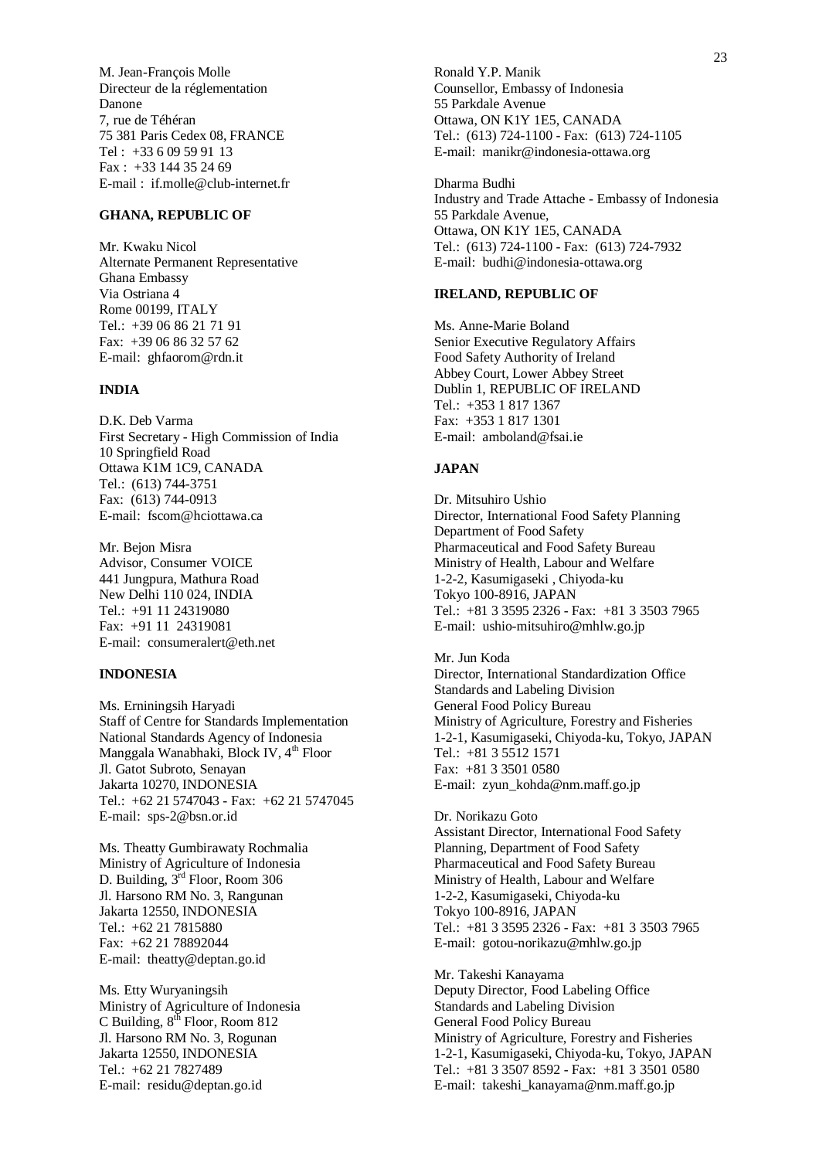M. Jean-François Molle Directeur de la réglementation Danone 7, rue de Téhéran 75 381 Paris Cedex 08, FRANCE Tel:  $+33609599113$ Fax : +33 144 35 24 69 E-mail : if.molle@club-internet.fr

#### **GHANA, REPUBLIC OF**

Mr. Kwaku Nicol Alternate Permanent Representative Ghana Embassy Via Ostriana 4 Rome 00199, ITALY Tel.: +39 06 86 21 71 91 Fax: +39 06 86 32 57 62 E-mail: ghfaorom@rdn.it

#### **INDIA**

D.K. Deb Varma First Secretary - High Commission of India 10 Springfield Road Ottawa K1M 1C9, CANADA Tel.: (613) 744-3751 Fax: (613) 744-0913 E-mail: fscom@hciottawa.ca

Mr. Bejon Misra Advisor, Consumer VOICE 441 Jungpura, Mathura Road New Delhi 110 024, INDIA Tel.: +91 11 24319080 Fax: +91 11 24319081 E-mail: consumeralert@eth.net

#### **INDONESIA**

Ms. Erniningsih Haryadi Staff of Centre for Standards Implementation National Standards Agency of Indonesia Manggala Wanabhaki, Block IV, 4<sup>th</sup> Floor Jl. Gatot Subroto, Senayan Jakarta 10270, INDONESIA Tel.: +62 21 5747043 - Fax: +62 21 5747045 E-mail: sps-2@bsn.or.id

Ms. Theatty Gumbirawaty Rochmalia Ministry of Agriculture of Indonesia D. Building, 3rd Floor, Room 306 Jl. Harsono RM No. 3, Rangunan Jakarta 12550, INDONESIA Tel.: +62 21 7815880 Fax: +62 21 78892044 E-mail: theatty@deptan.go.id

Ms. Etty Wuryaningsih Ministry of Agriculture of Indonesia C Building,  $8^{th}$  Floor, Room 812 Jl. Harsono RM No. 3, Rogunan Jakarta 12550, INDONESIA Tel.: +62 21 7827489 E-mail: residu@deptan.go.id

Ronald Y.P. Manik Counsellor, Embassy of Indonesia 55 Parkdale Avenue Ottawa, ON K1Y 1E5, CANADA Tel.: (613) 724-1100 - Fax: (613) 724-1105 E-mail: manikr@indonesia-ottawa.org

Dharma Budhi Industry and Trade Attache - Embassy of Indonesia 55 Parkdale Avenue, Ottawa, ON K1Y 1E5, CANADA Tel.: (613) 724-1100 - Fax: (613) 724-7932 E-mail: budhi@indonesia-ottawa.org

#### **IRELAND, REPUBLIC OF**

Ms. Anne-Marie Boland Senior Executive Regulatory Affairs Food Safety Authority of Ireland Abbey Court, Lower Abbey Street Dublin 1, REPUBLIC OF IRELAND Tel.: +353 1 817 1367 Fax: +353 1 817 1301 E-mail: amboland@fsai.ie

#### **JAPAN**

Dr. Mitsuhiro Ushio Director, International Food Safety Planning Department of Food Safety Pharmaceutical and Food Safety Bureau Ministry of Health, Labour and Welfare 1-2-2, Kasumigaseki , Chiyoda-ku Tokyo 100-8916, JAPAN Tel.: +81 3 3595 2326 - Fax: +81 3 3503 7965 E-mail: ushio-mitsuhiro@mhlw.go.jp

Mr. Jun Koda Director, International Standardization Office Standards and Labeling Division General Food Policy Bureau Ministry of Agriculture, Forestry and Fisheries 1-2-1, Kasumigaseki, Chiyoda-ku, Tokyo, JAPAN Tel.: +81 3 5512 1571 Fax: +81 3 3501 0580 E-mail: zyun\_kohda@nm.maff.go.jp

Dr. Norikazu Goto Assistant Director, International Food Safety Planning, Department of Food Safety Pharmaceutical and Food Safety Bureau Ministry of Health, Labour and Welfare 1-2-2, Kasumigaseki, Chiyoda-ku Tokyo 100-8916, JAPAN Tel.: +81 3 3595 2326 - Fax: +81 3 3503 7965 E-mail: gotou-norikazu@mhlw.go.jp

Mr. Takeshi Kanayama Deputy Director, Food Labeling Office Standards and Labeling Division General Food Policy Bureau Ministry of Agriculture, Forestry and Fisheries 1-2-1, Kasumigaseki, Chiyoda-ku, Tokyo, JAPAN Tel.: +81 3 3507 8592 - Fax: +81 3 3501 0580 E-mail: takeshi\_kanayama@nm.maff.go.jp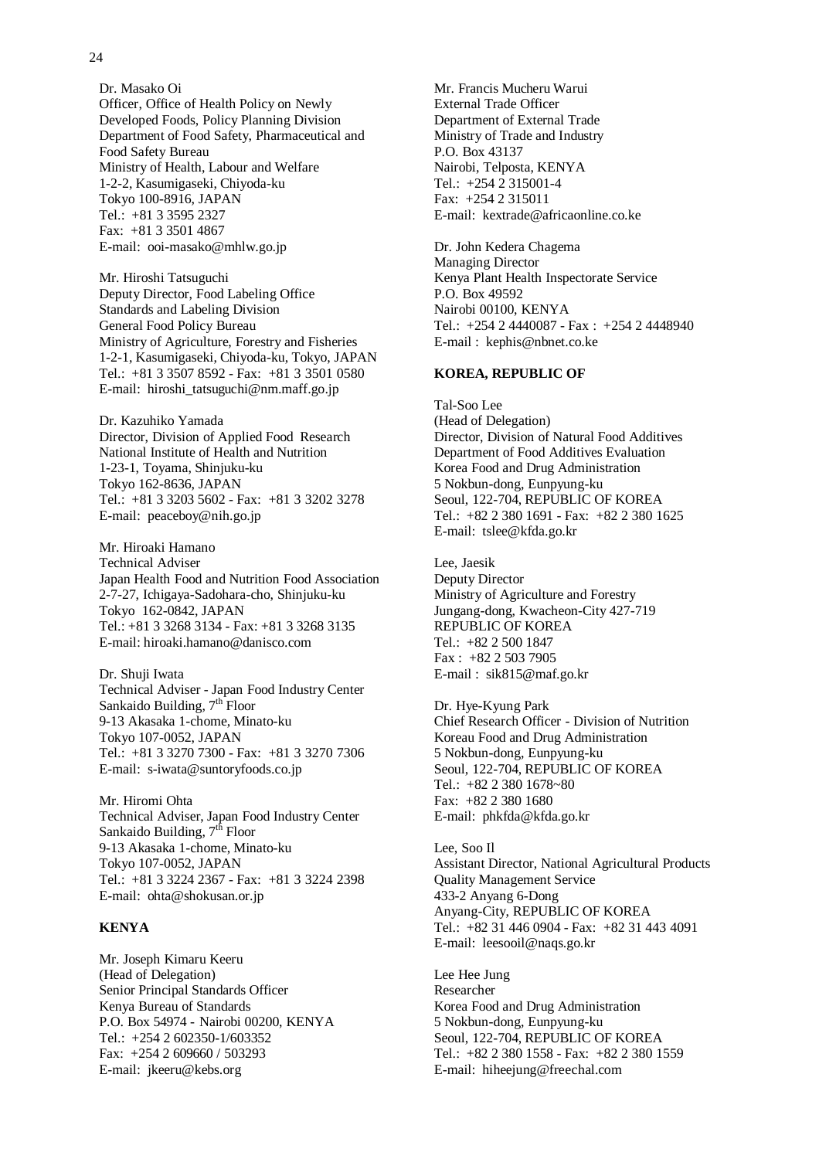Dr. Masako Oi Officer, Office of Health Policy on Newly Developed Foods, Policy Planning Division Department of Food Safety, Pharmaceutical and Food Safety Bureau Ministry of Health, Labour and Welfare 1-2-2, Kasumigaseki, Chiyoda-ku Tokyo 100-8916, JAPAN Tel.: +81 3 3595 2327 Fax: +81 3 3501 4867 E-mail: ooi-masako@mhlw.go.jp

Mr. Hiroshi Tatsuguchi Deputy Director, Food Labeling Office Standards and Labeling Division General Food Policy Bureau Ministry of Agriculture, Forestry and Fisheries 1-2-1, Kasumigaseki, Chiyoda-ku, Tokyo, JAPAN Tel.: +81 3 3507 8592 - Fax: +81 3 3501 0580 E-mail: hiroshi\_tatsuguchi@nm.maff.go.jp

Dr. Kazuhiko Yamada Director, Division of Applied Food Research National Institute of Health and Nutrition 1-23-1, Toyama, Shinjuku-ku Tokyo 162-8636, JAPAN Tel.: +81 3 3203 5602 - Fax: +81 3 3202 3278 E-mail: peaceboy@nih.go.jp

Mr. Hiroaki Hamano Technical Adviser Japan Health Food and Nutrition Food Association 2-7-27, Ichigaya-Sadohara-cho, Shinjuku-ku Tokyo 162-0842, JAPAN Tel.: +81 3 3268 3134 - Fax: +81 3 3268 3135 E-mail: hiroaki.hamano@danisco.com

Dr. Shuji Iwata Technical Adviser - Japan Food Industry Center Sankaido Building,  $7<sup>th</sup>$  Floor 9-13 Akasaka 1-chome, Minato-ku Tokyo 107-0052, JAPAN Tel.: +81 3 3270 7300 - Fax: +81 3 3270 7306 E-mail: s-iwata@suntoryfoods.co.jp

Mr. Hiromi Ohta Technical Adviser, Japan Food Industry Center Sankaido Building, 7<sup>th</sup> Floor 9-13 Akasaka 1-chome, Minato-ku Tokyo 107-0052, JAPAN Tel.: +81 3 3224 2367 - Fax: +81 3 3224 2398 E-mail: ohta@shokusan.or.jp

## **KENYA**

Mr. Joseph Kimaru Keeru (Head of Delegation) Senior Principal Standards Officer Kenya Bureau of Standards P.O. Box 54974 - Nairobi 00200, KENYA Tel.: +254 2 602350-1/603352 Fax: +254 2 609660 / 503293 E-mail: jkeeru@kebs.org

Mr. Francis Mucheru Warui External Trade Officer Department of External Trade Ministry of Trade and Industry P.O. Box 43137 Nairobi, Telposta, KENYA Tel.: +254 2 315001-4 Fax: +254 2 315011 E-mail: kextrade@africaonline.co.ke

Dr. John Kedera Chagema Managing Director Kenya Plant Health Inspectorate Service P.O. Box 49592 Nairobi 00100, KENYA Tel.: +254 2 4440087 - Fax : +254 2 4448940 E-mail : kephis@nbnet.co.ke

#### **KOREA, REPUBLIC OF**

Tal-Soo Lee (Head of Delegation) Director, Division of Natural Food Additives Department of Food Additives Evaluation Korea Food and Drug Administration 5 Nokbun-dong, Eunpyung-ku Seoul, 122-704, REPUBLIC OF KOREA Tel.: +82 2 380 1691 - Fax: +82 2 380 1625 E-mail: tslee@kfda.go.kr

Lee, Jaesik Deputy Director Ministry of Agriculture and Forestry Jungang-dong, Kwacheon-City 427-719 REPUBLIC OF KOREA Tel.: +82 2 500 1847 Fax : +82 2 503 7905 E-mail : sik815@maf.go.kr

Dr. Hye-Kyung Park Chief Research Officer - Division of Nutrition Koreau Food and Drug Administration 5 Nokbun-dong, Eunpyung-ku Seoul, 122-704, REPUBLIC OF KOREA Tel.: +82 2 380 1678~80 Fax: +82 2 380 1680 E-mail: phkfda@kfda.go.kr

Lee, Soo Il Assistant Director, National Agricultural Products Quality Management Service 433-2 Anyang 6-Dong Anyang-City, REPUBLIC OF KOREA Tel.: +82 31 446 0904 - Fax: +82 31 443 4091 E-mail: leesooil@naqs.go.kr

Lee Hee Jung Researcher Korea Food and Drug Administration 5 Nokbun-dong, Eunpyung-ku Seoul, 122-704, REPUBLIC OF KOREA Tel.: +82 2 380 1558 - Fax: +82 2 380 1559 E-mail: hiheejung@freechal.com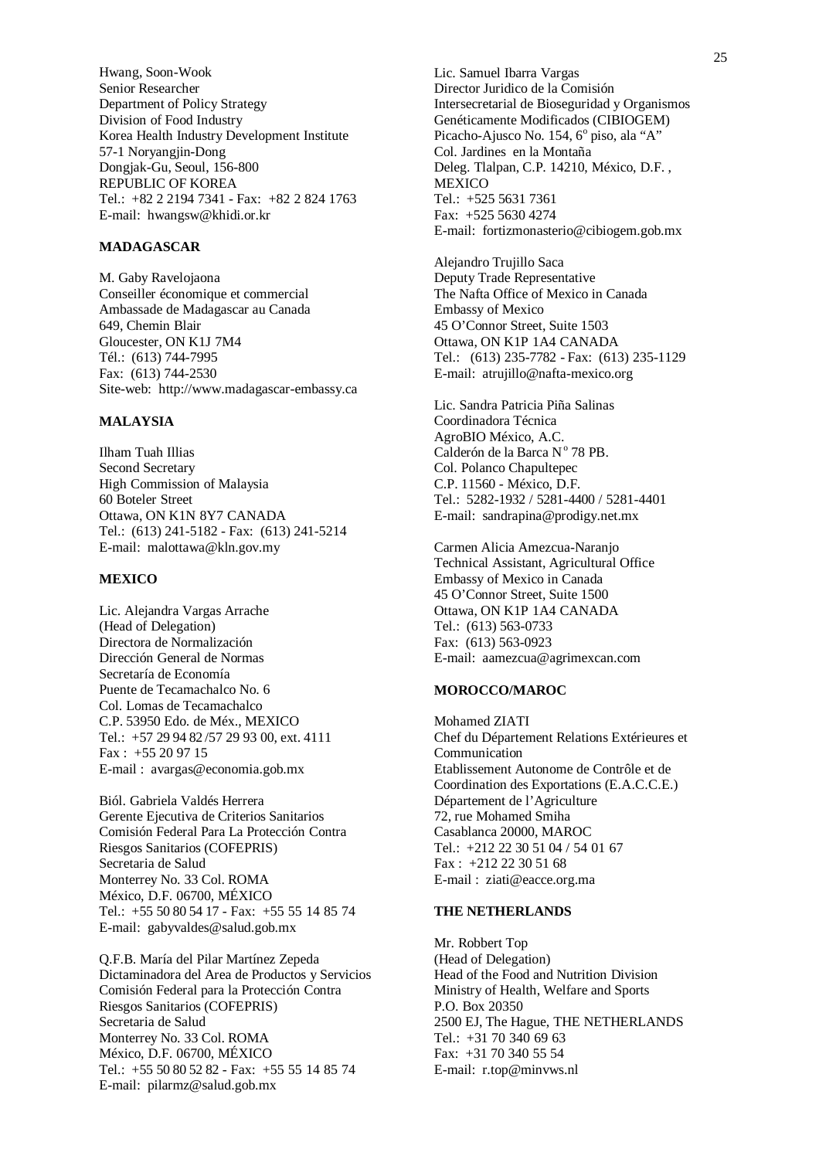Hwang, Soon-Wook Senior Researcher Department of Policy Strategy Division of Food Industry Korea Health Industry Development Institute 57-1 Noryangjin-Dong Dongjak-Gu, Seoul, 156-800 REPUBLIC OF KOREA Tel.: +82 2 2194 7341 - Fax: +82 2 824 1763 E-mail: hwangsw@khidi.or.kr

#### **MADAGASCAR**

M. Gaby Ravelojaona Conseiller économique et commercial Ambassade de Madagascar au Canada 649, Chemin Blair Gloucester, ON K1J 7M4 Tél.: (613) 744-7995 Fax: (613) 744-2530 Site-web: http://www.madagascar-embassy.ca

#### **MALAYSIA**

Ilham Tuah Illias Second Secretary High Commission of Malaysia 60 Boteler Street Ottawa, ON K1N 8Y7 CANADA Tel.: (613) 241-5182 - Fax: (613) 241-5214 E-mail: malottawa@kln.gov.my

#### **MEXICO**

Lic. Alejandra Vargas Arrache (Head of Delegation) Directora de Normalización Dirección General de Normas Secretaría de Economía Puente de Tecamachalco No. 6 Col. Lomas de Tecamachalco C.P. 53950 Edo. de Méx., MEXICO Tel.: +57 29 94 82 /57 29 93 00, ext. 4111  $Fax: +55209715$ E-mail : avargas@economia.gob.mx

Biól. Gabriela Valdés Herrera Gerente Ejecutiva de Criterios Sanitarios Comisión Federal Para La Protección Contra Riesgos Sanitarios (COFEPRIS) Secretaria de Salud Monterrey No. 33 Col. ROMA México, D.F. 06700, MÉXICO Tel.: +55 50 80 54 17 - Fax: +55 55 14 85 74 E-mail: gabyvaldes@salud.gob.mx

Q.F.B. María del Pilar Martínez Zepeda Dictaminadora del Area de Productos y Servicios Comisión Federal para la Protección Contra Riesgos Sanitarios (COFEPRIS) Secretaria de Salud Monterrey No. 33 Col. ROMA México, D.F. 06700, MÉXICO Tel.: +55 50 80 52 82 - Fax: +55 55 14 85 74 E-mail: pilarmz@salud.gob.mx

Lic. Samuel Ibarra Vargas Director Juridico de la Comisión Intersecretarial de Bioseguridad y Organismos Genéticamente Modificados (CIBIOGEM) Picacho-Ajusco No. 154, 6º piso, ala "A" Col. Jardines en la Montaña Deleg. Tlalpan, C.P. 14210, México, D.F. , **MEXICO** Tel.: +525 5631 7361 Fax: +525 5630 4274 E-mail: fortizmonasterio@cibiogem.gob.mx

Alejandro Trujillo Saca Deputy Trade Representative The Nafta Office of Mexico in Canada Embassy of Mexico 45 O'Connor Street, Suite 1503 Ottawa, ON K1P 1A4 CANADA Tel.: (613) 235-7782 - Fax: (613) 235-1129 E-mail: atrujillo@nafta-mexico.org

Lic. Sandra Patricia Piña Salinas Coordinadora Técnica AgroBIO México, A.C. Calderón de la Barca Nº 78 PB. Col. Polanco Chapultepec C.P. 11560 - México, D.F. Tel.: 5282-1932 / 5281-4400 / 5281-4401 E-mail: sandrapina@prodigy.net.mx

Carmen Alicia Amezcua-Naranjo Technical Assistant, Agricultural Office Embassy of Mexico in Canada 45 O'Connor Street, Suite 1500 Ottawa, ON K1P 1A4 CANADA Tel.: (613) 563-0733 Fax: (613) 563-0923 E-mail: aamezcua@agrimexcan.com

#### **MOROCCO/MAROC**

Mohamed ZIATI Chef du Département Relations Extérieures et Communication Etablissement Autonome de Contrôle et de Coordination des Exportations (E.A.C.C.E.) Département de l'Agriculture 72, rue Mohamed Smiha Casablanca 20000, MAROC Tel.: +212 22 30 51 04 / 54 01 67 Fax : +212 22 30 51 68 E-mail : ziati@eacce.org.ma

#### **THE NETHERLANDS**

Mr. Robbert Top (Head of Delegation) Head of the Food and Nutrition Division Ministry of Health, Welfare and Sports P.O. Box 20350 2500 EJ, The Hague, THE NETHERLANDS Tel.: +31 70 340 69 63 Fax: +31 70 340 55 54 E-mail: r.top@minvws.nl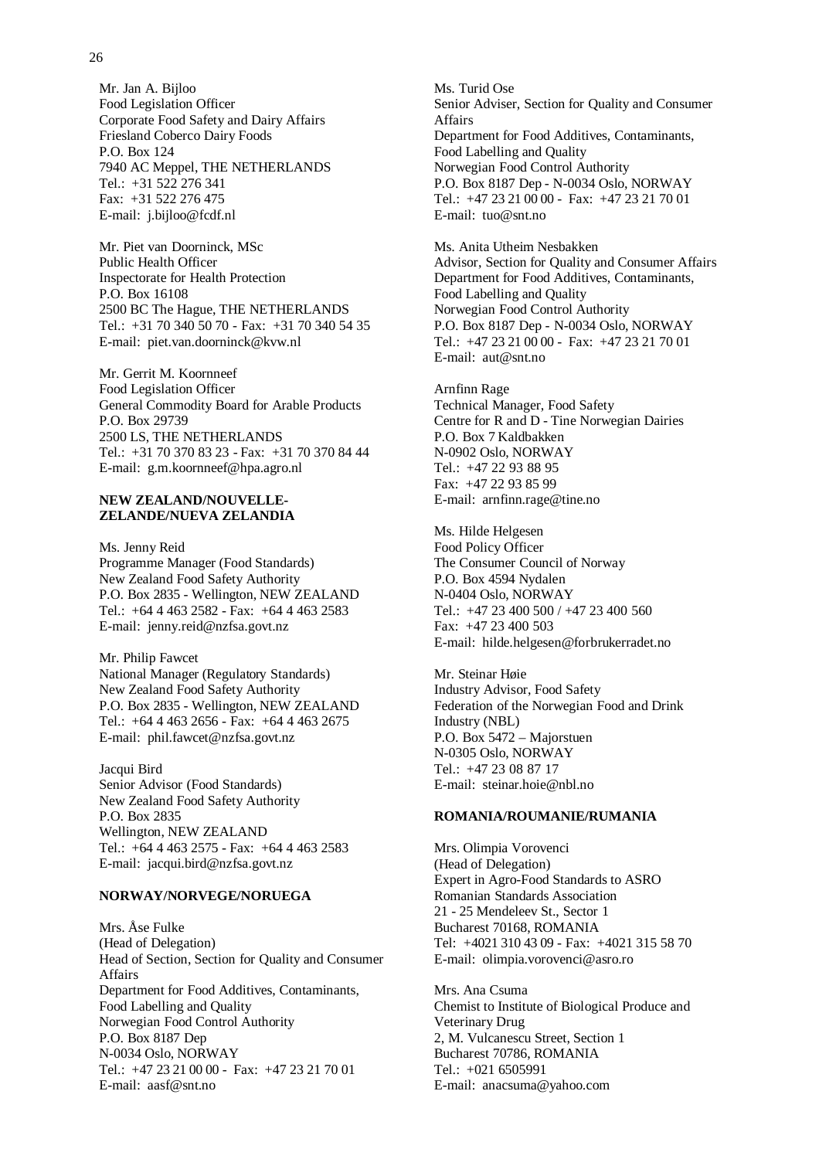Mr. Jan A. Bijloo Food Legislation Officer Corporate Food Safety and Dairy Affairs Friesland Coberco Dairy Foods P.O. Box 124 7940 AC Meppel, THE NETHERLANDS Tel.: +31 522 276 341 Fax: +31 522 276 475 E-mail: j.bijloo@fcdf.nl

Mr. Piet van Doorninck, MSc Public Health Officer Inspectorate for Health Protection P.O. Box 16108 2500 BC The Hague, THE NETHERLANDS Tel.: +31 70 340 50 70 - Fax: +31 70 340 54 35 E-mail: piet.van.doorninck@kvw.nl

Mr. Gerrit M. Koornneef Food Legislation Officer General Commodity Board for Arable Products P.O. Box 29739 2500 LS, THE NETHERLANDS Tel.: +31 70 370 83 23 - Fax: +31 70 370 84 44 E-mail: g.m.koornneef@hpa.agro.nl

#### **NEW ZEALAND/NOUVELLE-ZELANDE/NUEVA ZELANDIA**

Ms. Jenny Reid Programme Manager (Food Standards) New Zealand Food Safety Authority P.O. Box 2835 - Wellington, NEW ZEALAND Tel.: +64 4 463 2582 - Fax: +64 4 463 2583 E-mail: jenny.reid@nzfsa.govt.nz

Mr. Philip Fawcet National Manager (Regulatory Standards) New Zealand Food Safety Authority P.O. Box 2835 - Wellington, NEW ZEALAND Tel.: +64 4 463 2656 - Fax: +64 4 463 2675 E-mail: phil.fawcet@nzfsa.govt.nz

Jacqui Bird Senior Advisor (Food Standards) New Zealand Food Safety Authority P.O. Box 2835 Wellington, NEW ZEALAND Tel.: +64 4 463 2575 - Fax: +64 4 463 2583 E-mail: jacqui.bird@nzfsa.govt.nz

#### **NORWAY/NORVEGE/NORUEGA**

Mrs. Åse Fulke (Head of Delegation) Head of Section, Section for Quality and Consumer Affairs Department for Food Additives, Contaminants, Food Labelling and Quality Norwegian Food Control Authority P.O. Box 8187 Dep N-0034 Oslo, NORWAY Tel.: +47 23 21 00 00 - Fax: +47 23 21 70 01 E-mail: aasf@snt.no

Ms. Turid Ose Senior Adviser, Section for Quality and Consumer Affairs Department for Food Additives, Contaminants, Food Labelling and Quality Norwegian Food Control Authority P.O. Box 8187 Dep - N-0034 Oslo, NORWAY Tel.: +47 23 21 00 00 - Fax: +47 23 21 70 01 E-mail: tuo@snt.no

Ms. Anita Utheim Nesbakken Advisor, Section for Quality and Consumer Affairs Department for Food Additives, Contaminants, Food Labelling and Quality Norwegian Food Control Authority P.O. Box 8187 Dep - N-0034 Oslo, NORWAY Tel.: +47 23 21 00 00 - Fax: +47 23 21 70 01 E-mail: aut@snt.no

Arnfinn Rage Technical Manager, Food Safety Centre for R and D - Tine Norwegian Dairies P.O. Box 7 Kaldbakken N-0902 Oslo, NORWAY Tel.: +47 22 93 88 95 Fax: +47 22 93 85 99 E-mail: arnfinn.rage@tine.no

Ms. Hilde Helgesen Food Policy Officer The Consumer Council of Norway P.O. Box 4594 Nydalen N-0404 Oslo, NORWAY Tel.: +47 23 400 500 / +47 23 400 560 Fax: +47 23 400 503 E-mail: hilde.helgesen@forbrukerradet.no

Mr. Steinar Høie Industry Advisor, Food Safety Federation of the Norwegian Food and Drink Industry (NBL) P.O. Box 5472 – Majorstuen N-0305 Oslo, NORWAY Tel.: +47 23 08 87 17 E-mail: steinar.hoie@nbl.no

#### **ROMANIA/ROUMANIE/RUMANIA**

Mrs. Olimpia Vorovenci (Head of Delegation) Expert in Agro-Food Standards to ASRO Romanian Standards Association 21 - 25 Mendeleev St., Sector 1 Bucharest 70168, ROMANIA Tel: +4021 310 43 09 - Fax: +4021 315 58 70 E-mail: olimpia.vorovenci@asro.ro

Mrs. Ana Csuma Chemist to Institute of Biological Produce and Veterinary Drug 2, M. Vulcanescu Street, Section 1 Bucharest 70786, ROMANIA Tel.: +021 6505991 E-mail: anacsuma@yahoo.com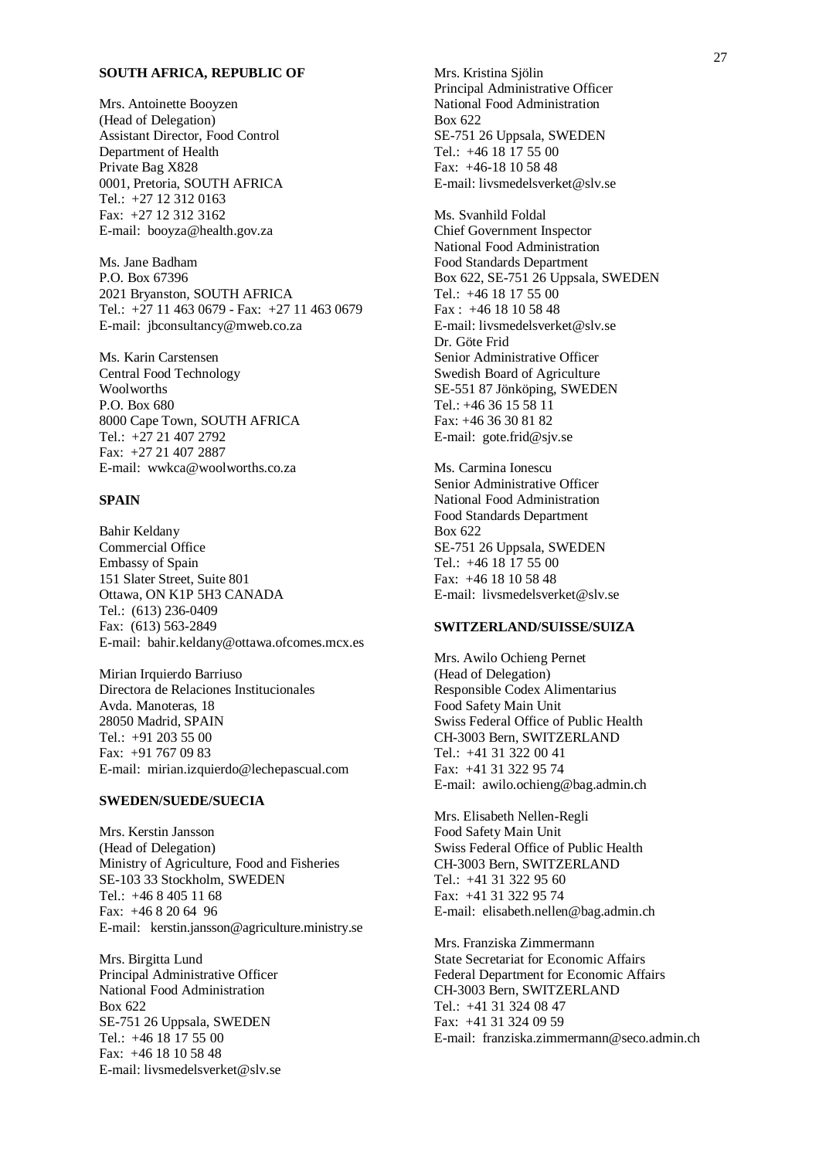#### **SOUTH AFRICA, REPUBLIC OF**

Mrs. Antoinette Booyzen (Head of Delegation) Assistant Director, Food Control Department of Health Private Bag X828 0001, Pretoria, SOUTH AFRICA Tel.: +27 12 312 0163 Fax: +27 12 312 3162 E-mail: booyza@health.gov.za

Ms. Jane Badham P.O. Box 67396 2021 Bryanston, SOUTH AFRICA Tel.: +27 11 463 0679 - Fax: +27 11 463 0679 E-mail: jbconsultancy@mweb.co.za

Ms. Karin Carstensen Central Food Technology Woolworths P.O. Box 680 8000 Cape Town, SOUTH AFRICA Tel.: +27 21 407 2792 Fax: +27 21 407 2887 E-mail: wwkca@woolworths.co.za

#### **SPAIN**

Bahir Keldany Commercial Office Embassy of Spain 151 Slater Street, Suite 801 Ottawa, ON K1P 5H3 CANADA Tel.: (613) 236-0409 Fax: (613) 563-2849 E-mail: bahir.keldany@ottawa.ofcomes.mcx.es

Mirian Irquierdo Barriuso Directora de Relaciones Institucionales Avda. Manoteras, 18 28050 Madrid, SPAIN Tel.:  $+91\,203\,55\,00$ Fax: +91 767 09 83 E-mail: mirian.izquierdo@lechepascual.com

#### **SWEDEN/SUEDE/SUECIA**

Mrs. Kerstin Jansson (Head of Delegation) Ministry of Agriculture, Food and Fisheries SE-103 33 Stockholm, SWEDEN Tel.: +46 8 405 11 68 Fax: +46 8 20 64 96 E-mail: kerstin.jansson@agriculture.ministry.se

Mrs. Birgitta Lund Principal Administrative Officer National Food Administration Box 622 SE-751 26 Uppsala, SWEDEN Tel.: +46 18 17 55 00 Fax: +46 18 10 58 48 E-mail: livsmedelsverket@slv.se

Mrs. Kristina Sjölin Principal Administrative Officer National Food Administration Box 622 SE-751 26 Uppsala, SWEDEN Tel.: +46 18 17 55 00 Fax: +46-18 10 58 48 E-mail: livsmedelsverket@slv.se

Ms. Svanhild Foldal Chief Government Inspector National Food Administration Food Standards Department Box 622, SE-751 26 Uppsala, SWEDEN Tel.: +46 18 17 55 00 Fax : +46 18 10 58 48 E-mail: livsmedelsverket@slv.se Dr. Göte Frid Senior Administrative Officer Swedish Board of Agriculture SE-551 87 Jönköping, SWEDEN Tel.: +46 36 15 58 11 Fax: +46 36 30 81 82 E-mail: gote.frid@sjv.se

Ms. Carmina Ionescu Senior Administrative Officer National Food Administration Food Standards Department Box 622 SE-751 26 Uppsala, SWEDEN Tel.: +46 18 17 55 00 Fax: +46 18 10 58 48 E-mail: livsmedelsverket@slv.se

#### **SWITZERLAND/SUISSE/SUIZA**

Mrs. Awilo Ochieng Pernet (Head of Delegation) Responsible Codex Alimentarius Food Safety Main Unit Swiss Federal Office of Public Health CH-3003 Bern, SWITZERLAND Tel.: +41 31 322 00 41 Fax: +41 31 322 95 74 E-mail: awilo.ochieng@bag.admin.ch

Mrs. Elisabeth Nellen-Regli Food Safety Main Unit Swiss Federal Office of Public Health CH-3003 Bern, SWITZERLAND Tel.: +41 31 322 95 60 Fax: +41 31 322 95 74 E-mail: elisabeth.nellen@bag.admin.ch

Mrs. Franziska Zimmermann State Secretariat for Economic Affairs Federal Department for Economic Affairs CH-3003 Bern, SWITZERLAND Tel.: +41 31 324 08 47 Fax: +41 31 324 09 59 E-mail: franziska.zimmermann@seco.admin.ch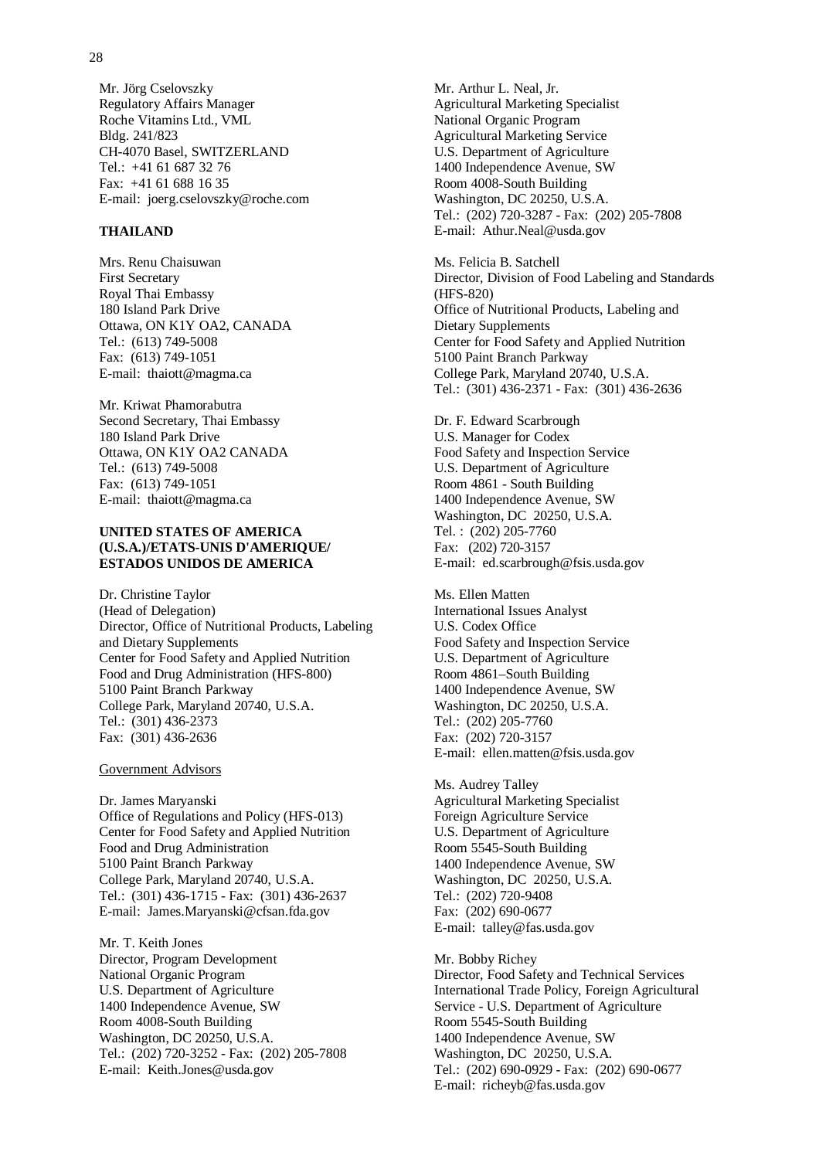Mr. Jörg Cselovszky Regulatory Affairs Manager Roche Vitamins Ltd., VML Bldg. 241/823 CH-4070 Basel, SWITZERLAND Tel.: +41 61 687 32 76 Fax: +41 61 688 16 35 E-mail: joerg.cselovszky@roche.com

#### **THAILAND**

Mrs. Renu Chaisuwan First Secretary Royal Thai Embassy 180 Island Park Drive Ottawa, ON K1Y OA2, CANADA Tel.: (613) 749-5008 Fax: (613) 749-1051 E-mail: thaiott@magma.ca

Mr. Kriwat Phamorabutra Second Secretary, Thai Embassy 180 Island Park Drive Ottawa, ON K1Y OA2 CANADA Tel.: (613) 749-5008 Fax: (613) 749-1051 E-mail: thaiott@magma.ca

#### **UNITED STATES OF AMERICA (U.S.A.)/ETATS-UNIS D'AMERIQUE/ ESTADOS UNIDOS DE AMERICA**

Dr. Christine Taylor (Head of Delegation) Director, Office of Nutritional Products, Labeling and Dietary Supplements Center for Food Safety and Applied Nutrition Food and Drug Administration (HFS-800) 5100 Paint Branch Parkway College Park, Maryland 20740, U.S.A. Tel.: (301) 436-2373 Fax: (301) 436-2636

Government Advisors

Dr. James Maryanski Office of Regulations and Policy (HFS-013) Center for Food Safety and Applied Nutrition Food and Drug Administration 5100 Paint Branch Parkway College Park, Maryland 20740, U.S.A. Tel.: (301) 436-1715 - Fax: (301) 436-2637 E-mail: James.Maryanski@cfsan.fda.gov

Mr. T. Keith Jones Director, Program Development National Organic Program U.S. Department of Agriculture 1400 Independence Avenue, SW Room 4008-South Building Washington, DC 20250, U.S.A. Tel.: (202) 720-3252 - Fax: (202) 205-7808 E-mail: Keith.Jones@usda.gov

Mr. Arthur L. Neal, Jr. Agricultural Marketing Specialist National Organic Program Agricultural Marketing Service U.S. Department of Agriculture 1400 Independence Avenue, SW Room 4008-South Building Washington, DC 20250, U.S.A. Tel.: (202) 720-3287 - Fax: (202) 205-7808 E-mail: Athur.Neal@usda.gov

Ms. Felicia B. Satchell Director, Division of Food Labeling and Standards (HFS-820) Office of Nutritional Products, Labeling and Dietary Supplements Center for Food Safety and Applied Nutrition 5100 Paint Branch Parkway College Park, Maryland 20740, U.S.A. Tel.: (301) 436-2371 - Fax: (301) 436-2636

Dr. F. Edward Scarbrough U.S. Manager for Codex Food Safety and Inspection Service U.S. Department of Agriculture Room 4861 - South Building 1400 Independence Avenue, SW Washington, DC 20250, U.S.A. Tel. : (202) 205-7760 Fax: (202) 720-3157 E-mail: ed.scarbrough@fsis.usda.gov

Ms. Ellen Matten International Issues Analyst U.S. Codex Office Food Safety and Inspection Service U.S. Department of Agriculture Room 4861–South Building 1400 Independence Avenue, SW Washington, DC 20250, U.S.A. Tel.: (202) 205-7760 Fax: (202) 720-3157 E-mail: ellen.matten@fsis.usda.gov

Ms. Audrey Talley Agricultural Marketing Specialist Foreign Agriculture Service U.S. Department of Agriculture Room 5545-South Building 1400 Independence Avenue, SW Washington, DC 20250, U.S.A. Tel.: (202) 720-9408 Fax: (202) 690-0677 E-mail: talley@fas.usda.gov

Mr. Bobby Richey Director, Food Safety and Technical Services International Trade Policy, Foreign Agricultural Service - U.S. Department of Agriculture Room 5545-South Building 1400 Independence Avenue, SW Washington, DC 20250, U.S.A. Tel.: (202) 690-0929 - Fax: (202) 690-0677 E-mail: richeyb@fas.usda.gov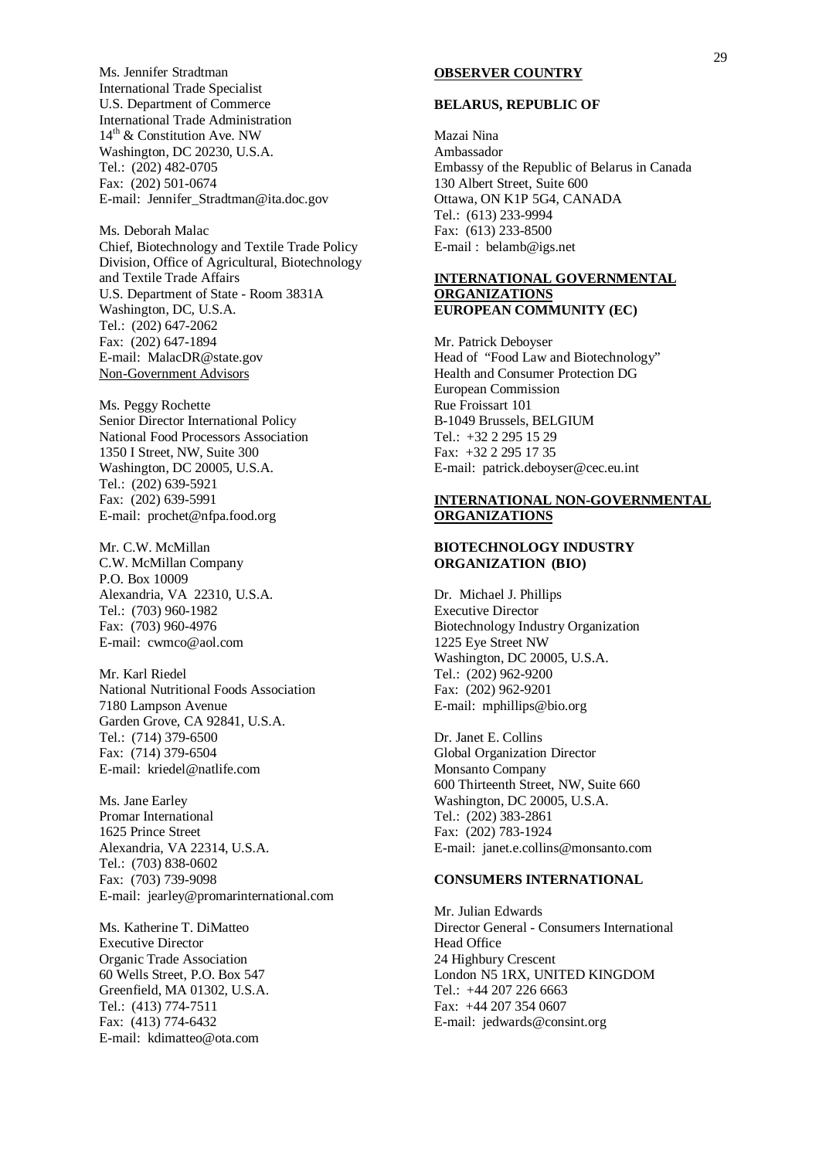Ms. Jennifer Stradtman International Trade Specialist U.S. Department of Commerce International Trade Administration  $14<sup>th</sup>$  & Constitution Ave. NW Washington, DC 20230, U.S.A. Tel.: (202) 482-0705 Fax: (202) 501-0674 E-mail: Jennifer\_Stradtman@ita.doc.gov

Ms. Deborah Malac Chief, Biotechnology and Textile Trade Policy Division, Office of Agricultural, Biotechnology and Textile Trade Affairs U.S. Department of State - Room 3831A Washington, DC, U.S.A. Tel.: (202) 647-2062 Fax: (202) 647-1894 E-mail: MalacDR@state.gov Non-Government Advisors

Ms. Peggy Rochette Senior Director International Policy National Food Processors Association 1350 I Street, NW, Suite 300 Washington, DC 20005, U.S.A. Tel.: (202) 639-5921 Fax: (202) 639-5991 E-mail: prochet@nfpa.food.org

Mr. C.W. McMillan C.W. McMillan Company P.O. Box 10009 Alexandria, VA 22310, U.S.A. Tel.: (703) 960-1982 Fax: (703) 960-4976 E-mail: cwmco@aol.com

Mr. Karl Riedel National Nutritional Foods Association 7180 Lampson Avenue Garden Grove, CA 92841, U.S.A. Tel.: (714) 379-6500 Fax: (714) 379-6504 E-mail: kriedel@natlife.com

Ms. Jane Earley Promar International 1625 Prince Street Alexandria, VA 22314, U.S.A. Tel.: (703) 838-0602 Fax: (703) 739-9098 E-mail: jearley@promarinternational.com

Ms. Katherine T. DiMatteo Executive Director Organic Trade Association 60 Wells Street, P.O. Box 547 Greenfield, MA 01302, U.S.A. Tel.: (413) 774-7511 Fax: (413) 774-6432 E-mail: kdimatteo@ota.com

#### **OBSERVER COUNTRY**

#### **BELARUS, REPUBLIC OF**

Mazai Nina Ambassador Embassy of the Republic of Belarus in Canada 130 Albert Street, Suite 600 Ottawa, ON K1P 5G4, CANADA Tel.: (613) 233-9994 Fax: (613) 233-8500 E-mail : belamb@igs.net

#### **INTERNATIONAL GOVERNMENTAL ORGANIZATIONS EUROPEAN COMMUNITY (EC)**

Mr. Patrick Deboyser Head of "Food Law and Biotechnology" Health and Consumer Protection DG European Commission Rue Froissart 101 B-1049 Brussels, BELGIUM Tel.: +32 2 295 15 29 Fax: +32 2 295 17 35 E-mail: patrick.deboyser@cec.eu.int

#### **INTERNATIONAL NON-GOVERNMENTAL ORGANIZATIONS**

#### **BIOTECHNOLOGY INDUSTRY ORGANIZATION (BIO)**

Dr. Michael J. Phillips Executive Director Biotechnology Industry Organization 1225 Eye Street NW Washington, DC 20005, U.S.A. Tel.: (202) 962-9200 Fax: (202) 962-9201 E-mail: mphillips@bio.org

Dr. Janet E. Collins Global Organization Director Monsanto Company 600 Thirteenth Street, NW, Suite 660 Washington, DC 20005, U.S.A. Tel.: (202) 383-2861 Fax: (202) 783-1924 E-mail: janet.e.collins@monsanto.com

#### **CONSUMERS INTERNATIONAL**

Mr. Julian Edwards Director General - Consumers International Head Office 24 Highbury Crescent London N5 1RX, UNITED KINGDOM Tel.: +44 207 226 6663 Fax: +44 207 354 0607 E-mail: jedwards@consint.org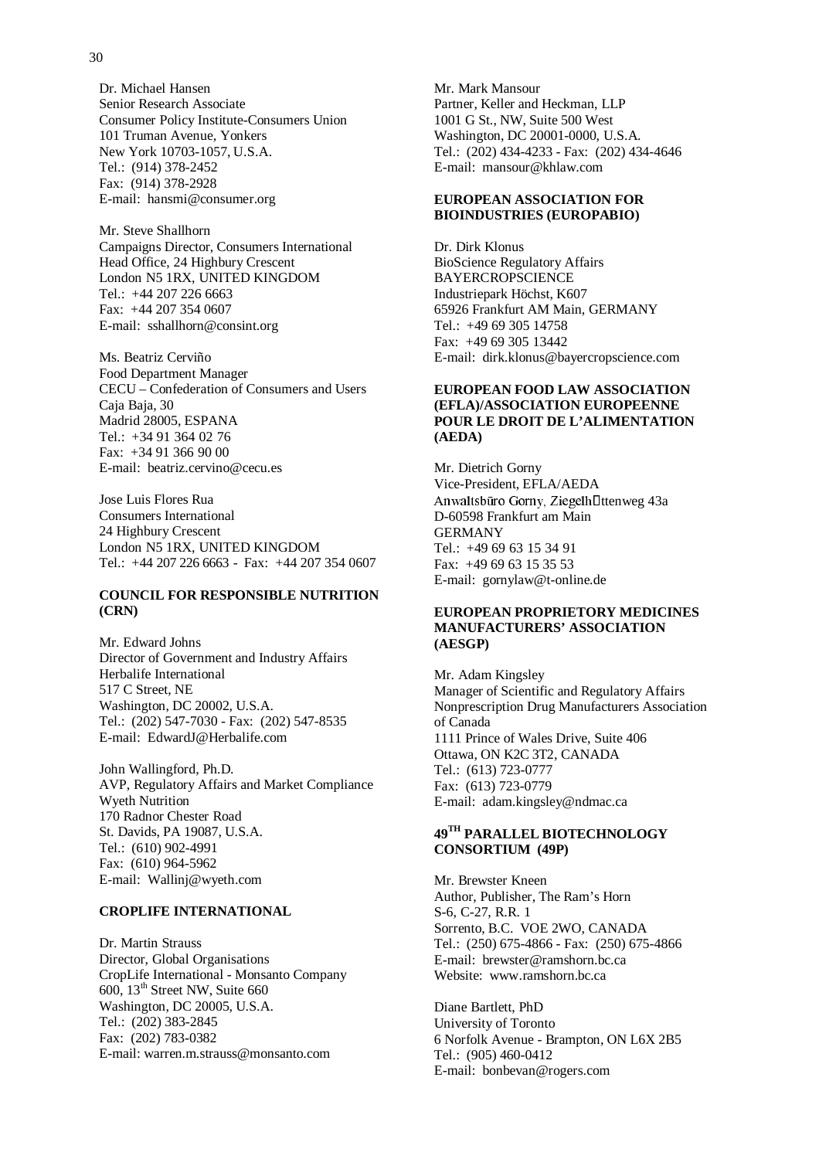Dr. Michael Hansen Senior Research Associate Consumer Policy Institute-Consumers Union 101 Truman Avenue, Yonkers New York 10703-1057, U.S.A. Tel.: (914) 378-2452 Fax: (914) 378-2928 E-mail: hansmi@consumer.org

Mr. Steve Shallhorn Campaigns Director, Consumers International Head Office, 24 Highbury Crescent London N5 1RX, UNITED KINGDOM Tel.: +44 207 226 6663 Fax: +44 207 354 0607 E-mail: sshallhorn@consint.org

Ms. Beatriz Cerviño Food Department Manager CECU – Confederation of Consumers and Users Caja Baja, 30 Madrid 28005, ESPANA Tel.: +34 91 364 02 76 Fax: +34 91 366 90 00 E-mail: beatriz.cervino@cecu.es

Jose Luis Flores Rua Consumers International 24 Highbury Crescent London N5 1RX, UNITED KINGDOM Tel.: +44 207 226 6663 - Fax: +44 207 354 0607

#### **COUNCIL FOR RESPONSIBLE NUTRITION (CRN)**

Mr. Edward Johns Director of Government and Industry Affairs Herbalife International 517 C Street, NE Washington, DC 20002, U.S.A. Tel.: (202) 547-7030 - Fax: (202) 547-8535 E-mail: EdwardJ@Herbalife.com

John Wallingford, Ph.D. AVP, Regulatory Affairs and Market Compliance Wyeth Nutrition 170 Radnor Chester Road St. Davids, PA 19087, U.S.A. Tel.: (610) 902-4991 Fax: (610) 964-5962 E-mail: Wallinj@wyeth.com

#### **CROPLIFE INTERNATIONAL**

Dr. Martin Strauss Director, Global Organisations CropLife International - Monsanto Company  $600$ ,  $13<sup>th</sup>$  Street NW, Suite 660 Washington, DC 20005, U.S.A. Tel.: (202) 383-2845 Fax: (202) 783-0382 E-mail: warren.m.strauss@monsanto.com

Mr. Mark Mansour Partner, Keller and Heckman, LLP 1001 G St., NW, Suite 500 West Washington, DC 20001-0000, U.S.A. Tel.: (202) 434-4233 - Fax: (202) 434-4646 E-mail: mansour@khlaw.com

#### **EUROPEAN ASSOCIATION FOR BIOINDUSTRIES (EUROPABIO)**

Dr. Dirk Klonus BioScience Regulatory Affairs BAYERCROPSCIENCE Industriepark Höchst, K607 65926 Frankfurt AM Main, GERMANY Tel.: +49 69 305 14758 Fax: +49 69 305 13442 E-mail: dirk.klonus@bayercropscience.com

#### **EUROPEAN FOOD LAW ASSOCIATION (EFLA)/ASSOCIATION EUROPEENNE POUR LE DROIT DE L'ALIMENTATION (AEDA)**

Mr. Dietrich Gorny Vice-President, EFLA/AEDA Anwaltsbūro Gorny, Ziegelh□ttenweg 43a<br>D-60598 Frankfurt am Main D-60598 Frankfurt am Main GERMANY Tel.: +49 69 63 15 34 91 Fax: +49 69 63 15 35 53 E-mail: gornylaw@t-online.de

#### **EUROPEAN PROPRIETORY MEDICINES MANUFACTURERS' ASSOCIATION (AESGP)**

Mr. Adam Kingsley Manager of Scientific and Regulatory Affairs Nonprescription Drug Manufacturers Association of Canada 1111 Prince of Wales Drive, Suite 406 Ottawa, ON K2C 3T2, CANADA Tel.: (613) 723-0777 Fax: (613) 723-0779 E-mail: adam.kingsley@ndmac.ca

#### **49TH PARALLEL BIOTECHNOLOGY CONSORTIUM (49P)**

Mr. Brewster Kneen Author, Publisher, The Ram's Horn S-6, C-27, R.R. 1 Sorrento, B.C. VOE 2WO, CANADA Tel.: (250) 675-4866 - Fax: (250) 675-4866 E-mail: brewster@ramshorn.bc.ca Website: www.ramshorn.bc.ca

Diane Bartlett, PhD University of Toronto 6 Norfolk Avenue - Brampton, ON L6X 2B5 Tel.: (905) 460-0412 E-mail: bonbevan@rogers.com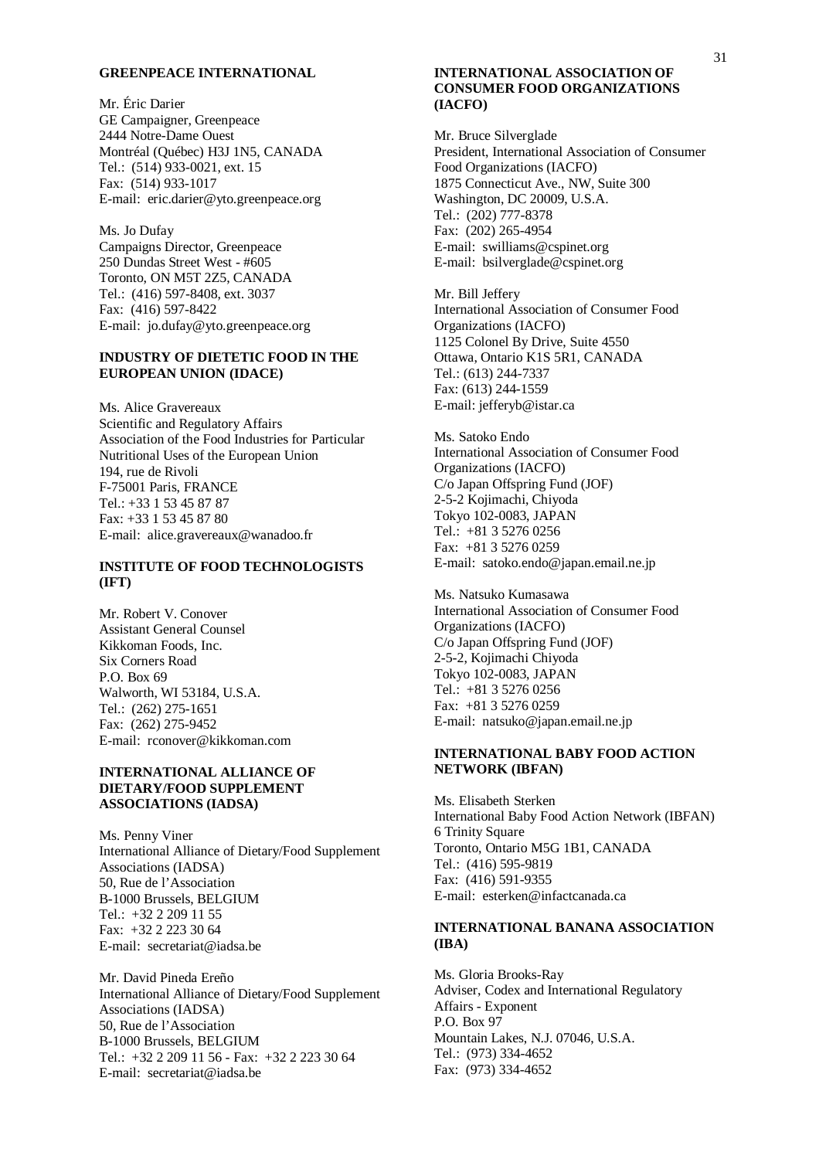#### **GREENPEACE INTERNATIONAL**

Mr. Éric Darier GE Campaigner, Greenpeace 2444 Notre-Dame Ouest Montréal (Québec) H3J 1N5, CANADA Tel.: (514) 933-0021, ext. 15 Fax: (514) 933-1017 E-mail: eric.darier@yto.greenpeace.org

Ms. Jo Dufay Campaigns Director, Greenpeace 250 Dundas Street West - #605 Toronto, ON M5T 2Z5, CANADA Tel.: (416) 597-8408, ext. 3037 Fax: (416) 597-8422 E-mail: jo.dufay@yto.greenpeace.org

#### **INDUSTRY OF DIETETIC FOOD IN THE EUROPEAN UNION (IDACE)**

Ms. Alice Gravereaux Scientific and Regulatory Affairs Association of the Food Industries for Particular Nutritional Uses of the European Union 194, rue de Rivoli F-75001 Paris, FRANCE Tel.: +33 1 53 45 87 87 Fax: +33 1 53 45 87 80 E-mail: alice.gravereaux@wanadoo.fr

#### **INSTITUTE OF FOOD TECHNOLOGISTS (IFT)**

Mr. Robert V. Conover Assistant General Counsel Kikkoman Foods, Inc. Six Corners Road P.O. Box 69 Walworth, WI 53184, U.S.A. Tel.: (262) 275-1651 Fax: (262) 275-9452 E-mail: rconover@kikkoman.com

#### **INTERNATIONAL ALLIANCE OF DIETARY/FOOD SUPPLEMENT ASSOCIATIONS (IADSA)**

Ms. Penny Viner International Alliance of Dietary/Food Supplement Associations (IADSA) 50, Rue de l'Association B-1000 Brussels, BELGIUM Tel.: +32 2 209 11 55 Fax: +32 2 223 30 64 E-mail: secretariat@iadsa.be

Mr. David Pineda Ereño International Alliance of Dietary/Food Supplement Associations (IADSA) 50, Rue de l'Association B-1000 Brussels, BELGIUM Tel.: +32 2 209 11 56 - Fax: +32 2 223 30 64 E-mail: secretariat@iadsa.be

#### **INTERNATIONAL ASSOCIATION OF CONSUMER FOOD ORGANIZATIONS (IACFO)**

Mr. Bruce Silverglade President, International Association of Consumer Food Organizations (IACFO) 1875 Connecticut Ave., NW, Suite 300 Washington, DC 20009, U.S.A. Tel.: (202) 777-8378 Fax: (202) 265-4954 E-mail: swilliams@cspinet.org E-mail: bsilverglade@cspinet.org

Mr. Bill Jeffery International Association of Consumer Food Organizations (IACFO) 1125 Colonel By Drive, Suite 4550 Ottawa, Ontario K1S 5R1, CANADA Tel.: (613) 244-7337 Fax: (613) 244-1559 E-mail: jefferyb@istar.ca

Ms. Satoko Endo International Association of Consumer Food Organizations (IACFO) C/o Japan Offspring Fund (JOF) 2-5-2 Kojimachi, Chiyoda Tokyo 102-0083, JAPAN Tel.: +81 3 5276 0256 Fax: +81 3 5276 0259 E-mail: satoko.endo@japan.email.ne.jp

Ms. Natsuko Kumasawa International Association of Consumer Food Organizations (IACFO) C/o Japan Offspring Fund (JOF) 2-5-2, Kojimachi Chiyoda Tokyo 102-0083, JAPAN Tel.: +81 3 5276 0256 Fax: +81 3 5276 0259 E-mail: natsuko@japan.email.ne.jp

#### **INTERNATIONAL BABY FOOD ACTION NETWORK (IBFAN)**

Ms. Elisabeth Sterken International Baby Food Action Network (IBFAN) 6 Trinity Square Toronto, Ontario M5G 1B1, CANADA Tel.: (416) 595-9819 Fax: (416) 591-9355 E-mail: esterken@infactcanada.ca

#### **INTERNATIONAL BANANA ASSOCIATION (IBA)**

Ms. Gloria Brooks-Ray Adviser, Codex and International Regulatory Affairs - Exponent P.O. Box 97 Mountain Lakes, N.J. 07046, U.S.A. Tel.: (973) 334-4652 Fax: (973) 334-4652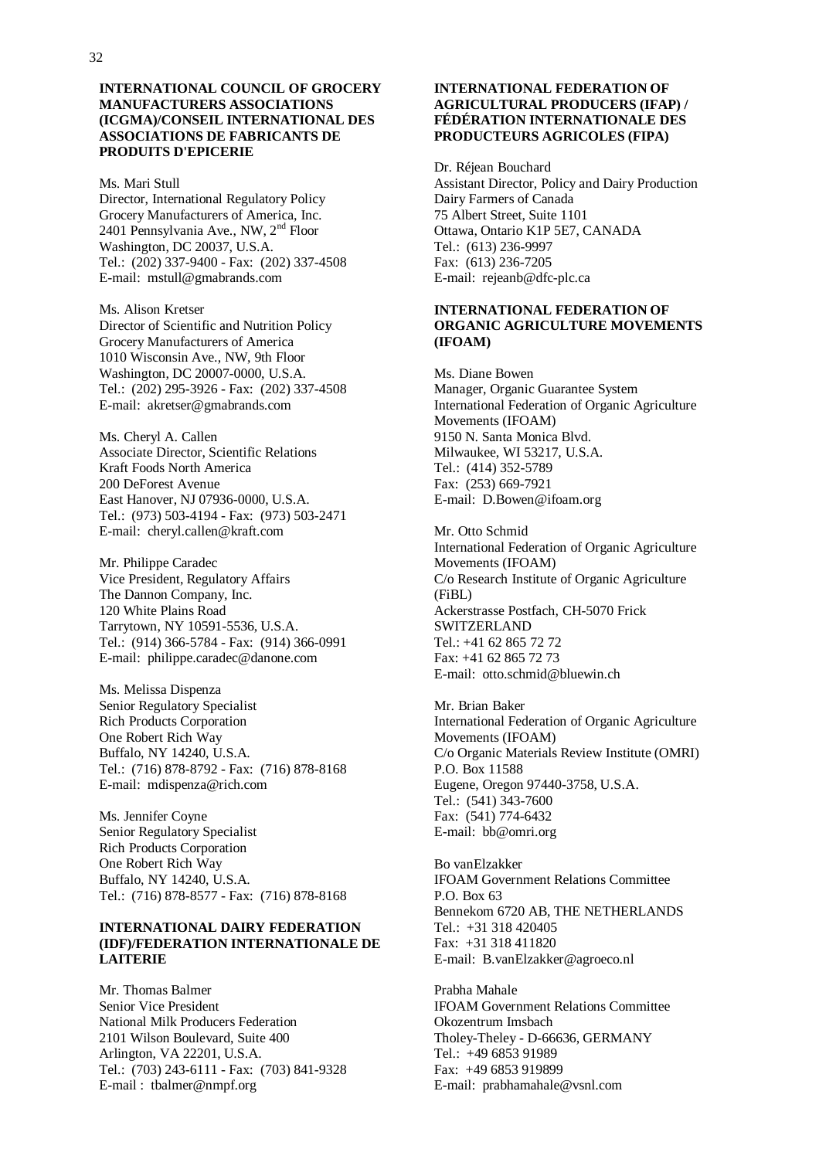Ms. Mari Stull

Director, International Regulatory Policy Grocery Manufacturers of America, Inc. 2401 Pennsylvania Ave., NW, 2<sup>nd</sup> Floor Washington, DC 20037, U.S.A. Tel.: (202) 337-9400 - Fax: (202) 337-4508 E-mail: mstull@gmabrands.com

Ms. Alison Kretser Director of Scientific and Nutrition Policy Grocery Manufacturers of America 1010 Wisconsin Ave., NW, 9th Floor Washington, DC 20007-0000, U.S.A. Tel.: (202) 295-3926 - Fax: (202) 337-4508 E-mail: akretser@gmabrands.com

Ms. Cheryl A. Callen Associate Director, Scientific Relations Kraft Foods North America 200 DeForest Avenue East Hanover, NJ 07936-0000, U.S.A. Tel.: (973) 503-4194 - Fax: (973) 503-2471 E-mail: cheryl.callen@kraft.com

Mr. Philippe Caradec Vice President, Regulatory Affairs The Dannon Company, Inc. 120 White Plains Road Tarrytown, NY 10591-5536, U.S.A. Tel.: (914) 366-5784 - Fax: (914) 366-0991 E-mail: philippe.caradec@danone.com

Ms. Melissa Dispenza Senior Regulatory Specialist Rich Products Corporation One Robert Rich Way Buffalo, NY 14240, U.S.A. Tel.: (716) 878-8792 - Fax: (716) 878-8168 E-mail: mdispenza@rich.com

Ms. Jennifer Coyne Senior Regulatory Specialist Rich Products Corporation One Robert Rich Way Buffalo, NY 14240, U.S.A. Tel.: (716) 878-8577 - Fax: (716) 878-8168

#### **INTERNATIONAL DAIRY FEDERATION (IDF)/FEDERATION INTERNATIONALE DE LAITERIE**

Mr. Thomas Balmer Senior Vice President National Milk Producers Federation 2101 Wilson Boulevard, Suite 400 Arlington, VA 22201, U.S.A. Tel.: (703) 243-6111 - Fax: (703) 841-9328 E-mail : tbalmer@nmpf.org

#### **INTERNATIONAL FEDERATION OF AGRICULTURAL PRODUCERS (IFAP) / FÉDÉRATION INTERNATIONALE DES PRODUCTEURS AGRICOLES (FIPA)**

Dr. Réjean Bouchard Assistant Director, Policy and Dairy Production Dairy Farmers of Canada 75 Albert Street, Suite 1101 Ottawa, Ontario K1P 5E7, CANADA Tel.: (613) 236-9997 Fax: (613) 236-7205 E-mail: rejeanb@dfc-plc.ca

#### **INTERNATIONAL FEDERATION OF ORGANIC AGRICULTURE MOVEMENTS (IFOAM)**

Ms. Diane Bowen Manager, Organic Guarantee System International Federation of Organic Agriculture Movements (IFOAM) 9150 N. Santa Monica Blvd. Milwaukee, WI 53217, U.S.A. Tel.: (414) 352-5789 Fax: (253) 669-7921 E-mail: D.Bowen@ifoam.org

Mr. Otto Schmid International Federation of Organic Agriculture Movements (IFOAM) C/o Research Institute of Organic Agriculture (FiBL) Ackerstrasse Postfach, CH-5070 Frick **SWITZERLAND** Tel.: +41 62 865 72 72 Fax: +41 62 865 72 73 E-mail: otto.schmid@bluewin.ch

Mr. Brian Baker International Federation of Organic Agriculture Movements (IFOAM) C/o Organic Materials Review Institute (OMRI) P.O. Box 11588 Eugene, Oregon 97440-3758, U.S.A. Tel.: (541) 343-7600 Fax: (541) 774-6432 E-mail: bb@omri.org

Bo vanElzakker IFOAM Government Relations Committee P.O. Box 63 Bennekom 6720 AB, THE NETHERLANDS Tel.: +31 318 420405 Fax: +31 318 411820 E-mail: B.vanElzakker@agroeco.nl

Prabha Mahale IFOAM Government Relations Committee Okozentrum Imsbach Tholey-Theley - D-66636, GERMANY Tel.: +49 6853 91989 Fax: +49 6853 919899 E-mail: prabhamahale@vsnl.com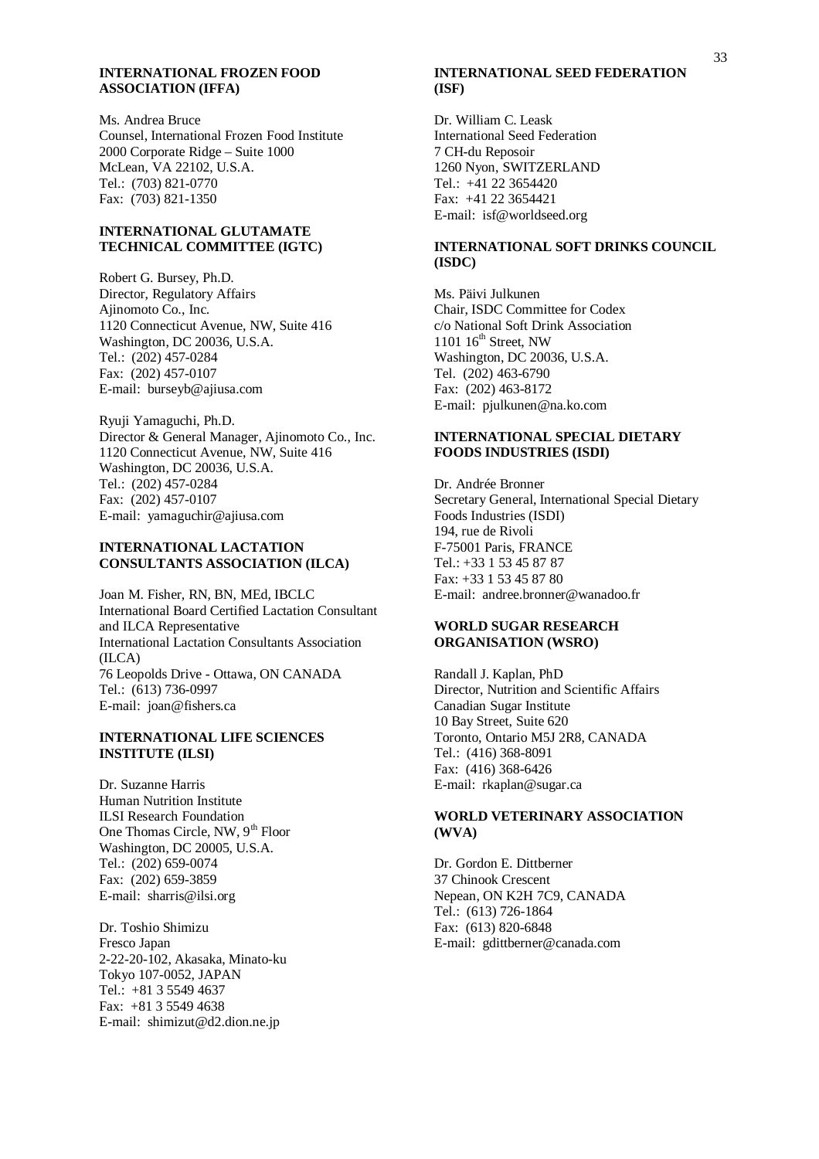#### **INTERNATIONAL FROZEN FOOD ASSOCIATION (IFFA)**

Ms. Andrea Bruce Counsel, International Frozen Food Institute 2000 Corporate Ridge – Suite 1000 McLean, VA 22102, U.S.A. Tel.: (703) 821-0770 Fax: (703) 821-1350

#### **INTERNATIONAL GLUTAMATE TECHNICAL COMMITTEE (IGTC)**

Robert G. Bursey, Ph.D. Director, Regulatory Affairs Ajinomoto Co., Inc. 1120 Connecticut Avenue, NW, Suite 416 Washington, DC 20036, U.S.A. Tel.: (202) 457-0284 Fax: (202) 457-0107 E-mail: burseyb@ajiusa.com

Ryuji Yamaguchi, Ph.D. Director & General Manager, Ajinomoto Co., Inc. 1120 Connecticut Avenue, NW, Suite 416 Washington, DC 20036, U.S.A. Tel.: (202) 457-0284 Fax: (202) 457-0107 E-mail: yamaguchir@ajiusa.com

#### **INTERNATIONAL LACTATION CONSULTANTS ASSOCIATION (ILCA)**

Joan M. Fisher, RN, BN, MEd, IBCLC International Board Certified Lactation Consultant and ILCA Representative International Lactation Consultants Association (ILCA) 76 Leopolds Drive - Ottawa, ON CANADA Tel.: (613) 736-0997 E-mail: joan@fishers.ca

#### **INTERNATIONAL LIFE SCIENCES INSTITUTE (ILSI)**

Dr. Suzanne Harris Human Nutrition Institute ILSI Research Foundation One Thomas Circle, NW, 9<sup>th</sup> Floor Washington, DC 20005, U.S.A. Tel.: (202) 659-0074 Fax: (202) 659-3859 E-mail: sharris@ilsi.org

Dr. Toshio Shimizu Fresco Japan 2-22-20-102, Akasaka, Minato-ku Tokyo 107-0052, JAPAN Tel.: +81 3 5549 4637 Fax: +81 3 5549 4638 E-mail: shimizut@d2.dion.ne.jp

#### **INTERNATIONAL SEED FEDERATION (ISF)**

Dr. William C. Leask International Seed Federation 7 CH-du Reposoir 1260 Nyon, SWITZERLAND Tel.: +41 22 3654420 Fax: +41 22 3654421 E-mail: isf@worldseed.org

#### **INTERNATIONAL SOFT DRINKS COUNCIL (ISDC)**

Ms. Päivi Julkunen Chair, ISDC Committee for Codex c/o National Soft Drink Association 1101 16<sup>th</sup> Street, NW Washington, DC 20036, U.S.A. Tel. (202) 463-6790 Fax: (202) 463-8172 E-mail: pjulkunen@na.ko.com

#### **INTERNATIONAL SPECIAL DIETARY FOODS INDUSTRIES (ISDI)**

Dr. Andrée Bronner Secretary General, International Special Dietary Foods Industries (ISDI) 194, rue de Rivoli F-75001 Paris, FRANCE Tel.: +33 1 53 45 87 87 Fax: +33 1 53 45 87 80 E-mail: andree.bronner@wanadoo.fr

#### **WORLD SUGAR RESEARCH ORGANISATION (WSRO)**

Randall J. Kaplan, PhD Director, Nutrition and Scientific Affairs Canadian Sugar Institute 10 Bay Street, Suite 620 Toronto, Ontario M5J 2R8, CANADA Tel.: (416) 368-8091 Fax: (416) 368-6426 E-mail: rkaplan@sugar.ca

## **WORLD VETERINARY ASSOCIATION (WVA)**

Dr. Gordon E. Dittberner 37 Chinook Crescent Nepean, ON K2H 7C9, CANADA Tel.: (613) 726-1864 Fax: (613) 820-6848 E-mail: gdittberner@canada.com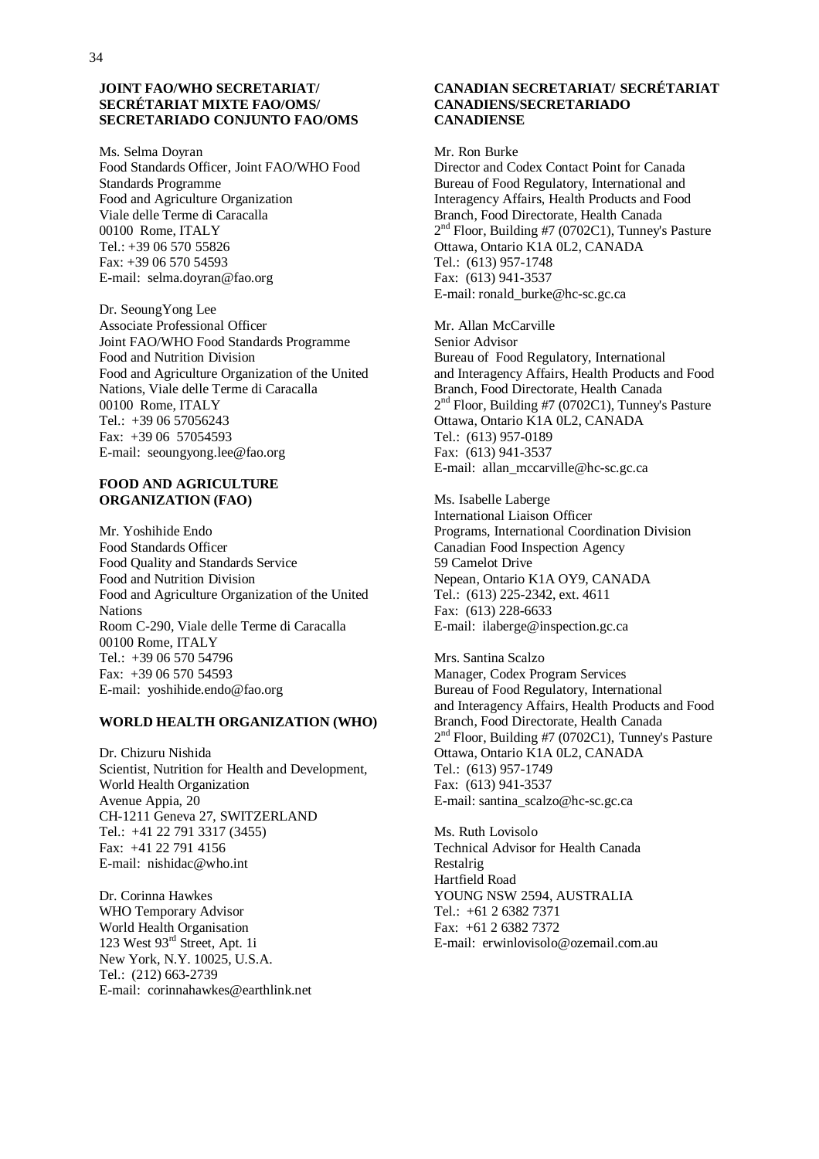#### **JOINT FAO/WHO SECRETARIAT/ SECRÉTARIAT MIXTE FAO/OMS/ SECRETARIADO CONJUNTO FAO/OMS**

Ms. Selma Doyran Food Standards Officer, Joint FAO/WHO Food Standards Programme Food and Agriculture Organization Viale delle Terme di Caracalla 00100 Rome, ITALY Tel.: +39 06 570 55826 Fax: +39 06 570 54593 E-mail: selma.doyran@fao.org

Dr. SeoungYong Lee Associate Professional Officer Joint FAO/WHO Food Standards Programme Food and Nutrition Division Food and Agriculture Organization of the United Nations, Viale delle Terme di Caracalla 00100 Rome, ITALY Tel.: +39 06 57056243 Fax: +39 06 57054593 E-mail: seoungyong.lee@fao.org

#### **FOOD AND AGRICULTURE ORGANIZATION (FAO)**

Mr. Yoshihide Endo Food Standards Officer Food Quality and Standards Service Food and Nutrition Division Food and Agriculture Organization of the United Nations Room C-290, Viale delle Terme di Caracalla 00100 Rome, ITALY Tel.: +39 06 570 54796 Fax: +39 06 570 54593 E-mail: yoshihide.endo@fao.org

#### **WORLD HEALTH ORGANIZATION (WHO)**

Dr. Chizuru Nishida Scientist, Nutrition for Health and Development, World Health Organization Avenue Appia, 20 CH-1211 Geneva 27, SWITZERLAND Tel.: +41 22 791 3317 (3455) Fax: +41 22 791 4156 E-mail: nishidac@who.int

Dr. Corinna Hawkes WHO Temporary Advisor World Health Organisation 123 West 93rd Street, Apt. 1i New York, N.Y. 10025, U.S.A.  $Tel: (212) 663-2739$ E-mail: corinnahawkes@earthlink.net

#### **CANADIAN SECRETARIAT/ SECRÉTARIAT CANADIENS/SECRETARIADO CANADIENSE**

Mr. Ron Burke

Director and Codex Contact Point for Canada Bureau of Food Regulatory, International and Interagency Affairs, Health Products and Food Branch, Food Directorate, Health Canada  $2<sup>nd</sup>$  Floor, Building #7 (0702C1), Tunney's Pasture Ottawa, Ontario K1A 0L2, CANADA Tel.: (613) 957-1748 Fax: (613) 941-3537 E-mail: ronald\_burke@hc-sc.gc.ca

Mr. Allan McCarville Senior Advisor Bureau of Food Regulatory, International and Interagency Affairs, Health Products and Food Branch, Food Directorate, Health Canada  $2<sup>nd</sup>$  Floor, Building #7 (0702C1), Tunney's Pasture Ottawa, Ontario K1A 0L2, CANADA Tel.: (613) 957-0189 Fax: (613) 941-3537 E-mail: allan\_mccarville@hc-sc.gc.ca

Ms. Isabelle Laberge International Liaison Officer Programs, International Coordination Division Canadian Food Inspection Agency 59 Camelot Drive Nepean, Ontario K1A OY9, CANADA Tel.: (613) 225-2342, ext. 4611 Fax: (613) 228-6633 E-mail: ilaberge@inspection.gc.ca

Mrs. Santina Scalzo Manager, Codex Program Services Bureau of Food Regulatory, International and Interagency Affairs, Health Products and Food Branch, Food Directorate, Health Canada  $2<sup>nd</sup>$  Floor, Building #7 (0702C1), Tunney's Pasture Ottawa, Ontario K1A 0L2, CANADA Tel.: (613) 957-1749 Fax: (613) 941-3537 E-mail: santina\_scalzo@hc-sc.gc.ca

Ms. Ruth Lovisolo Technical Advisor for Health Canada Restalrig Hartfield Road YOUNG NSW 2594, AUSTRALIA Tel.: +61 2 6382 7371 Fax: +61 2 6382 7372 E-mail: erwinlovisolo@ozemail.com.au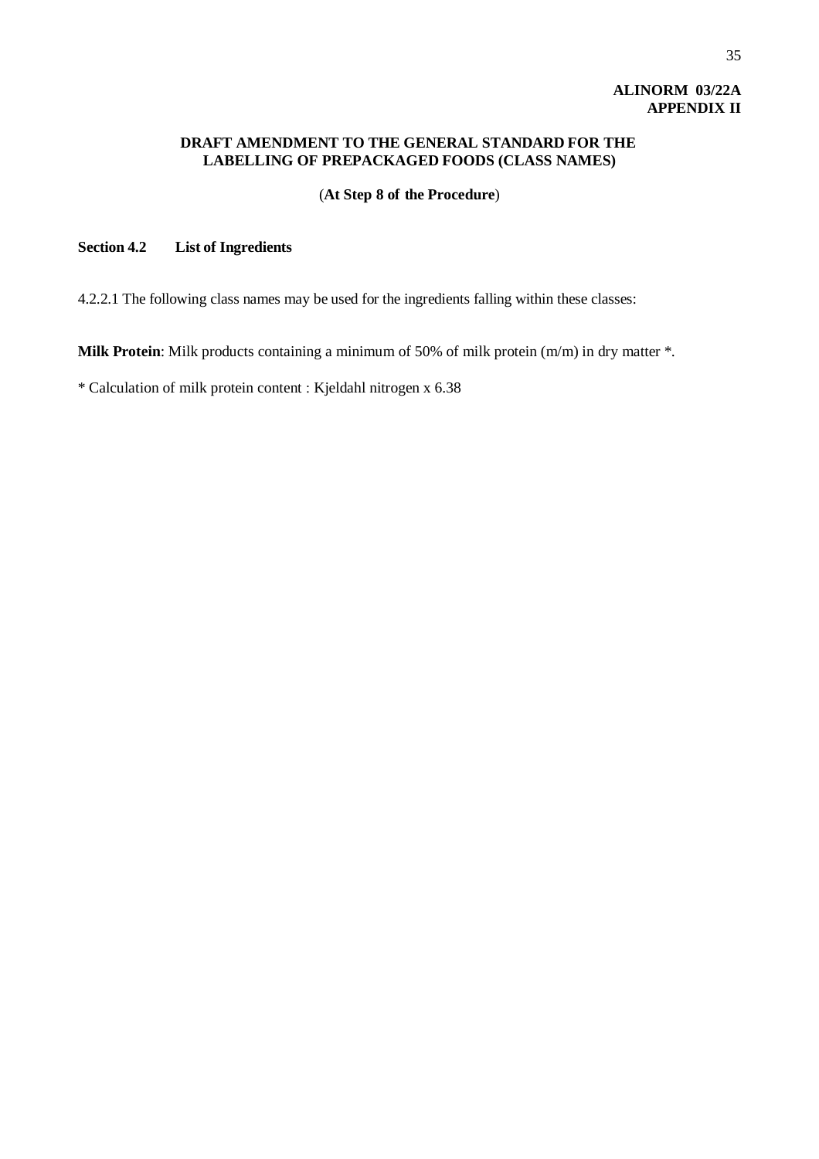## **ALINORM 03/22A APPENDIX II**

## **DRAFT AMENDMENT TO THE GENERAL STANDARD FOR THE LABELLING OF PREPACKAGED FOODS (CLASS NAMES)**

(**At Step 8 of the Procedure**)

#### **Section 4.2 List of Ingredients**

4.2.2.1 The following class names may be used for the ingredients falling within these classes:

**Milk Protein**: Milk products containing a minimum of 50% of milk protein (m/m) in dry matter \*.

\* Calculation of milk protein content : Kjeldahl nitrogen x 6.38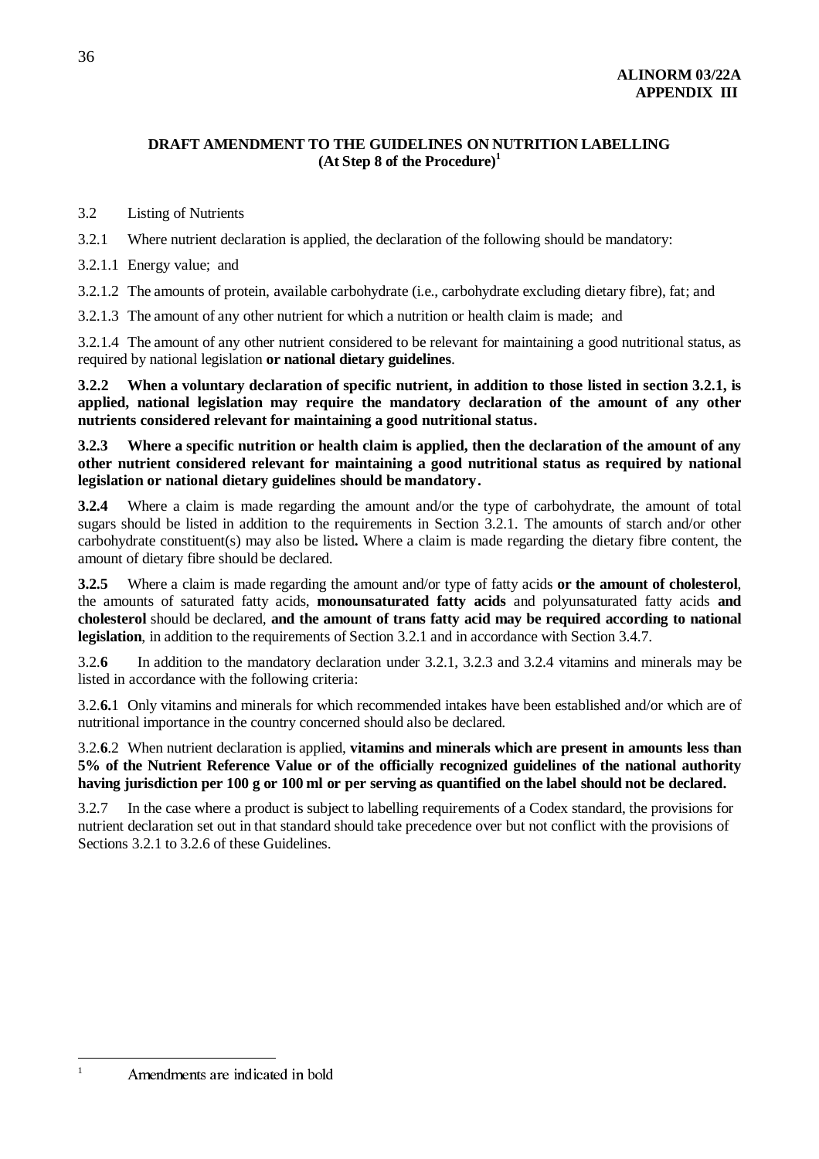## **DRAFT AMENDMENT TO THE GUIDELINES ON NUTRITION LABELLING (At Step 8 of the Procedure)1**

- 3.2 Listing of Nutrients
- 3.2.1 Where nutrient declaration is applied, the declaration of the following should be mandatory:
- 3.2.1.1 Energy value; and

3.2.1.2 The amounts of protein, available carbohydrate (i.e., carbohydrate excluding dietary fibre), fat; and

3.2.1.3 The amount of any other nutrient for which a nutrition or health claim is made; and

3.2.1.4 The amount of any other nutrient considered to be relevant for maintaining a good nutritional status, as required by national legislation **or national dietary guidelines**.

**3.2.2 When a voluntary declaration of specific nutrient, in addition to those listed in section 3.2.1, is applied, national legislation may require the mandatory declaration of the amount of any other nutrients considered relevant for maintaining a good nutritional status.**

## **3.2.3 Where a specific nutrition or health claim is applied, then the declaration of the amount of any other nutrient considered relevant for maintaining a good nutritional status as required by national legislation or national dietary guidelines should be mandatory.**

**3.2.4** Where a claim is made regarding the amount and/or the type of carbohydrate, the amount of total sugars should be listed in addition to the requirements in Section 3.2.1. The amounts of starch and/or other carbohydrate constituent(s) may also be listed**.** Where a claim is made regarding the dietary fibre content, the amount of dietary fibre should be declared.

**3.2.5** Where a claim is made regarding the amount and/or type of fatty acids **or the amount of cholesterol**, the amounts of saturated fatty acids, **monounsaturated fatty acids** and polyunsaturated fatty acids **and cholesterol** should be declared, **and the amount of trans fatty acid may be required according to national legislation**, in addition to the requirements of Section 3.2.1 and in accordance with Section 3.4.7.

3.2.**6** In addition to the mandatory declaration under 3.2.1, 3.2.3 and 3.2.4 vitamins and minerals may be listed in accordance with the following criteria:

3.2.**6.**1 Only vitamins and minerals for which recommended intakes have been established and/or which are of nutritional importance in the country concerned should also be declared.

3.2.**6**.2 When nutrient declaration is applied, **vitamins and minerals which are present in amounts less than 5% of the Nutrient Reference Value or of the officially recognized guidelines of the national authority having jurisdiction per 100 g or 100 ml or per serving as quantified on the label should not be declared.**

3.2.7 In the case where a product is subject to labelling requirements of a Codex standard, the provisions for nutrient declaration set out in that standard should take precedence over but not conflict with the provisions of Sections 3.2.1 to 3.2.6 of these Guidelines.

 $\overline{a}$ 1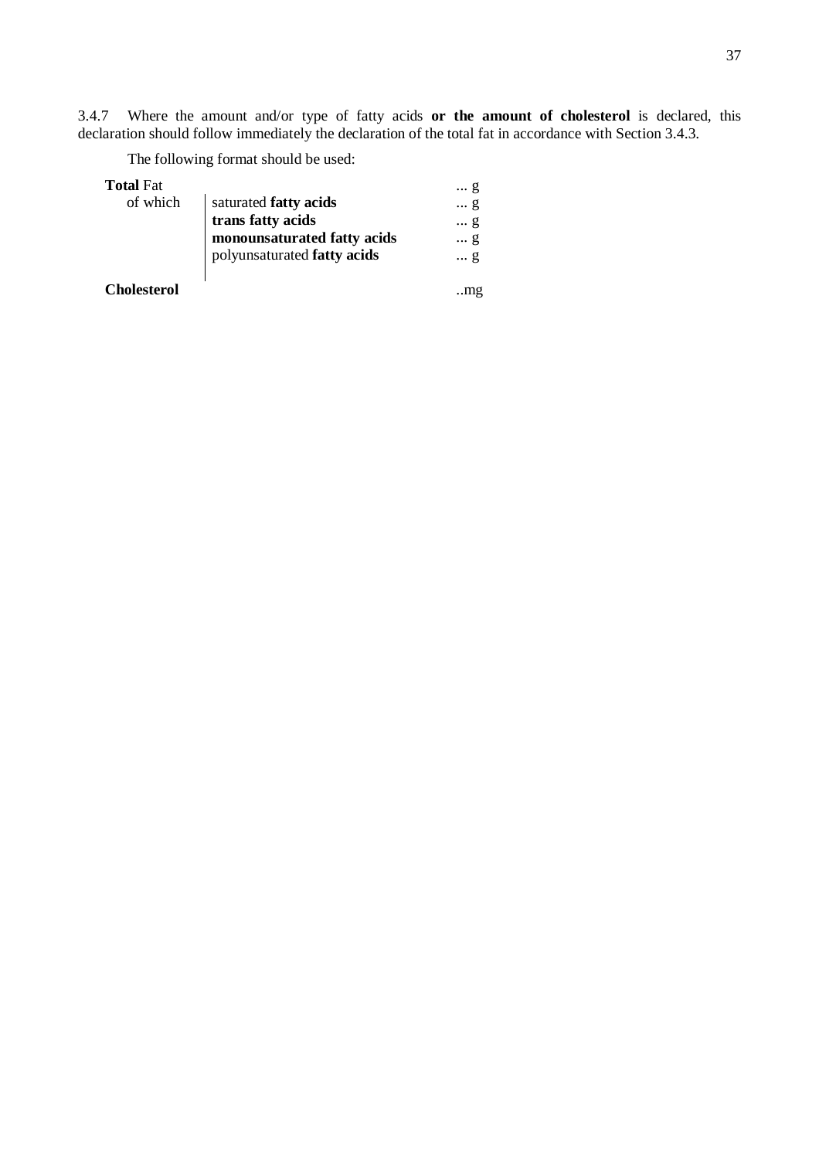3.4.7 Where the amount and/or type of fatty acids **or the amount of cholesterol** is declared, this declaration should follow immediately the declaration of the total fat in accordance with Section 3.4.3.

The following format should be used:

| <b>Total Fat</b>   |                             | g          |
|--------------------|-----------------------------|------------|
| of which           | saturated fatty acids       | g          |
|                    | trans fatty acids           | g          |
|                    | monounsaturated fatty acids | $\ldots$ g |
|                    | polyunsaturated fatty acids | $\ldots$ g |
| <b>Cholesterol</b> |                             |            |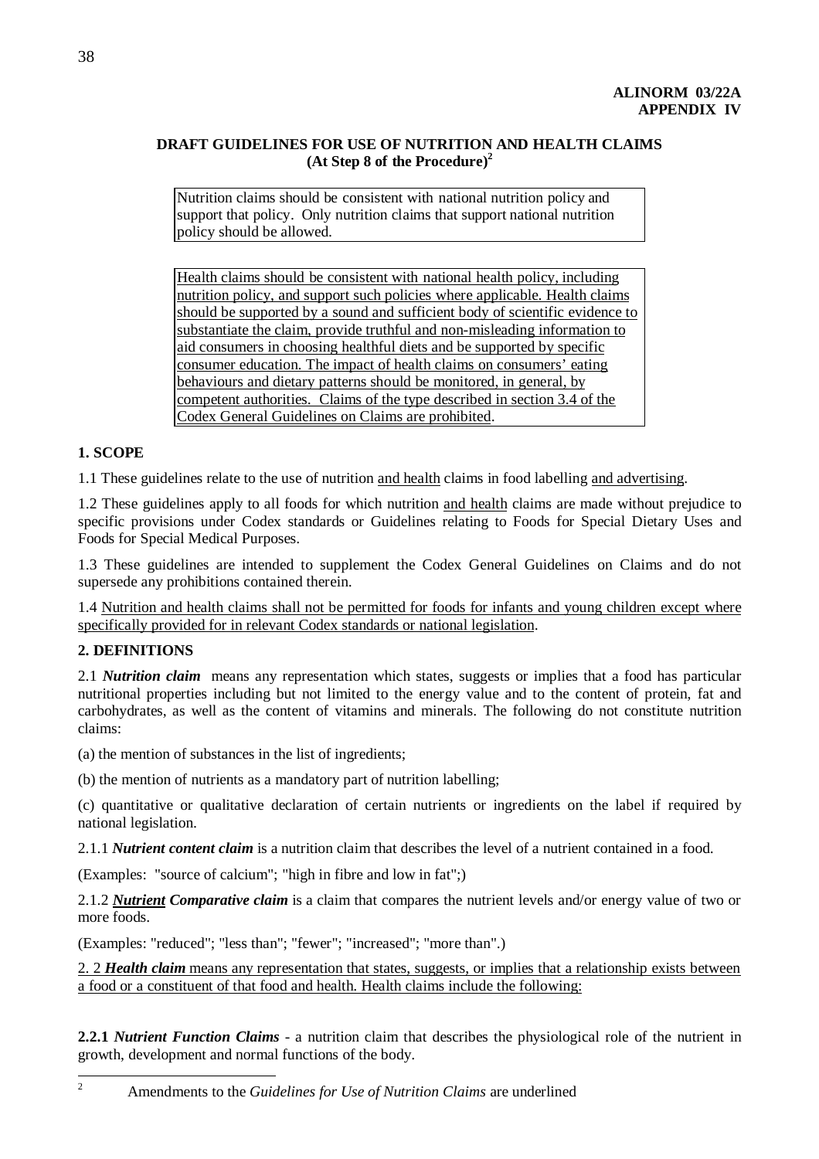## **DRAFT GUIDELINES FOR USE OF NUTRITION AND HEALTH CLAIMS (At Step 8 of the Procedure)2**

Nutrition claims should be consistent with national nutrition policy and support that policy. Only nutrition claims that support national nutrition policy should be allowed.

Health claims should be consistent with national health policy, including nutrition policy, and support such policies where applicable. Health claims should be supported by a sound and sufficient body of scientific evidence to substantiate the claim, provide truthful and non-misleading information to aid consumers in choosing healthful diets and be supported by specific consumer education. The impact of health claims on consumers' eating behaviours and dietary patterns should be monitored, in general, by competent authorities.Claims of the type described in section 3.4 of the Codex General Guidelines on Claims are prohibited.

## **1. SCOPE**

1.1 These guidelines relate to the use of nutrition and health claims in food labelling and advertising.

1.2 These guidelines apply to all foods for which nutrition and health claims are made without prejudice to specific provisions under Codex standards or Guidelines relating to Foods for Special Dietary Uses and Foods for Special Medical Purposes.

1.3 These guidelines are intended to supplement the Codex General Guidelines on Claims and do not supersede any prohibitions contained therein.

1.4 Nutrition and health claims shall not be permitted for foods for infants and young children except where specifically provided for in relevant Codex standards or national legislation.

## **2. DEFINITIONS**

2.1 *Nutrition claim* means any representation which states, suggests or implies that a food has particular nutritional properties including but not limited to the energy value and to the content of protein, fat and carbohydrates, as well as the content of vitamins and minerals. The following do not constitute nutrition claims:

(a) the mention of substances in the list of ingredients;

(b) the mention of nutrients as a mandatory part of nutrition labelling;

(c) quantitative or qualitative declaration of certain nutrients or ingredients on the label if required by national legislation.

2.1.1 *Nutrient content claim* is a nutrition claim that describes the level of a nutrient contained in a food.

(Examples: "source of calcium"; "high in fibre and low in fat";)

2.1.2 *Nutrient Comparative claim* is a claim that compares the nutrient levels and/or energy value of two or more foods.

(Examples: "reduced"; "less than"; "fewer"; "increased"; "more than".)

2. 2 *Health claim* means any representation that states, suggests, or implies that a relationship exists between a food or a constituent of that food and health. Health claims include the following:

**2.2.1** *Nutrient Function Claims* - a nutrition claim that describes the physiological role of the nutrient in growth, development and normal functions of the body.

 $\frac{1}{2}$ Amendments to the *Guidelines for Use of Nutrition Claims* are underlined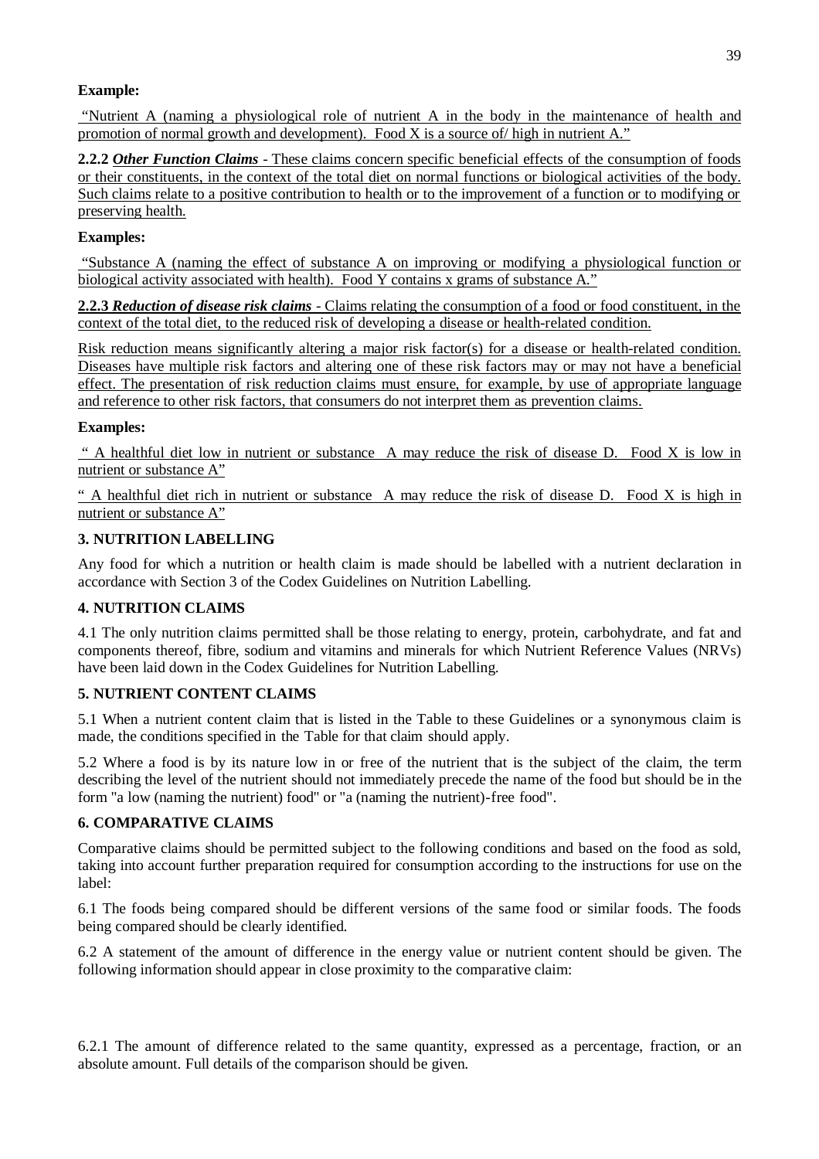## **Example:**

 "Nutrient A (naming a physiological role of nutrient A in the body in the maintenance of health and promotion of normal growth and development). Food X is a source of/ high in nutrient A."

**2.2.2** *Other Function Claims* - These claims concern specific beneficial effects of the consumption of foods or their constituents, in the context of the total diet on normal functions or biological activities of the body. Such claims relate to a positive contribution to health or to the improvement of a function or to modifying or preserving health.

## **Examples:**

 "Substance A (naming the effect of substance A on improving or modifying a physiological function or biological activity associated with health). Food Y contains x grams of substance A."

**2.2.3** *Reduction of disease risk claims* - Claims relating the consumption of a food or food constituent, in the context of the total diet, to the reduced risk of developing a disease or health-related condition.

Risk reduction means significantly altering a major risk factor(s) for a disease or health-related condition. Diseases have multiple risk factors and altering one of these risk factors may or may not have a beneficial effect. The presentation of risk reduction claims must ensure, for example, by use of appropriate language and reference to other risk factors, that consumers do not interpret them as prevention claims.

## **Examples:**

 " A healthful diet low in nutrient or substance A may reduce the risk of disease D. Food X is low in nutrient or substance A"

" A healthful diet rich in nutrient or substance A may reduce the risk of disease D. Food X is high in nutrient or substance A"

## **3. NUTRITION LABELLING**

Any food for which a nutrition or health claim is made should be labelled with a nutrient declaration in accordance with Section 3 of the Codex Guidelines on Nutrition Labelling.

## **4. NUTRITION CLAIMS**

4.1 The only nutrition claims permitted shall be those relating to energy, protein, carbohydrate, and fat and components thereof, fibre, sodium and vitamins and minerals for which Nutrient Reference Values (NRVs) have been laid down in the Codex Guidelines for Nutrition Labelling.

## **5. NUTRIENT CONTENT CLAIMS**

5.1 When a nutrient content claim that is listed in the Table to these Guidelines or a synonymous claim is made, the conditions specified in the Table for that claim should apply.

5.2 Where a food is by its nature low in or free of the nutrient that is the subject of the claim, the term describing the level of the nutrient should not immediately precede the name of the food but should be in the form "a low (naming the nutrient) food" or "a (naming the nutrient)-free food".

## **6. COMPARATIVE CLAIMS**

Comparative claims should be permitted subject to the following conditions and based on the food as sold, taking into account further preparation required for consumption according to the instructions for use on the label:

6.1 The foods being compared should be different versions of the same food or similar foods. The foods being compared should be clearly identified.

6.2 A statement of the amount of difference in the energy value or nutrient content should be given. The following information should appear in close proximity to the comparative claim:

6.2.1 The amount of difference related to the same quantity, expressed as a percentage, fraction, or an absolute amount. Full details of the comparison should be given.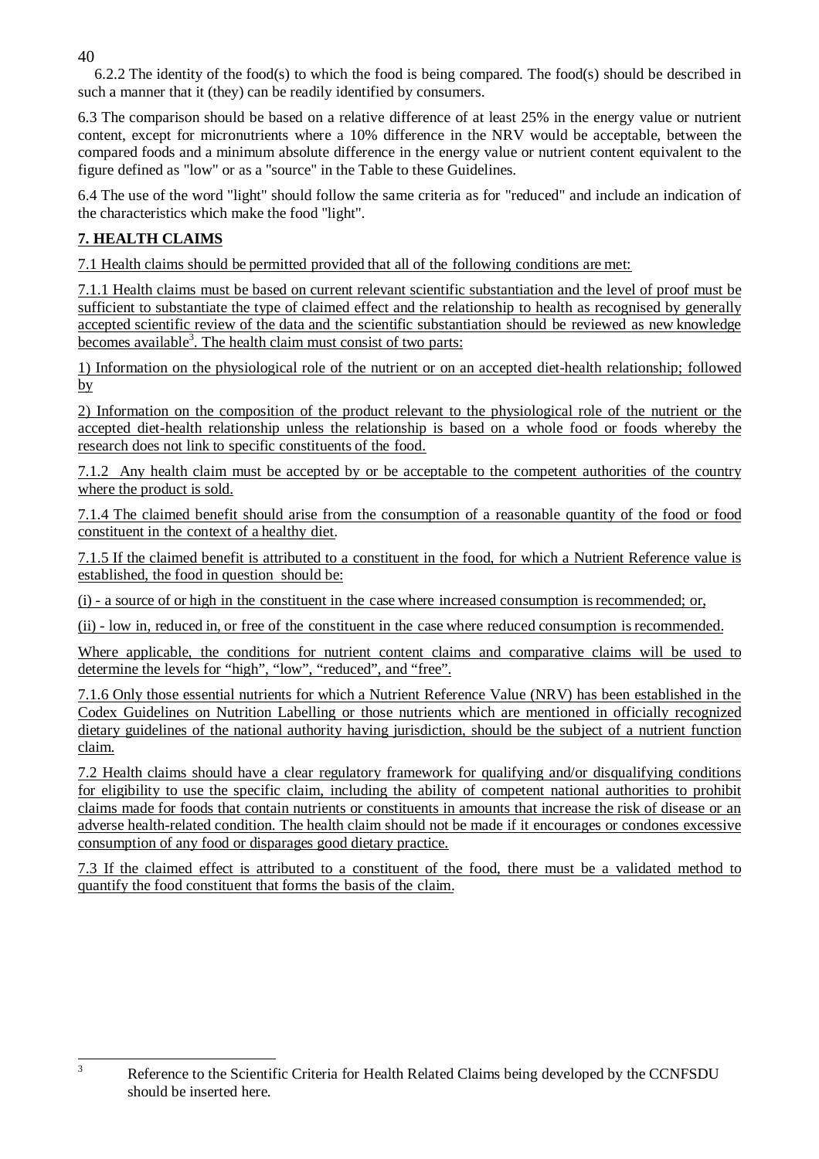6.2.2 The identity of the food(s) to which the food is being compared. The food(s) should be described in such a manner that it (they) can be readily identified by consumers.

6.3 The comparison should be based on a relative difference of at least 25% in the energy value or nutrient content, except for micronutrients where a 10% difference in the NRV would be acceptable, between the compared foods and a minimum absolute difference in the energy value or nutrient content equivalent to the figure defined as "low" or as a "source" in the Table to these Guidelines.

6.4 The use of the word "light" should follow the same criteria as for "reduced" and include an indication of the characteristics which make the food "light".

## **7. HEALTH CLAIMS**

7.1 Health claims should be permitted provided that all of the following conditions are met:

7.1.1 Health claims must be based on current relevant scientific substantiation and the level of proof must be sufficient to substantiate the type of claimed effect and the relationship to health as recognised by generally accepted scientific review of the data and the scientific substantiation should be reviewed as new knowledge becomes available<sup>3</sup>. The health claim must consist of two parts:

1) Information on the physiological role of the nutrient or on an accepted diet-health relationship; followed by

2) Information on the composition of the product relevant to the physiological role of the nutrient or the accepted diet-health relationship unless the relationship is based on a whole food or foods whereby the research does not link to specific constituents of the food.

7.1.2 Any health claim must be accepted by or be acceptable to the competent authorities of the country where the product is sold.

7.1.4 The claimed benefit should arise from the consumption of a reasonable quantity of the food or food constituent in the context of a healthy diet.

7.1.5 If the claimed benefit is attributed to a constituent in the food, for which a Nutrient Reference value is established, the food in question should be:

(i) - a source of or high in the constituent in the case where increased consumption is recommended; or,

(ii) - low in, reduced in, or free of the constituent in the case where reduced consumption is recommended.

Where applicable, the conditions for nutrient content claims and comparative claims will be used to determine the levels for "high", "low", "reduced", and "free".

7.1.6 Only those essential nutrients for which a Nutrient Reference Value (NRV) has been established in the Codex Guidelines on Nutrition Labelling or those nutrients which are mentioned in officially recognized dietary guidelines of the national authority having jurisdiction, should be the subject of a nutrient function claim.

7.2 Health claims should have a clear regulatory framework for qualifying and/or disqualifying conditions for eligibility to use the specific claim, including the ability of competent national authorities to prohibit claims made for foods that contain nutrients or constituents in amounts that increase the risk of disease or an adverse health-related condition. The health claim should not be made if it encourages or condones excessive consumption of any food or disparages good dietary practice.

7.3 If the claimed effect is attributed to a constituent of the food, there must be a validated method to quantify the food constituent that forms the basis of the claim.

40

 $\overline{3}$ 

Reference to the Scientific Criteria for Health Related Claims being developed by the CCNFSDU should be inserted here.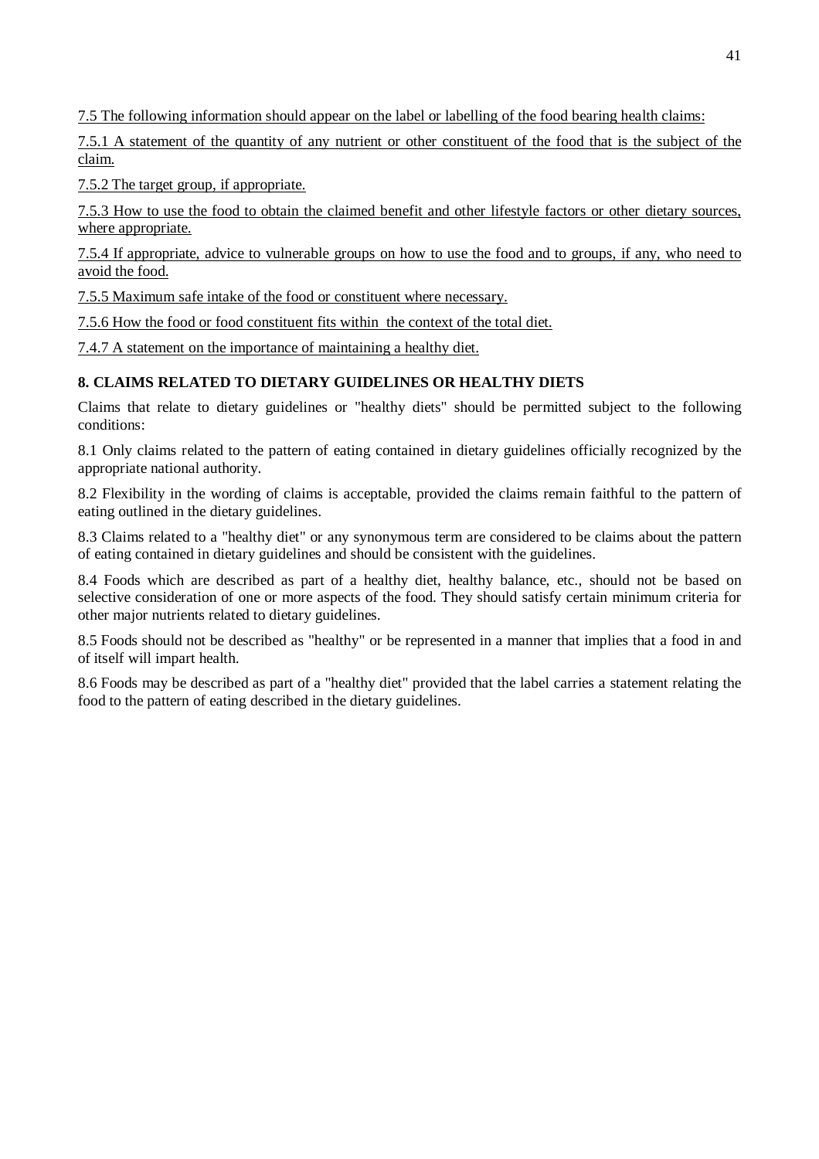7.5 The following information should appear on the label or labelling of the food bearing health claims:

7.5.1 A statement of the quantity of any nutrient or other constituent of the food that is the subject of the claim.

7.5.2 The target group, if appropriate.

7.5.3 How to use the food to obtain the claimed benefit and other lifestyle factors or other dietary sources, where appropriate.

7.5.4 If appropriate, advice to vulnerable groups on how to use the food and to groups, if any, who need to avoid the food.

7.5.5 Maximum safe intake of the food or constituent where necessary.

7.5.6 How the food or food constituent fits within the context of the total diet.

7.4.7 A statement on the importance of maintaining a healthy diet.

## **8. CLAIMS RELATED TO DIETARY GUIDELINES OR HEALTHY DIETS**

Claims that relate to dietary guidelines or "healthy diets" should be permitted subject to the following conditions:

8.1 Only claims related to the pattern of eating contained in dietary guidelines officially recognized by the appropriate national authority.

8.2 Flexibility in the wording of claims is acceptable, provided the claims remain faithful to the pattern of eating outlined in the dietary guidelines.

8.3 Claims related to a "healthy diet" or any synonymous term are considered to be claims about the pattern of eating contained in dietary guidelines and should be consistent with the guidelines.

8.4 Foods which are described as part of a healthy diet, healthy balance, etc., should not be based on selective consideration of one or more aspects of the food. They should satisfy certain minimum criteria for other major nutrients related to dietary guidelines.

8.5 Foods should not be described as "healthy" or be represented in a manner that implies that a food in and of itself will impart health.

8.6 Foods may be described as part of a "healthy diet" provided that the label carries a statement relating the food to the pattern of eating described in the dietary guidelines.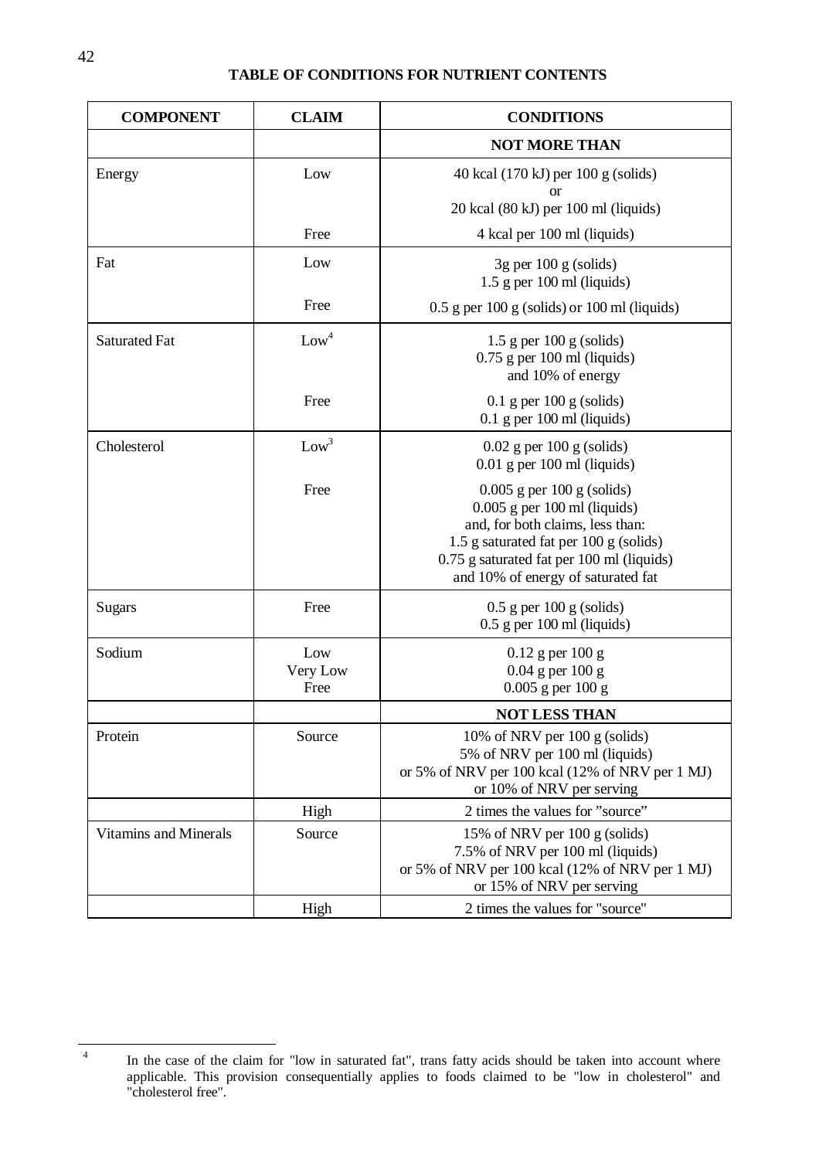## **TABLE OF CONDITIONS FOR NUTRIENT CONTENTS**

| <b>COMPONENT</b>             | <b>CLAIM</b>            | <b>CONDITIONS</b>                                                                                                                                                                                                                 |
|------------------------------|-------------------------|-----------------------------------------------------------------------------------------------------------------------------------------------------------------------------------------------------------------------------------|
|                              |                         | <b>NOT MORE THAN</b>                                                                                                                                                                                                              |
| Energy                       | Low                     | 40 kcal (170 kJ) per 100 g (solids)<br>20 kcal (80 kJ) per 100 ml (liquids)                                                                                                                                                       |
|                              | Free                    | 4 kcal per 100 ml (liquids)                                                                                                                                                                                                       |
| Fat                          | Low                     | $3g$ per 100 g (solids)<br>1.5 g per 100 ml (liquids)                                                                                                                                                                             |
|                              | Free                    | $0.5$ g per 100 g (solids) or 100 ml (liquids)                                                                                                                                                                                    |
| <b>Saturated Fat</b>         | Low <sup>4</sup>        | $1.5$ g per $100$ g (solids)<br>$0.75$ g per 100 ml (liquids)<br>and 10% of energy                                                                                                                                                |
|                              | Free                    | $0.1$ g per $100$ g (solids)<br>$0.1$ g per 100 ml (liquids)                                                                                                                                                                      |
| Cholesterol                  | Low <sup>3</sup>        | $0.02$ g per 100 g (solids)<br>$0.01$ g per $100$ ml (liquids)                                                                                                                                                                    |
|                              | Free                    | $0.005$ g per 100 g (solids)<br>$0.005$ g per $100$ ml (liquids)<br>and, for both claims, less than:<br>1.5 g saturated fat per 100 g (solids)<br>0.75 g saturated fat per 100 ml (liquids)<br>and 10% of energy of saturated fat |
| <b>Sugars</b>                | Free                    | $0.5$ g per 100 g (solids)<br>$0.5$ g per 100 ml (liquids)                                                                                                                                                                        |
| Sodium                       | Low<br>Very Low<br>Free | $0.12$ g per $100$ g<br>$0.04$ g per $100$ g<br>$0.005$ g per 100 g                                                                                                                                                               |
|                              |                         | <b>NOT LESS THAN</b>                                                                                                                                                                                                              |
| Protein                      | Source                  | 10% of NRV per 100 g (solids)<br>5% of NRV per 100 ml (liquids)<br>or 5% of NRV per 100 kcal (12% of NRV per 1 MJ)<br>or 10% of NRV per serving                                                                                   |
|                              | High                    | 2 times the values for "source"                                                                                                                                                                                                   |
| <b>Vitamins and Minerals</b> | Source                  | 15% of NRV per 100 g (solids)<br>7.5% of NRV per 100 ml (liquids)<br>or 5% of NRV per 100 kcal (12% of NRV per 1 MJ)<br>or 15% of NRV per serving                                                                                 |
|                              | High                    | 2 times the values for "source"                                                                                                                                                                                                   |

 $\overline{4}$ 

In the case of the claim for "low in saturated fat", trans fatty acids should be taken into account where applicable. This provision consequentially applies to foods claimed to be "low in cholesterol" and "cholesterol free".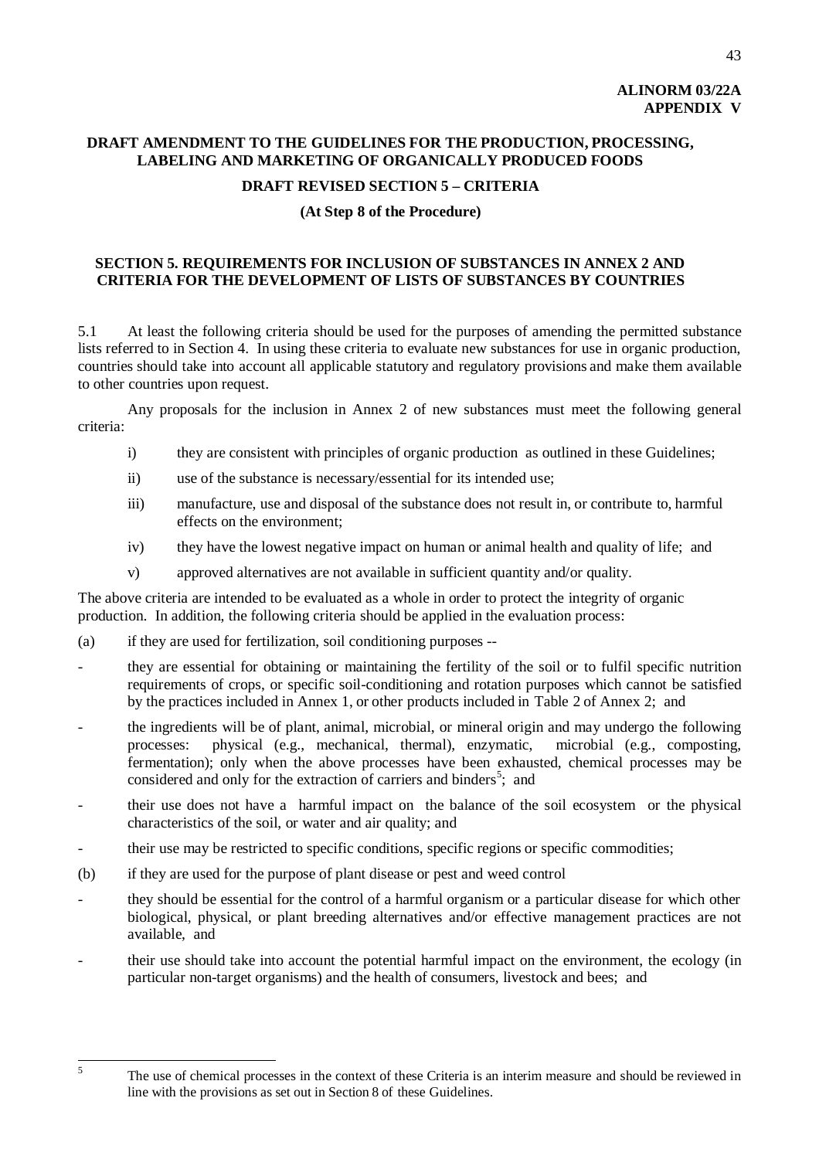## **ALINORM 03/22A APPENDIX V**

## **DRAFT AMENDMENT TO THE GUIDELINES FOR THE PRODUCTION, PROCESSING, LABELING AND MARKETING OF ORGANICALLY PRODUCED FOODS**

## **DRAFT REVISED SECTION 5 – CRITERIA**

#### **(At Step 8 of the Procedure)**

## **SECTION 5. REQUIREMENTS FOR INCLUSION OF SUBSTANCES IN ANNEX 2 AND CRITERIA FOR THE DEVELOPMENT OF LISTS OF SUBSTANCES BY COUNTRIES**

5.1 At least the following criteria should be used for the purposes of amending the permitted substance lists referred to in Section 4. In using these criteria to evaluate new substances for use in organic production, countries should take into account all applicable statutory and regulatory provisions and make them available to other countries upon request.

Any proposals for the inclusion in Annex 2 of new substances must meet the following general criteria:

- i) they are consistent with principles of organic production as outlined in these Guidelines;
- ii) use of the substance is necessary/essential for its intended use;
- iii) manufacture, use and disposal of the substance does not result in, or contribute to, harmful effects on the environment;
- iv) they have the lowest negative impact on human or animal health and quality of life; and
- v) approved alternatives are not available in sufficient quantity and/or quality.

The above criteria are intended to be evaluated as a whole in order to protect the integrity of organic production. In addition, the following criteria should be applied in the evaluation process:

- (a) if they are used for fertilization, soil conditioning purposes --
- they are essential for obtaining or maintaining the fertility of the soil or to fulfil specific nutrition requirements of crops, or specific soil-conditioning and rotation purposes which cannot be satisfied by the practices included in Annex 1, or other products included in Table 2 of Annex 2; and
- the ingredients will be of plant, animal, microbial, or mineral origin and may undergo the following processes: physical (e.g., mechanical, thermal), enzymatic, microbial (e.g., composting, fermentation); only when the above processes have been exhausted, chemical processes may be considered and only for the extraction of carriers and binders<sup>5</sup>; and
- their use does not have a harmful impact on the balance of the soil ecosystem or the physical characteristics of the soil, or water and air quality; and
- their use may be restricted to specific conditions, specific regions or specific commodities;
- (b) if they are used for the purpose of plant disease or pest and weed control
- they should be essential for the control of a harmful organism or a particular disease for which other biological, physical, or plant breeding alternatives and/or effective management practices are not available, and
- their use should take into account the potential harmful impact on the environment, the ecology (in particular non-target organisms) and the health of consumers, livestock and bees; and

 $\sqrt{5}$ 

<sup>5</sup> The use of chemical processes in the context of these Criteria is an interim measure and should be reviewed in line with the provisions as set out in Section 8 of these Guidelines.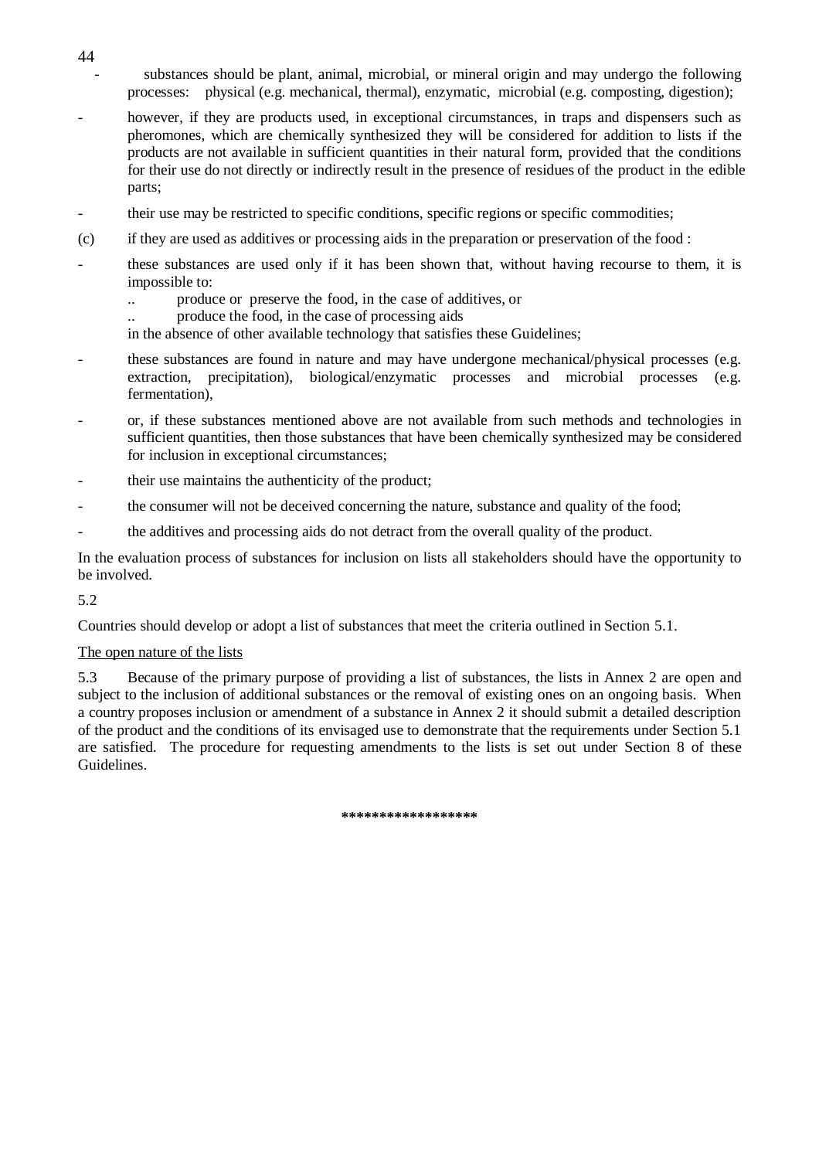- substances should be plant, animal, microbial, or mineral origin and may undergo the following processes: physical (e.g. mechanical, thermal), enzymatic, microbial (e.g. composting, digestion);
- however, if they are products used, in exceptional circumstances, in traps and dispensers such as pheromones, which are chemically synthesized they will be considered for addition to lists if the products are not available in sufficient quantities in their natural form, provided that the conditions for their use do not directly or indirectly result in the presence of residues of the product in the edible parts;
- their use may be restricted to specific conditions, specific regions or specific commodities;
- (c) if they are used as additives or processing aids in the preparation or preservation of the food :
- these substances are used only if it has been shown that, without having recourse to them, it is impossible to:
	- .. produce or preserve the food, in the case of additives, or
	- .. produce the food, in the case of processing aids
	- in the absence of other available technology that satisfies these Guidelines;
- these substances are found in nature and may have undergone mechanical/physical processes (e.g. extraction, precipitation), biological/enzymatic processes and microbial processes (e.g. fermentation),
- or, if these substances mentioned above are not available from such methods and technologies in sufficient quantities, then those substances that have been chemically synthesized may be considered for inclusion in exceptional circumstances;
- their use maintains the authenticity of the product:
- the consumer will not be deceived concerning the nature, substance and quality of the food;
- the additives and processing aids do not detract from the overall quality of the product.

In the evaluation process of substances for inclusion on lists all stakeholders should have the opportunity to be involved.

5.2

Countries should develop or adopt a list of substances that meet the criteria outlined in Section 5.1.

## The open nature of the lists

5.3 Because of the primary purpose of providing a list of substances, the lists in Annex 2 are open and subject to the inclusion of additional substances or the removal of existing ones on an ongoing basis. When a country proposes inclusion or amendment of a substance in Annex 2 it should submit a detailed description of the product and the conditions of its envisaged use to demonstrate that the requirements under Section 5.1 are satisfied. The procedure for requesting amendments to the lists is set out under Section 8 of these **Guidelines** 

**\*\*\*\*\*\*\*\*\*\*\*\*\*\*\*\*\*\***

#### 44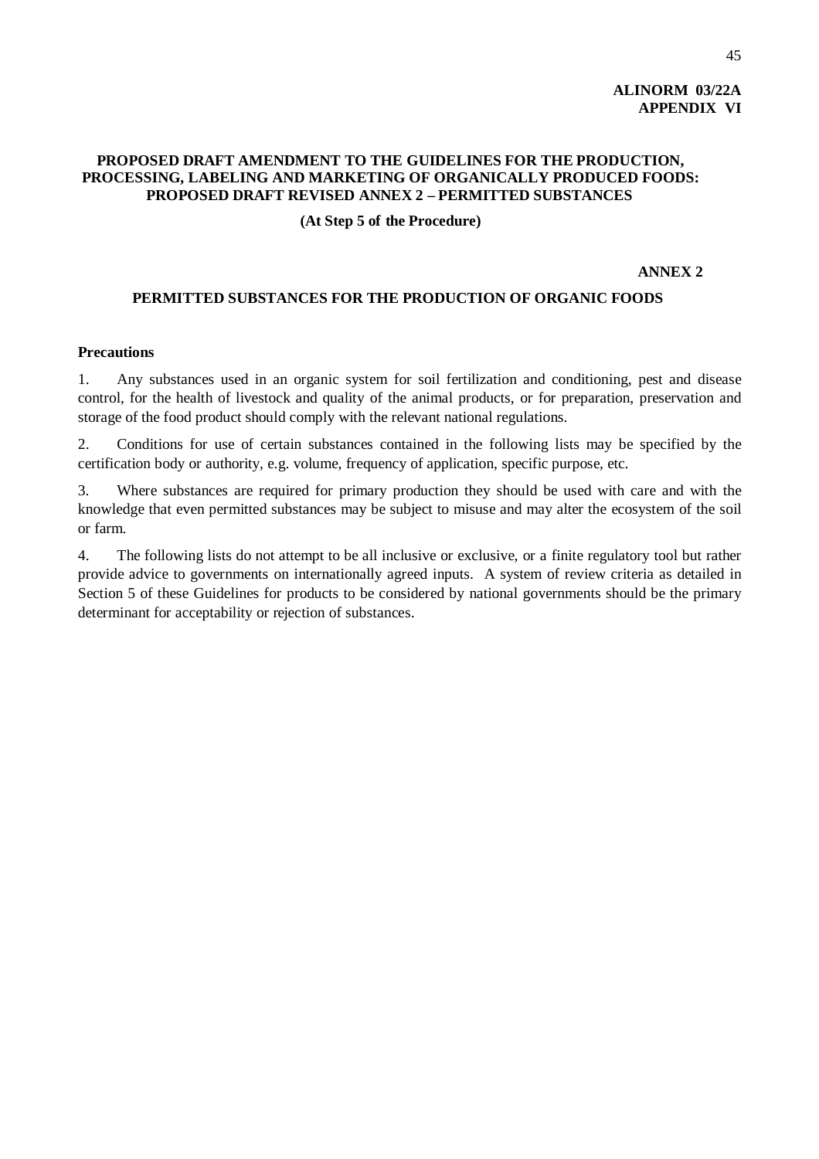## **PROPOSED DRAFT AMENDMENT TO THE GUIDELINES FOR THE PRODUCTION, PROCESSING, LABELING AND MARKETING OF ORGANICALLY PRODUCED FOODS: PROPOSED DRAFT REVISED ANNEX 2 – PERMITTED SUBSTANCES**

#### **(At Step 5 of the Procedure)**

**ANNEX 2**

#### **PERMITTED SUBSTANCES FOR THE PRODUCTION OF ORGANIC FOODS**

#### **Precautions**

1. Any substances used in an organic system for soil fertilization and conditioning, pest and disease control, for the health of livestock and quality of the animal products, or for preparation, preservation and storage of the food product should comply with the relevant national regulations.

2. Conditions for use of certain substances contained in the following lists may be specified by the certification body or authority, e.g. volume, frequency of application, specific purpose, etc.

3. Where substances are required for primary production they should be used with care and with the knowledge that even permitted substances may be subject to misuse and may alter the ecosystem of the soil or farm.

4. The following lists do not attempt to be all inclusive or exclusive, or a finite regulatory tool but rather provide advice to governments on internationally agreed inputs. A system of review criteria as detailed in Section 5 of these Guidelines for products to be considered by national governments should be the primary determinant for acceptability or rejection of substances.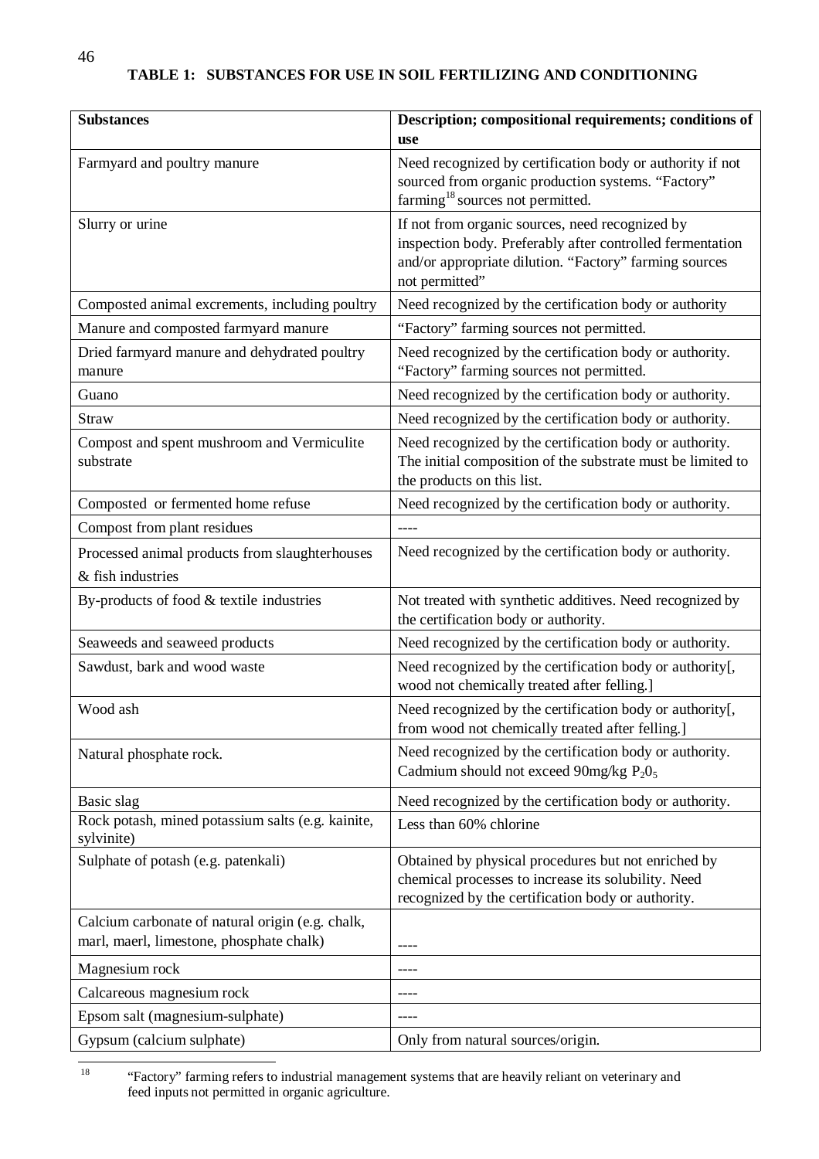## **TABLE 1: SUBSTANCES FOR USE IN SOIL FERTILIZING AND CONDITIONING**

| <b>Substances</b>                                                                            | Description; compositional requirements; conditions of                                                                                                                                   |
|----------------------------------------------------------------------------------------------|------------------------------------------------------------------------------------------------------------------------------------------------------------------------------------------|
|                                                                                              | <b>use</b>                                                                                                                                                                               |
| Farmyard and poultry manure                                                                  | Need recognized by certification body or authority if not<br>sourced from organic production systems. "Factory"<br>farming <sup>18</sup> sources not permitted.                          |
| Slurry or urine                                                                              | If not from organic sources, need recognized by<br>inspection body. Preferably after controlled fermentation<br>and/or appropriate dilution. "Factory" farming sources<br>not permitted" |
| Composted animal excrements, including poultry                                               | Need recognized by the certification body or authority                                                                                                                                   |
| Manure and composted farmyard manure                                                         | "Factory" farming sources not permitted.                                                                                                                                                 |
| Dried farmyard manure and dehydrated poultry<br>manure                                       | Need recognized by the certification body or authority.<br>"Factory" farming sources not permitted.                                                                                      |
| Guano                                                                                        | Need recognized by the certification body or authority.                                                                                                                                  |
| Straw                                                                                        | Need recognized by the certification body or authority.                                                                                                                                  |
| Compost and spent mushroom and Vermiculite<br>substrate                                      | Need recognized by the certification body or authority.<br>The initial composition of the substrate must be limited to<br>the products on this list.                                     |
| Composted or fermented home refuse                                                           | Need recognized by the certification body or authority.                                                                                                                                  |
| Compost from plant residues                                                                  | $--- -$                                                                                                                                                                                  |
| Processed animal products from slaughterhouses<br>& fish industries                          | Need recognized by the certification body or authority.                                                                                                                                  |
| By-products of food & textile industries                                                     | Not treated with synthetic additives. Need recognized by<br>the certification body or authority.                                                                                         |
| Seaweeds and seaweed products                                                                | Need recognized by the certification body or authority.                                                                                                                                  |
| Sawdust, bark and wood waste                                                                 | Need recognized by the certification body or authority[,<br>wood not chemically treated after felling.]                                                                                  |
| Wood ash                                                                                     | Need recognized by the certification body or authority[,<br>from wood not chemically treated after felling.]                                                                             |
| Natural phosphate rock.                                                                      | Need recognized by the certification body or authority.<br>Cadmium should not exceed 90mg/kg $P_2O_5$                                                                                    |
| Basic slag                                                                                   | Need recognized by the certification body or authority.                                                                                                                                  |
| Rock potash, mined potassium salts (e.g. kainite,<br>sylvinite)                              | Less than 60% chlorine                                                                                                                                                                   |
| Sulphate of potash (e.g. patenkali)                                                          | Obtained by physical procedures but not enriched by<br>chemical processes to increase its solubility. Need<br>recognized by the certification body or authority.                         |
| Calcium carbonate of natural origin (e.g. chalk,<br>marl, maerl, limestone, phosphate chalk) | ----                                                                                                                                                                                     |
| Magnesium rock                                                                               |                                                                                                                                                                                          |
| Calcareous magnesium rock                                                                    |                                                                                                                                                                                          |
| Epsom salt (magnesium-sulphate)                                                              |                                                                                                                                                                                          |
| Gypsum (calcium sulphate)                                                                    | Only from natural sources/origin.                                                                                                                                                        |

<sup>18</sup> 

<sup>&</sup>lt;sup>18</sup> "Factory" farming refers to industrial management systems that are heavily reliant on veterinary and feed inputs not permitted in organic agriculture.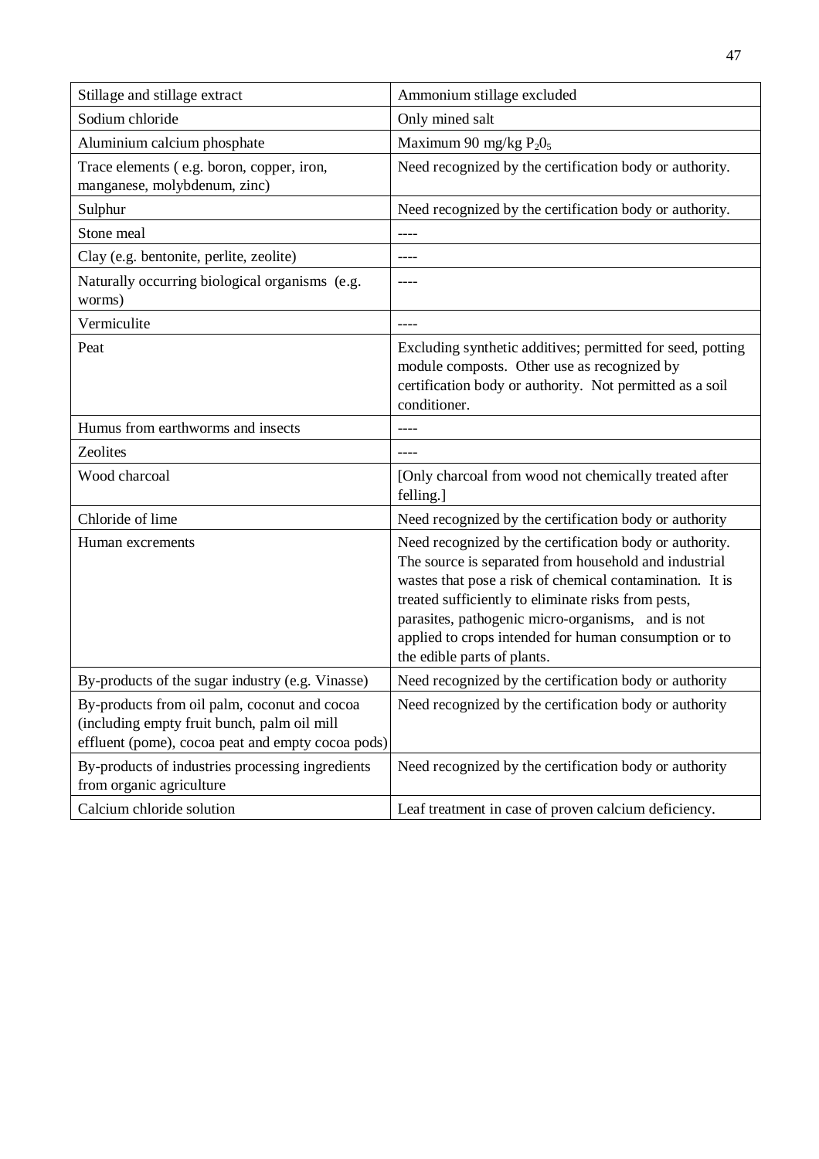| Stillage and stillage extract                                                                                                                    | Ammonium stillage excluded                                                                                                                                                                                                                                                                                                                                                       |
|--------------------------------------------------------------------------------------------------------------------------------------------------|----------------------------------------------------------------------------------------------------------------------------------------------------------------------------------------------------------------------------------------------------------------------------------------------------------------------------------------------------------------------------------|
| Sodium chloride                                                                                                                                  | Only mined salt                                                                                                                                                                                                                                                                                                                                                                  |
| Aluminium calcium phosphate                                                                                                                      | Maximum 90 mg/kg P <sub>2</sub> 0 <sub>5</sub>                                                                                                                                                                                                                                                                                                                                   |
| Trace elements (e.g. boron, copper, iron,<br>manganese, molybdenum, zinc)                                                                        | Need recognized by the certification body or authority.                                                                                                                                                                                                                                                                                                                          |
| Sulphur                                                                                                                                          | Need recognized by the certification body or authority.                                                                                                                                                                                                                                                                                                                          |
| Stone meal                                                                                                                                       | ----                                                                                                                                                                                                                                                                                                                                                                             |
| Clay (e.g. bentonite, perlite, zeolite)                                                                                                          | ----                                                                                                                                                                                                                                                                                                                                                                             |
| Naturally occurring biological organisms (e.g.<br>worms)                                                                                         | $---$                                                                                                                                                                                                                                                                                                                                                                            |
| Vermiculite                                                                                                                                      |                                                                                                                                                                                                                                                                                                                                                                                  |
| Peat                                                                                                                                             | Excluding synthetic additives; permitted for seed, potting<br>module composts. Other use as recognized by<br>certification body or authority. Not permitted as a soil<br>conditioner.                                                                                                                                                                                            |
| Humus from earthworms and insects                                                                                                                | $--- -$                                                                                                                                                                                                                                                                                                                                                                          |
| Zeolites                                                                                                                                         | $---$                                                                                                                                                                                                                                                                                                                                                                            |
| Wood charcoal                                                                                                                                    | [Only charcoal from wood not chemically treated after<br>felling.]                                                                                                                                                                                                                                                                                                               |
| Chloride of lime                                                                                                                                 | Need recognized by the certification body or authority                                                                                                                                                                                                                                                                                                                           |
| Human excrements                                                                                                                                 | Need recognized by the certification body or authority.<br>The source is separated from household and industrial<br>wastes that pose a risk of chemical contamination. It is<br>treated sufficiently to eliminate risks from pests,<br>parasites, pathogenic micro-organisms, and is not<br>applied to crops intended for human consumption or to<br>the edible parts of plants. |
| By-products of the sugar industry (e.g. Vinasse)                                                                                                 | Need recognized by the certification body or authority                                                                                                                                                                                                                                                                                                                           |
| By-products from oil palm, coconut and cocoa<br>(including empty fruit bunch, palm oil mill<br>effluent (pome), cocoa peat and empty cocoa pods) | Need recognized by the certification body or authority                                                                                                                                                                                                                                                                                                                           |
| By-products of industries processing ingredients<br>from organic agriculture                                                                     | Need recognized by the certification body or authority                                                                                                                                                                                                                                                                                                                           |
| Calcium chloride solution                                                                                                                        | Leaf treatment in case of proven calcium deficiency.                                                                                                                                                                                                                                                                                                                             |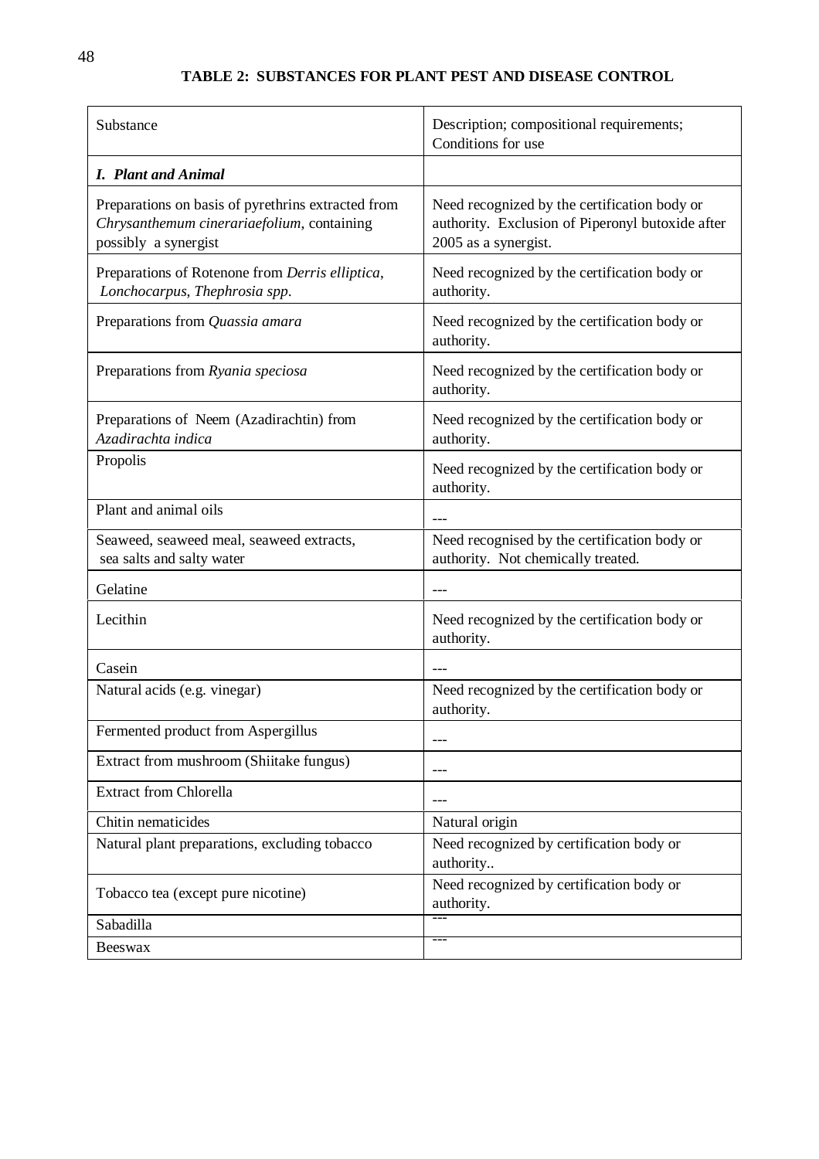## **TABLE 2: SUBSTANCES FOR PLANT PEST AND DISEASE CONTROL**

| Substance                                                                                                                | Description; compositional requirements;<br>Conditions for use                                                           |
|--------------------------------------------------------------------------------------------------------------------------|--------------------------------------------------------------------------------------------------------------------------|
| <b>I.</b> Plant and Animal                                                                                               |                                                                                                                          |
| Preparations on basis of pyrethrins extracted from<br>Chrysanthemum cinerariaefolium, containing<br>possibly a synergist | Need recognized by the certification body or<br>authority. Exclusion of Piperonyl butoxide after<br>2005 as a synergist. |
| Preparations of Rotenone from Derris elliptica,<br>Lonchocarpus, Thephrosia spp.                                         | Need recognized by the certification body or<br>authority.                                                               |
| Preparations from Quassia amara                                                                                          | Need recognized by the certification body or<br>authority.                                                               |
| Preparations from Ryania speciosa                                                                                        | Need recognized by the certification body or<br>authority.                                                               |
| Preparations of Neem (Azadirachtin) from<br>Azadirachta indica                                                           | Need recognized by the certification body or<br>authority.                                                               |
| Propolis                                                                                                                 | Need recognized by the certification body or<br>authority.                                                               |
| Plant and animal oils                                                                                                    |                                                                                                                          |
| Seaweed, seaweed meal, seaweed extracts,<br>sea salts and salty water                                                    | Need recognised by the certification body or<br>authority. Not chemically treated.                                       |
| Gelatine                                                                                                                 |                                                                                                                          |
| Lecithin                                                                                                                 | Need recognized by the certification body or<br>authority.                                                               |
| Casein                                                                                                                   | ---                                                                                                                      |
| Natural acids (e.g. vinegar)                                                                                             | Need recognized by the certification body or<br>authority.                                                               |
| Fermented product from Aspergillus                                                                                       | ---                                                                                                                      |
| Extract from mushroom (Shiitake fungus)                                                                                  | ---                                                                                                                      |
| <b>Extract from Chlorella</b>                                                                                            | ---                                                                                                                      |
| Chitin nematicides                                                                                                       | Natural origin                                                                                                           |
| Natural plant preparations, excluding tobacco                                                                            | Need recognized by certification body or<br>authority                                                                    |
| Tobacco tea (except pure nicotine)                                                                                       | Need recognized by certification body or<br>authority.                                                                   |
| Sabadilla                                                                                                                |                                                                                                                          |
| <b>Beeswax</b>                                                                                                           | ---                                                                                                                      |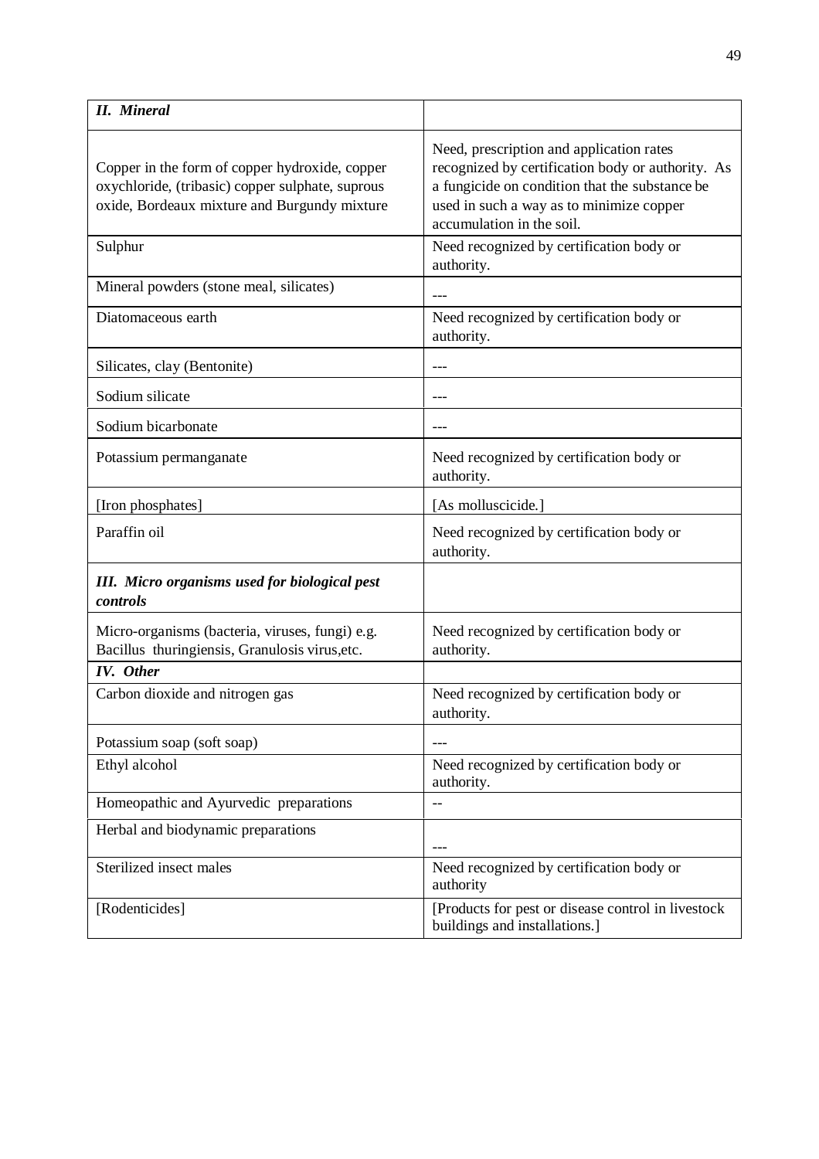| <b>II.</b> Mineral                                                                                                                                 |                                                                                                                                                                                                                          |
|----------------------------------------------------------------------------------------------------------------------------------------------------|--------------------------------------------------------------------------------------------------------------------------------------------------------------------------------------------------------------------------|
| Copper in the form of copper hydroxide, copper<br>oxychloride, (tribasic) copper sulphate, suprous<br>oxide, Bordeaux mixture and Burgundy mixture | Need, prescription and application rates<br>recognized by certification body or authority. As<br>a fungicide on condition that the substance be<br>used in such a way as to minimize copper<br>accumulation in the soil. |
| Sulphur                                                                                                                                            | Need recognized by certification body or<br>authority.                                                                                                                                                                   |
| Mineral powders (stone meal, silicates)                                                                                                            |                                                                                                                                                                                                                          |
| Diatomaceous earth                                                                                                                                 | Need recognized by certification body or<br>authority.                                                                                                                                                                   |
| Silicates, clay (Bentonite)                                                                                                                        | $---$                                                                                                                                                                                                                    |
| Sodium silicate                                                                                                                                    | ---                                                                                                                                                                                                                      |
| Sodium bicarbonate                                                                                                                                 |                                                                                                                                                                                                                          |
| Potassium permanganate                                                                                                                             | Need recognized by certification body or<br>authority.                                                                                                                                                                   |
| [Iron phosphates]                                                                                                                                  | [As molluscicide.]                                                                                                                                                                                                       |
| Paraffin oil                                                                                                                                       | Need recognized by certification body or<br>authority.                                                                                                                                                                   |
| <b>III.</b> Micro organisms used for biological pest<br>controls                                                                                   |                                                                                                                                                                                                                          |
| Micro-organisms (bacteria, viruses, fungi) e.g.<br>Bacillus thuringiensis, Granulosis virus, etc.                                                  | Need recognized by certification body or<br>authority.                                                                                                                                                                   |
| <b>IV.</b> Other                                                                                                                                   |                                                                                                                                                                                                                          |
| Carbon dioxide and nitrogen gas                                                                                                                    | Need recognized by certification body or<br>authority.                                                                                                                                                                   |
| Potassium soap (soft soap)                                                                                                                         |                                                                                                                                                                                                                          |
| Ethyl alcohol                                                                                                                                      | Need recognized by certification body or<br>authority.                                                                                                                                                                   |
| Homeopathic and Ayurvedic preparations                                                                                                             | $-$                                                                                                                                                                                                                      |
| Herbal and biodynamic preparations                                                                                                                 |                                                                                                                                                                                                                          |
| Sterilized insect males                                                                                                                            | Need recognized by certification body or<br>authority                                                                                                                                                                    |
| [Rodenticides]                                                                                                                                     | [Products for pest or disease control in livestock]<br>buildings and installations.]                                                                                                                                     |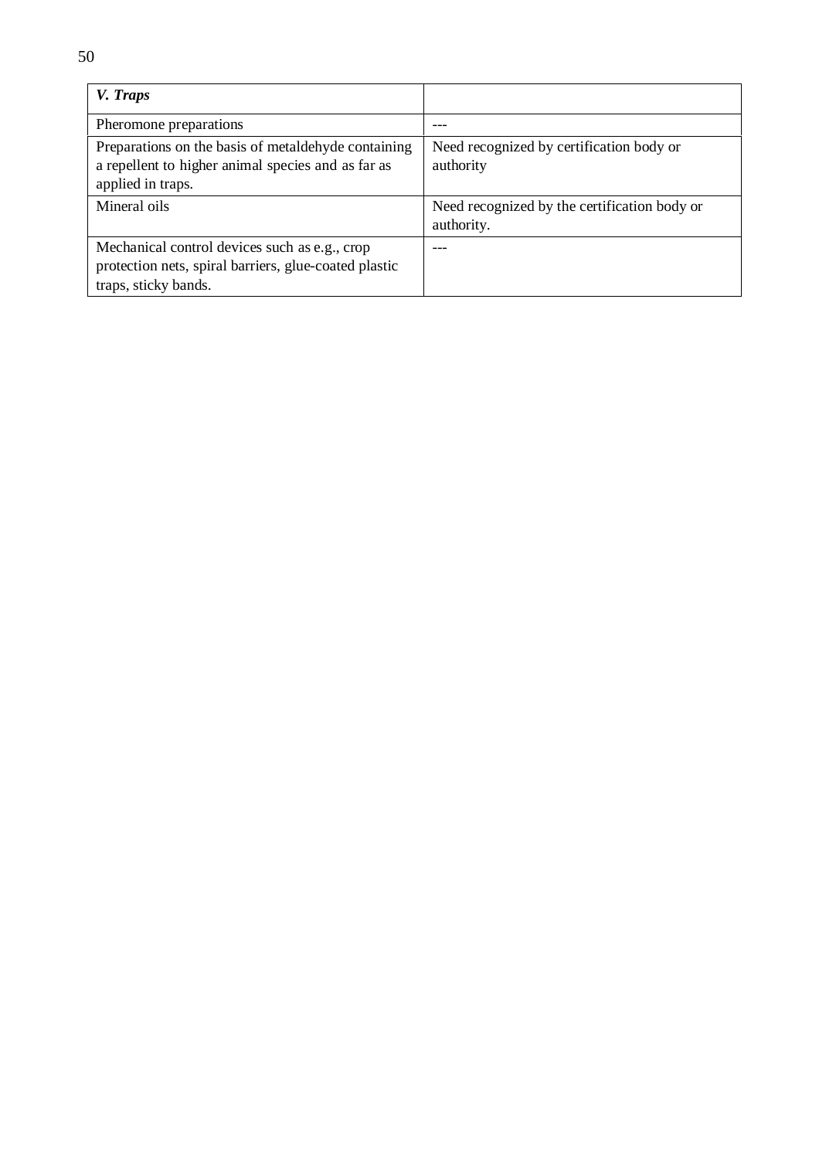50

| V. Traps                                                                                                                       |                                                            |
|--------------------------------------------------------------------------------------------------------------------------------|------------------------------------------------------------|
| Pheromone preparations                                                                                                         |                                                            |
| Preparations on the basis of metaldehyde containing<br>a repellent to higher animal species and as far as<br>applied in traps. | Need recognized by certification body or<br>authority      |
| Mineral oils                                                                                                                   | Need recognized by the certification body or<br>authority. |
| Mechanical control devices such as e.g., crop<br>protection nets, spiral barriers, glue-coated plastic<br>traps, sticky bands. |                                                            |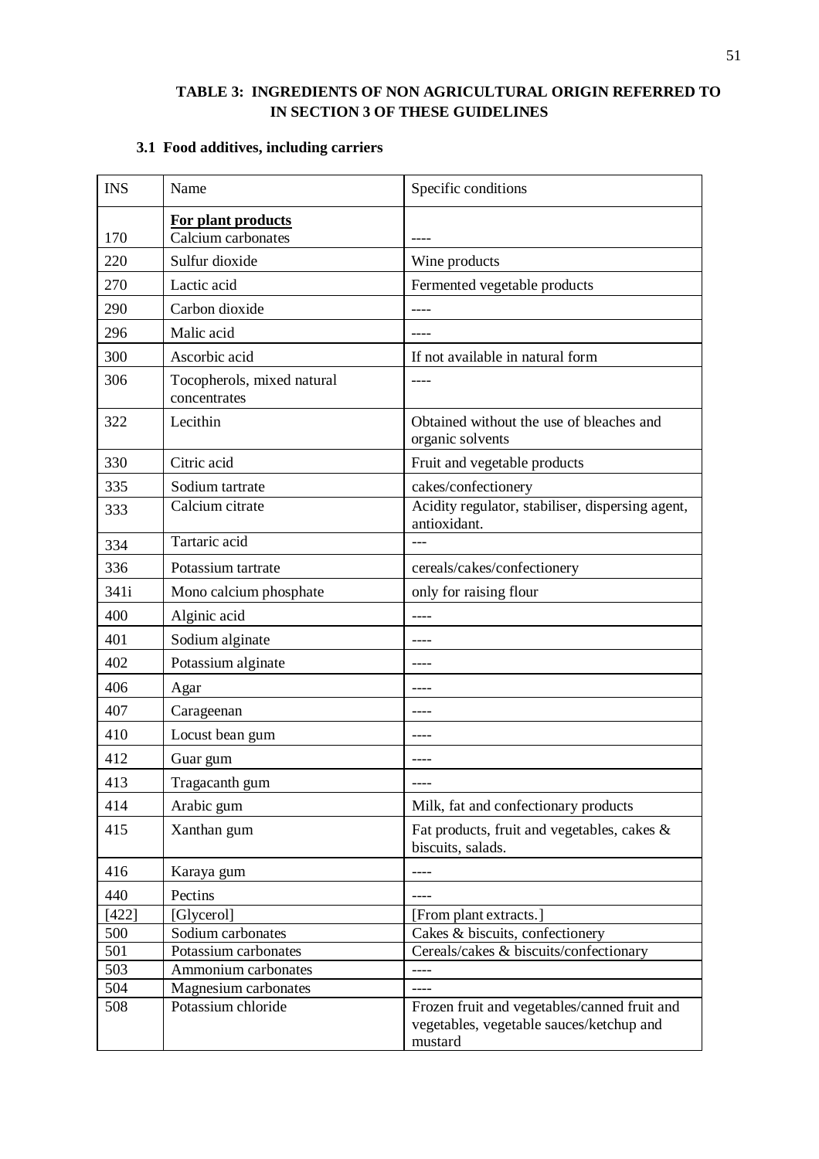## **TABLE 3: INGREDIENTS OF NON AGRICULTURAL ORIGIN REFERRED TO IN SECTION 3 OF THESE GUIDELINES**

## **3.1 Food additives, including carriers**

| <b>INS</b> | Name                                       | Specific conditions                                                                                 |
|------------|--------------------------------------------|-----------------------------------------------------------------------------------------------------|
| 170        | For plant products<br>Calcium carbonates   |                                                                                                     |
| 220        | Sulfur dioxide                             | Wine products                                                                                       |
|            |                                            |                                                                                                     |
| 270        | Lactic acid                                | Fermented vegetable products                                                                        |
| 290        | Carbon dioxide                             | ----                                                                                                |
| 296        | Malic acid                                 |                                                                                                     |
| 300        | Ascorbic acid                              | If not available in natural form                                                                    |
| 306        | Tocopherols, mixed natural<br>concentrates | ----                                                                                                |
| 322        | Lecithin                                   | Obtained without the use of bleaches and<br>organic solvents                                        |
| 330        | Citric acid                                | Fruit and vegetable products                                                                        |
| 335        | Sodium tartrate                            | cakes/confectionery                                                                                 |
| 333        | Calcium citrate                            | Acidity regulator, stabiliser, dispersing agent,<br>antioxidant.                                    |
| 334        | Tartaric acid                              |                                                                                                     |
| 336        | Potassium tartrate                         | cereals/cakes/confectionery                                                                         |
| 341i       | Mono calcium phosphate                     | only for raising flour                                                                              |
| 400        | Alginic acid                               | ----                                                                                                |
| 401        | Sodium alginate                            |                                                                                                     |
| 402        | Potassium alginate                         |                                                                                                     |
| 406        | Agar                                       |                                                                                                     |
| 407        | Carageenan                                 |                                                                                                     |
| 410        | Locust bean gum                            |                                                                                                     |
| 412        | Guar gum                                   |                                                                                                     |
| 413        | Tragacanth gum                             | ----                                                                                                |
| 414        | Arabic gum                                 | Milk, fat and confectionary products                                                                |
| 415        | Xanthan gum                                | Fat products, fruit and vegetables, cakes &<br>biscuits, salads.                                    |
| 416        | Karaya gum                                 |                                                                                                     |
| 440        | Pectins                                    |                                                                                                     |
| $[422]$    | [Glycerol]                                 | [From plant extracts.]                                                                              |
| 500        | Sodium carbonates                          | Cakes & biscuits, confectionery                                                                     |
| 501        | Potassium carbonates                       | Cereals/cakes & biscuits/confectionary                                                              |
| 503        | Ammonium carbonates                        |                                                                                                     |
| 504        | Magnesium carbonates                       |                                                                                                     |
| 508        | Potassium chloride                         | Frozen fruit and vegetables/canned fruit and<br>vegetables, vegetable sauces/ketchup and<br>mustard |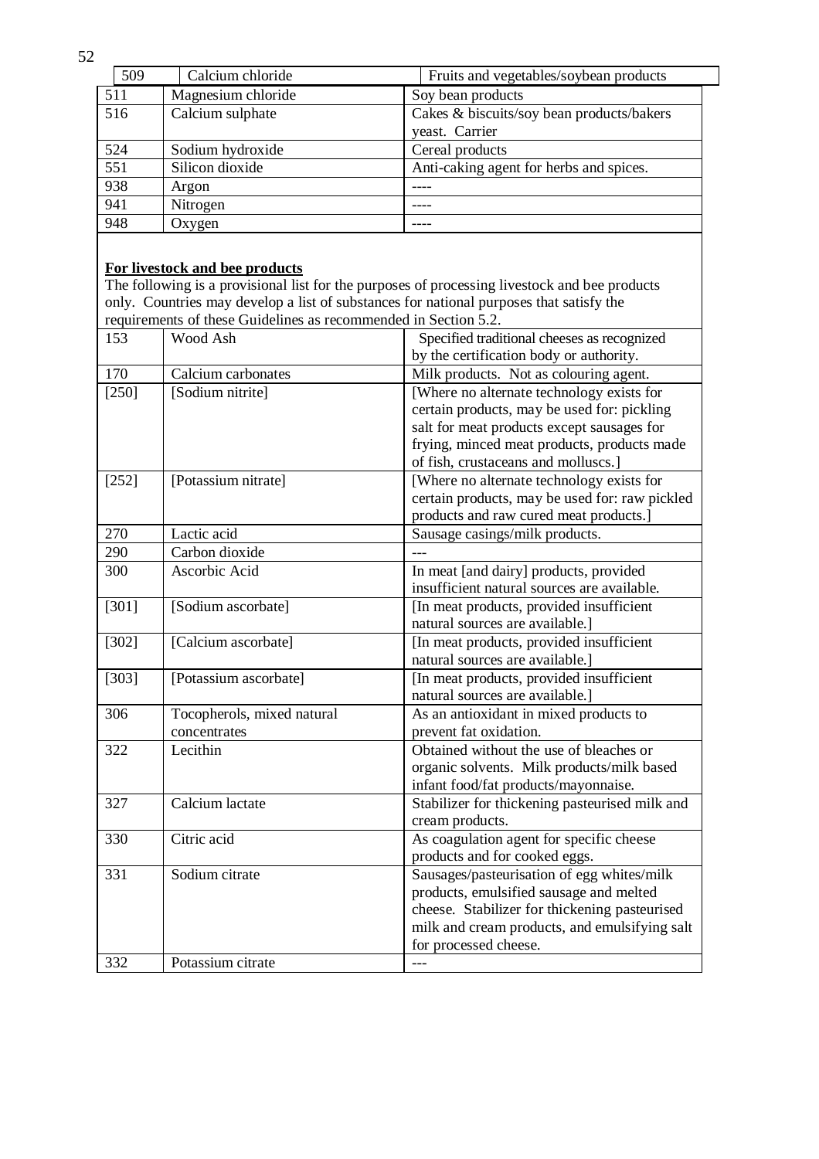|     | 509 | Calcium chloride   | Fruits and vegetables/soybean products    |
|-----|-----|--------------------|-------------------------------------------|
| 511 |     | Magnesium chloride | Soy bean products                         |
|     | 516 | Calcium sulphate   | Cakes & biscuits/soy bean products/bakers |
|     |     |                    | yeast. Carrier                            |
|     | 524 | Sodium hydroxide   | Cereal products                           |
|     | 551 | Silicon dioxide    | Anti-caking agent for herbs and spices.   |
| 938 |     | Argon              |                                           |
|     | 941 | Nitrogen           |                                           |
|     | 948 | Oxygen             |                                           |

## **For livestock and bee products**

The following is a provisional list for the purposes of processing livestock and bee products only. Countries may develop a list of substances for national purposes that satisfy the requirements of these Guidelines as recommended in Section 5.2.

| 153   | Wood Ash                   | Specified traditional cheeses as recognized    |
|-------|----------------------------|------------------------------------------------|
|       |                            | by the certification body or authority.        |
| 170   | Calcium carbonates         | Milk products. Not as colouring agent.         |
| [250] | [Sodium nitrite]           | [Where no alternate technology exists for      |
|       |                            | certain products, may be used for: pickling    |
|       |                            | salt for meat products except sausages for     |
|       |                            | frying, minced meat products, products made    |
|       |                            | of fish, crustaceans and molluscs.]            |
| [252] | [Potassium nitrate]        | [Where no alternate technology exists for      |
|       |                            | certain products, may be used for: raw pickled |
|       |                            | products and raw cured meat products.]         |
| 270   | Lactic acid                | Sausage casings/milk products.                 |
| 290   | Carbon dioxide             |                                                |
| 300   | Ascorbic Acid              | In meat [and dairy] products, provided         |
|       |                            | insufficient natural sources are available.    |
| [301] | [Sodium ascorbate]         | [In meat products, provided insufficient       |
|       |                            | natural sources are available.]                |
| [302] | [Calcium ascorbate]        | [In meat products, provided insufficient       |
|       |                            | natural sources are available.]                |
| [303] | [Potassium ascorbate]      | [In meat products, provided insufficient       |
|       |                            | natural sources are available.]                |
| 306   | Tocopherols, mixed natural | As an antioxidant in mixed products to         |
|       | concentrates               | prevent fat oxidation.                         |
| 322   | Lecithin                   | Obtained without the use of bleaches or        |
|       |                            | organic solvents. Milk products/milk based     |
|       |                            | infant food/fat products/mayonnaise.           |
| 327   | Calcium lactate            | Stabilizer for thickening pasteurised milk and |
|       |                            | cream products.                                |
| 330   | Citric acid                | As coagulation agent for specific cheese       |
|       |                            | products and for cooked eggs.                  |
| 331   | Sodium citrate             | Sausages/pasteurisation of egg whites/milk     |
|       |                            | products, emulsified sausage and melted        |
|       |                            | cheese. Stabilizer for thickening pasteurised  |
|       |                            | milk and cream products, and emulsifying salt  |
|       |                            | for processed cheese.                          |
| 332   | Potassium citrate          | $---$                                          |

52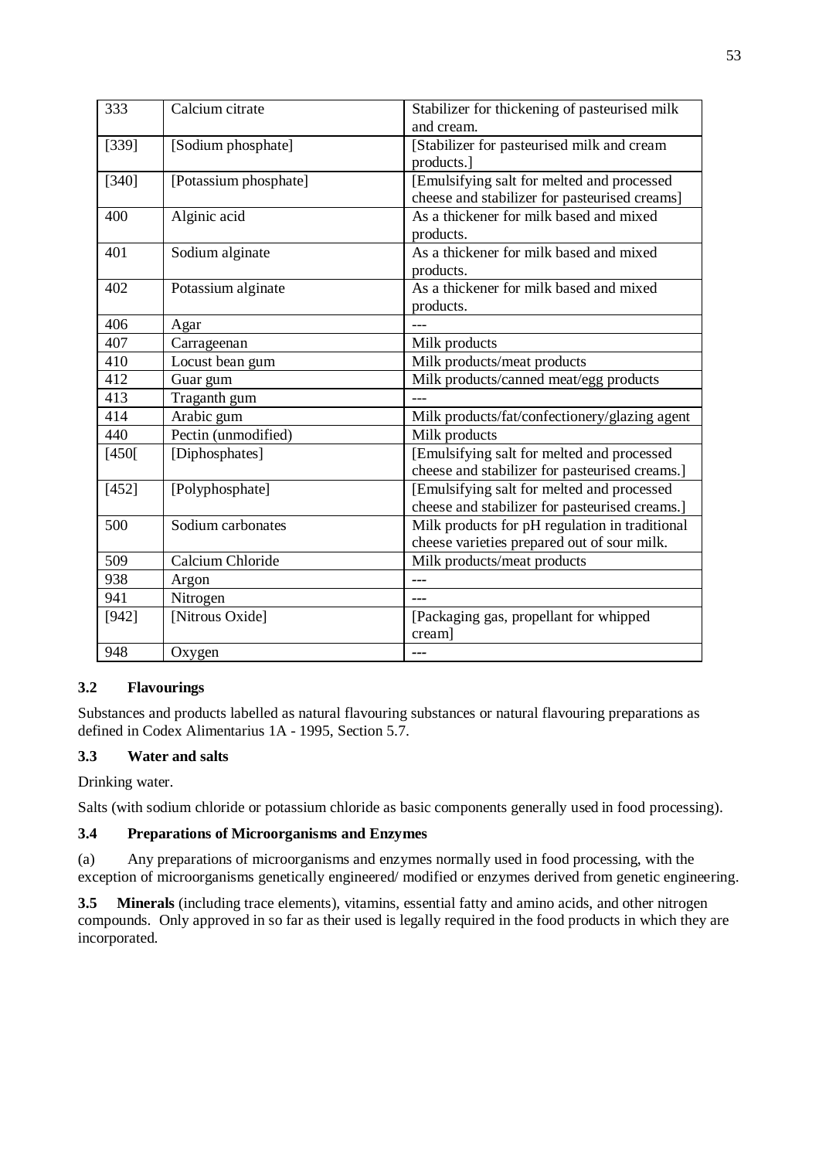| 333     | Calcium citrate       | Stabilizer for thickening of pasteurised milk<br>and cream.                                   |
|---------|-----------------------|-----------------------------------------------------------------------------------------------|
| [339]   | [Sodium phosphate]    | [Stabilizer for pasteurised milk and cream<br>products.                                       |
| [340]   | [Potassium phosphate] | [Emulsifying salt for melted and processed<br>cheese and stabilizer for pasteurised creams]   |
| 400     | Alginic acid          | As a thickener for milk based and mixed<br>products.                                          |
| 401     | Sodium alginate       | As a thickener for milk based and mixed<br>products.                                          |
| 402     | Potassium alginate    | As a thickener for milk based and mixed<br>products.                                          |
| 406     | Agar                  |                                                                                               |
| 407     | Carrageenan           | Milk products                                                                                 |
| 410     | Locust bean gum       | Milk products/meat products                                                                   |
| 412     | Guar gum              | Milk products/canned meat/egg products                                                        |
| 413     | Traganth gum          | $---$                                                                                         |
| 414     | Arabic gum            | Milk products/fat/confectionery/glazing agent                                                 |
| 440     | Pectin (unmodified)   | Milk products                                                                                 |
| $[450]$ | [Diphosphates]        | [Emulsifying salt for melted and processed<br>cheese and stabilizer for pasteurised creams.]  |
| [452]   | [Polyphosphate]       | [Emulsifying salt for melted and processed<br>cheese and stabilizer for pasteurised creams.]  |
| 500     | Sodium carbonates     | Milk products for pH regulation in traditional<br>cheese varieties prepared out of sour milk. |
| 509     | Calcium Chloride      | Milk products/meat products                                                                   |
| 938     | Argon                 | ---                                                                                           |
| 941     | Nitrogen              | ---                                                                                           |
| [942]   | [Nitrous Oxide]       | [Packaging gas, propellant for whipped<br>cream]                                              |
| 948     | Oxygen                | ---                                                                                           |

## **3.2 Flavourings**

Substances and products labelled as natural flavouring substances or natural flavouring preparations as defined in Codex Alimentarius 1A - 1995, Section 5.7.

## **3.3 Water and salts**

Drinking water.

Salts (with sodium chloride or potassium chloride as basic components generally used in food processing).

## **3.4 Preparations of Microorganisms and Enzymes**

(a) Any preparations of microorganisms and enzymes normally used in food processing, with the exception of microorganisms genetically engineered/ modified or enzymes derived from genetic engineering.

**3.5 Minerals** (including trace elements), vitamins, essential fatty and amino acids, and other nitrogen compounds. Only approved in so far as their used is legally required in the food products in which they are incorporated.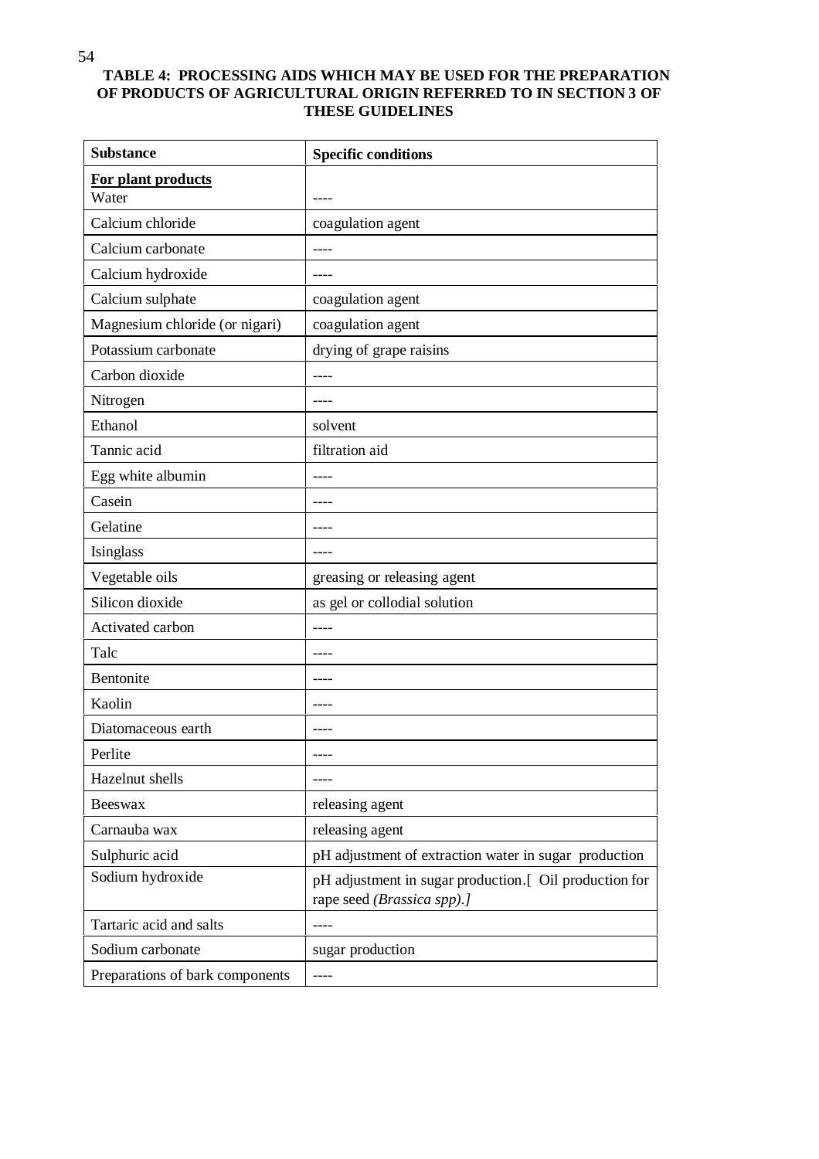## **TABLE 4: PROCESSING AIDS WHICH MAY BE USED FOR THE PREPARATION OF PRODUCTS OF AGRICULTURAL ORIGIN REFERRED TO IN SECTION 3 OF THESE GUIDELINES**

| <b>Substance</b>                | <b>Specific conditions</b>                                                           |
|---------------------------------|--------------------------------------------------------------------------------------|
| For plant products              |                                                                                      |
| Water                           |                                                                                      |
| Calcium chloride                | coagulation agent                                                                    |
| Calcium carbonate               |                                                                                      |
| Calcium hydroxide               |                                                                                      |
| Calcium sulphate                | coagulation agent                                                                    |
| Magnesium chloride (or nigari)  | coagulation agent                                                                    |
| Potassium carbonate             | drying of grape raisins                                                              |
| Carbon dioxide                  |                                                                                      |
| Nitrogen                        | $--- -$                                                                              |
| Ethanol                         | solvent                                                                              |
| Tannic acid                     | filtration aid                                                                       |
| Egg white albumin               |                                                                                      |
| Casein                          | ----                                                                                 |
| Gelatine                        |                                                                                      |
| Isinglass                       |                                                                                      |
| Vegetable oils                  | greasing or releasing agent                                                          |
| Silicon dioxide                 | as gel or collodial solution                                                         |
| Activated carbon                |                                                                                      |
| Talc                            |                                                                                      |
| Bentonite                       |                                                                                      |
| Kaolin                          |                                                                                      |
| Diatomaceous earth              | ----                                                                                 |
| Perlite                         |                                                                                      |
| Hazelnut shells                 |                                                                                      |
| <b>Beeswax</b>                  | releasing agent                                                                      |
| Carnauba wax                    | releasing agent                                                                      |
| Sulphuric acid                  | pH adjustment of extraction water in sugar production                                |
| Sodium hydroxide                | pH adjustment in sugar production.[ Oil production for<br>rape seed (Brassica spp).] |
| Tartaric acid and salts         |                                                                                      |
| Sodium carbonate                | sugar production                                                                     |
| Preparations of bark components |                                                                                      |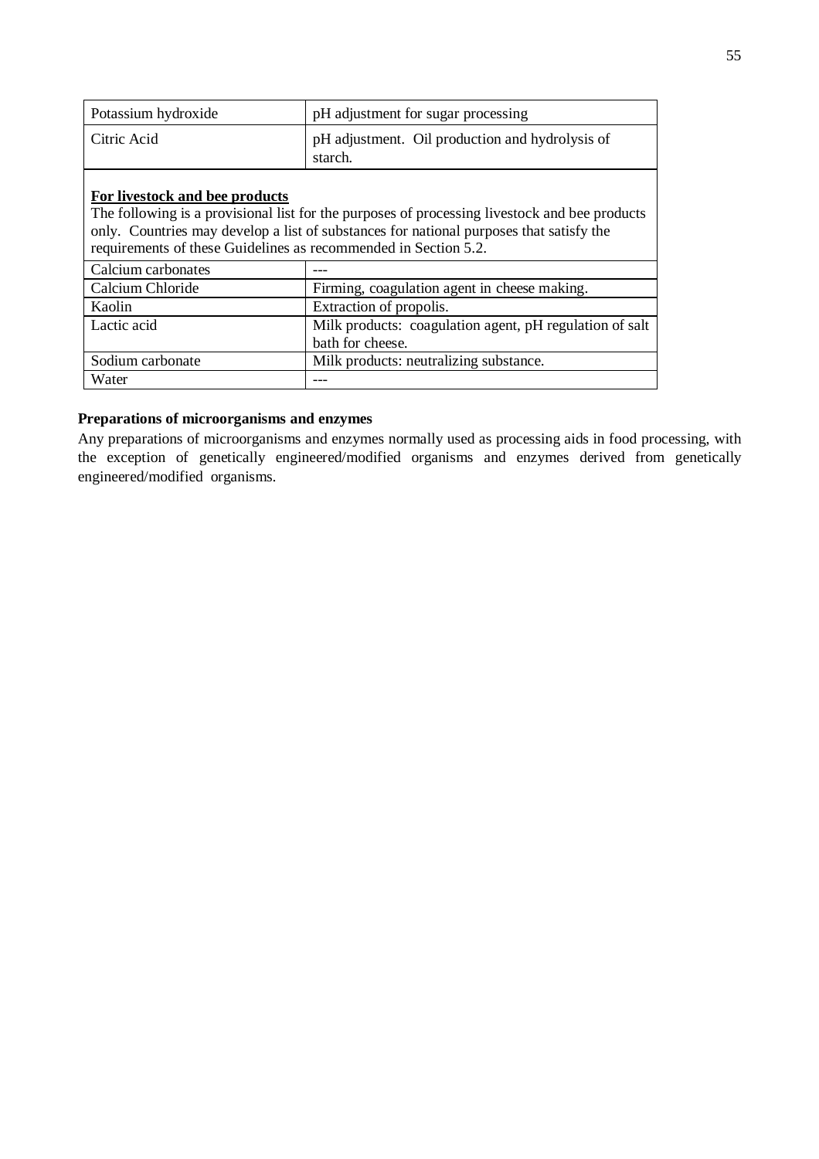| Potassium hydroxide                                                                                                                                                                                                                                                                           | pH adjustment for sugar processing                                          |  |
|-----------------------------------------------------------------------------------------------------------------------------------------------------------------------------------------------------------------------------------------------------------------------------------------------|-----------------------------------------------------------------------------|--|
| Citric Acid                                                                                                                                                                                                                                                                                   | pH adjustment. Oil production and hydrolysis of<br>starch.                  |  |
| For livestock and bee products<br>The following is a provisional list for the purposes of processing livestock and bee products<br>only. Countries may develop a list of substances for national purposes that satisfy the<br>requirements of these Guidelines as recommended in Section 5.2. |                                                                             |  |
| Calcium carbonates                                                                                                                                                                                                                                                                            |                                                                             |  |
| Calcium Chloride                                                                                                                                                                                                                                                                              | Firming, coagulation agent in cheese making.                                |  |
| Kaolin                                                                                                                                                                                                                                                                                        | Extraction of propolis.                                                     |  |
| Lactic acid                                                                                                                                                                                                                                                                                   | Milk products: coagulation agent, pH regulation of salt<br>bath for cheese. |  |
| Sodium carbonate                                                                                                                                                                                                                                                                              | Milk products: neutralizing substance.                                      |  |
| Water                                                                                                                                                                                                                                                                                         |                                                                             |  |

## **Preparations of microorganisms and enzymes**

Any preparations of microorganisms and enzymes normally used as processing aids in food processing, with the exception of genetically engineered/modified organisms and enzymes derived from genetically engineered/modified organisms.